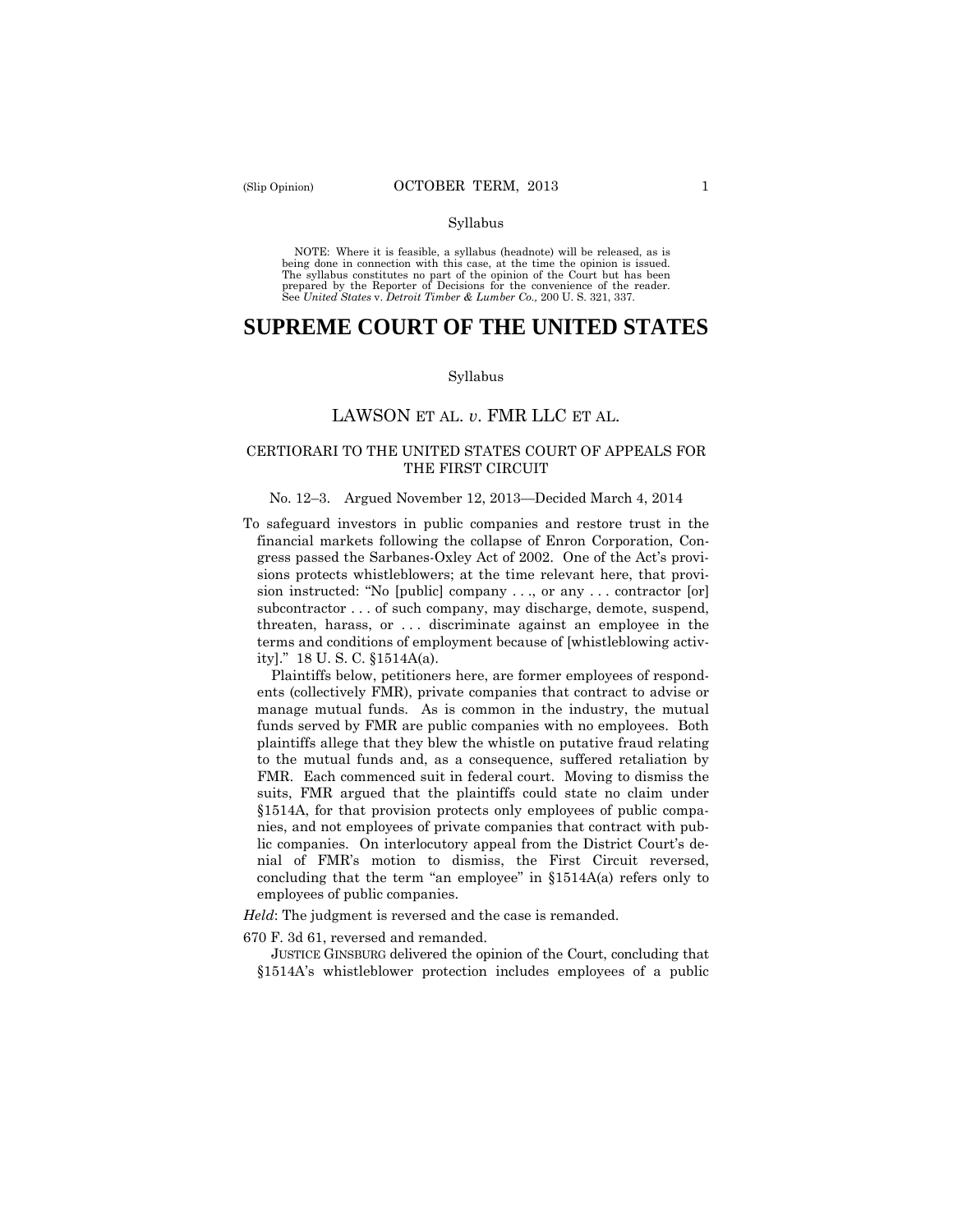#### Syllabus

 NOTE: Where it is feasible, a syllabus (headnote) will be released, as is being done in connection with this case, at the time the opinion is issued. The syllabus constitutes no part of the opinion of the Court but has been<br>prepared by the Reporter of Decisions for the convenience of the reader.<br>See United States v. Detroit Timber & Lumber Co., 200 U. S. 321, 337.

# **SUPREME COURT OF THE UNITED STATES**

#### Syllabus

# LAWSON ET AL. *v*. FMR LLC ET AL.

### CERTIORARI TO THE UNITED STATES COURT OF APPEALS FOR THE FIRST CIRCUIT

#### No. 12–3. Argued November 12, 2013—Decided March 4, 2014

To safeguard investors in public companies and restore trust in the financial markets following the collapse of Enron Corporation, Congress passed the Sarbanes-Oxley Act of 2002. One of the Act's provisions protects whistleblowers; at the time relevant here, that provision instructed: "No [public] company . . ., or any . . . contractor [or] subcontractor . . . of such company, may discharge, demote, suspend, threaten, harass, or . . . discriminate against an employee in the terms and conditions of employment because of [whistleblowing activity]." 18 U. S. C. §1514A(a).

 ents (collectively FMR), private companies that contract to advise or FMR. Each commenced suit in federal court. Moving to dismiss the Plaintiffs below, petitioners here, are former employees of respondmanage mutual funds. As is common in the industry, the mutual funds served by FMR are public companies with no employees. Both plaintiffs allege that they blew the whistle on putative fraud relating to the mutual funds and, as a consequence, suffered retaliation by suits, FMR argued that the plaintiffs could state no claim under §1514A, for that provision protects only employees of public companies, and not employees of private companies that contract with public companies. On interlocutory appeal from the District Court's denial of FMR's motion to dismiss, the First Circuit reversed, concluding that the term "an employee" in §1514A(a) refers only to employees of public companies.

*Held*: The judgment is reversed and the case is remanded.

670 F. 3d 61, reversed and remanded.

JUSTICE GINSBURG delivered the opinion of the Court, concluding that §1514A's whistleblower protection includes employees of a public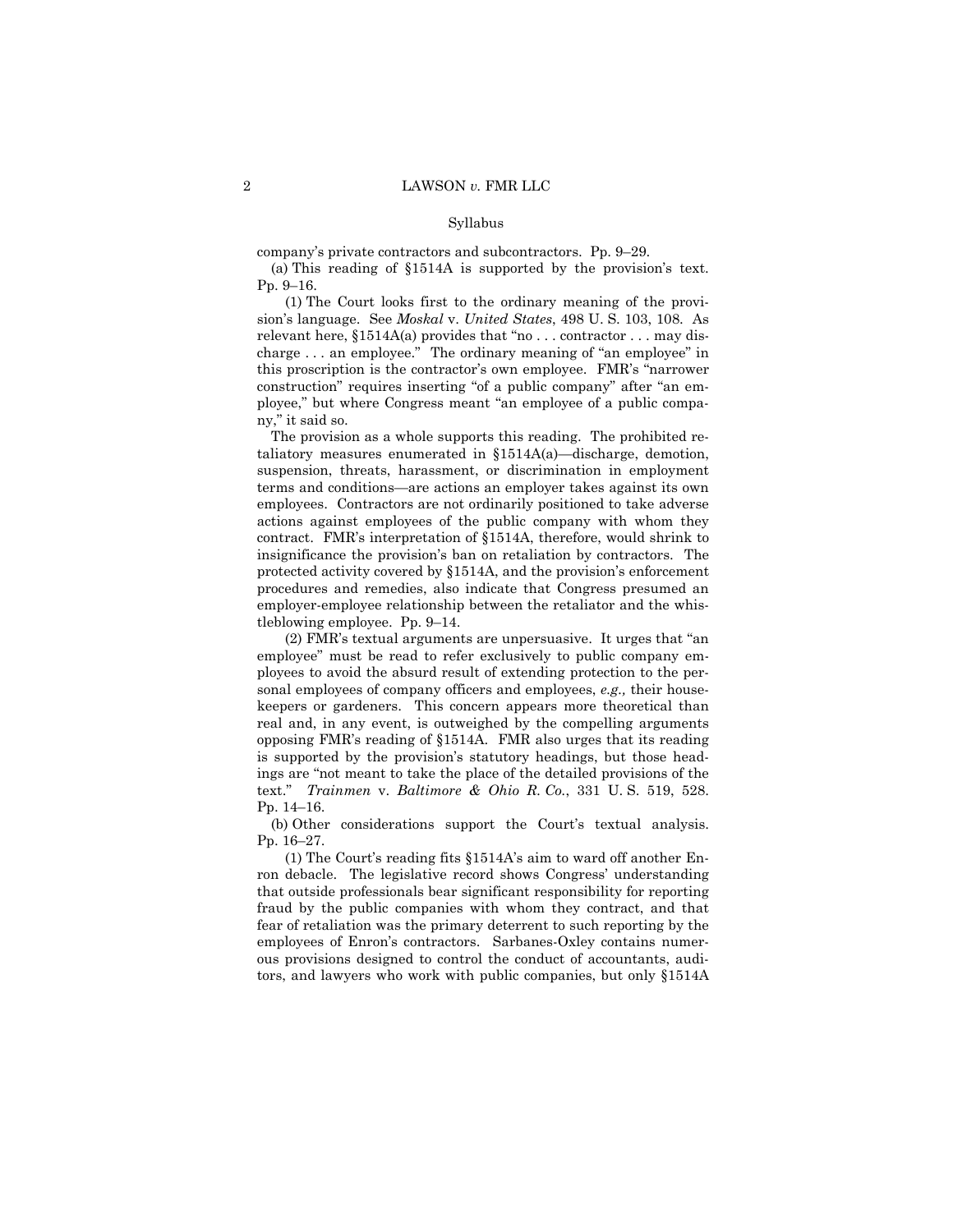#### Syllabus

company's private contractors and subcontractors. Pp. 9–29.

(a) This reading of §1514A is supported by the provision's text. Pp. 9–16.

(1) The Court looks first to the ordinary meaning of the provision's language. See *Moskal* v. *United States*, 498 U. S. 103, 108. As relevant here,  $$1514A(a)$  provides that "no ... contractor ... may discharge . . . an employee." The ordinary meaning of "an employee" in this proscription is the contractor's own employee. FMR's "narrower construction" requires inserting "of a public company" after "an employee," but where Congress meant "an employee of a public company," it said so.

The provision as a whole supports this reading. The prohibited retaliatory measures enumerated in §1514A(a)—discharge, demotion, suspension, threats, harassment, or discrimination in employment terms and conditions—are actions an employer takes against its own employees. Contractors are not ordinarily positioned to take adverse actions against employees of the public company with whom they contract. FMR's interpretation of §1514A, therefore, would shrink to insignificance the provision's ban on retaliation by contractors. The protected activity covered by §1514A, and the provision's enforcement procedures and remedies, also indicate that Congress presumed an employer-employee relationship between the retaliator and the whistleblowing employee. Pp. 9–14.

(2) FMR's textual arguments are unpersuasive. It urges that "an employee" must be read to refer exclusively to public company employees to avoid the absurd result of extending protection to the personal employees of company officers and employees, *e.g.,* their housekeepers or gardeners. This concern appears more theoretical than real and, in any event, is outweighed by the compelling arguments opposing FMR's reading of §1514A. FMR also urges that its reading is supported by the provision's statutory headings, but those headings are "not meant to take the place of the detailed provisions of the text." *Trainmen* v. *Baltimore & Ohio R. Co.*, 331 U. S. 519, 528. Pp. 14–16.

(b) Other considerations support the Court's textual analysis. Pp. 16–27.

(1) The Court's reading fits §1514A's aim to ward off another Enron debacle. The legislative record shows Congress' understanding that outside professionals bear significant responsibility for reporting fraud by the public companies with whom they contract, and that fear of retaliation was the primary deterrent to such reporting by the employees of Enron's contractors. Sarbanes-Oxley contains numerous provisions designed to control the conduct of accountants, auditors, and lawyers who work with public companies, but only §1514A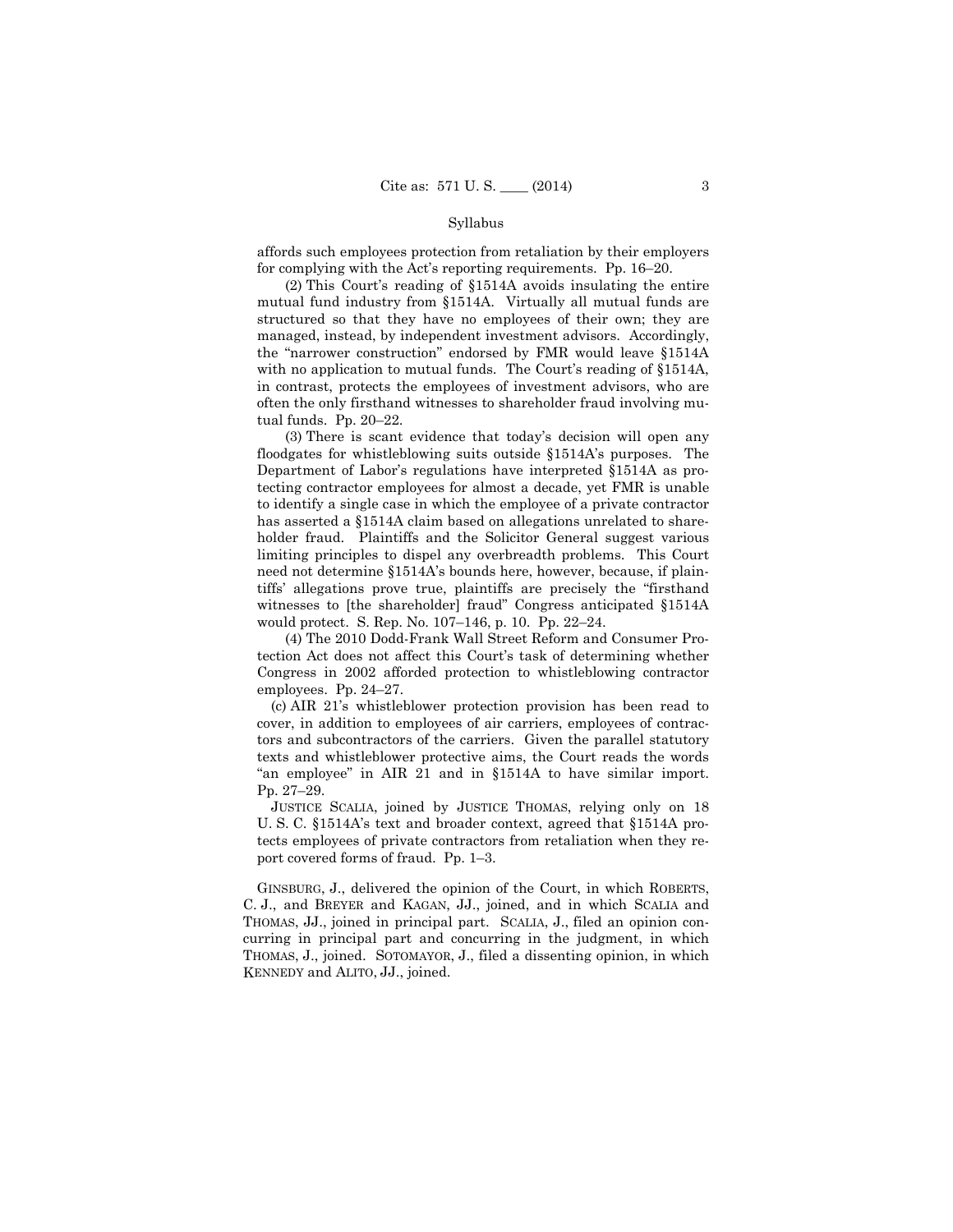#### Syllabus

affords such employees protection from retaliation by their employers for complying with the Act's reporting requirements. Pp. 16–20.

(2) This Court's reading of §1514A avoids insulating the entire mutual fund industry from §1514A. Virtually all mutual funds are structured so that they have no employees of their own; they are managed, instead, by independent investment advisors. Accordingly, the "narrower construction" endorsed by FMR would leave §1514A with no application to mutual funds. The Court's reading of §1514A, in contrast, protects the employees of investment advisors, who are often the only firsthand witnesses to shareholder fraud involving mutual funds. Pp. 20–22.

(3) There is scant evidence that today's decision will open any floodgates for whistleblowing suits outside §1514A's purposes. The Department of Labor's regulations have interpreted §1514A as protecting contractor employees for almost a decade, yet FMR is unable to identify a single case in which the employee of a private contractor has asserted a §1514A claim based on allegations unrelated to shareholder fraud. Plaintiffs and the Solicitor General suggest various limiting principles to dispel any overbreadth problems. This Court need not determine §1514A's bounds here, however, because, if plaintiffs' allegations prove true, plaintiffs are precisely the "firsthand witnesses to [the shareholder] fraud" Congress anticipated §1514A would protect. S. Rep. No. 107–146, p. 10. Pp. 22–24.

(4) The 2010 Dodd-Frank Wall Street Reform and Consumer Protection Act does not affect this Court's task of determining whether Congress in 2002 afforded protection to whistleblowing contractor employees. Pp. 24–27.

(c) AIR 21's whistleblower protection provision has been read to cover, in addition to employees of air carriers, employees of contractors and subcontractors of the carriers. Given the parallel statutory texts and whistleblower protective aims, the Court reads the words "an employee" in AIR 21 and in §1514A to have similar import. Pp. 27–29.

JUSTICE SCALIA, joined by JUSTICE THOMAS, relying only on 18 U. S. C. §1514A's text and broader context, agreed that §1514A protects employees of private contractors from retaliation when they report covered forms of fraud. Pp. 1–3.

 C. J., and BREYER and KAGAN, JJ., joined, and in which SCALIA and THOMAS, JJ., joined in principal part. SCALIA, J., filed an opinion con-GINSBURG, J., delivered the opinion of the Court, in which ROBERTS, curring in principal part and concurring in the judgment, in which THOMAS, J., joined. SOTOMAYOR, J., filed a dissenting opinion, in which KENNEDY and ALITO, JJ., joined.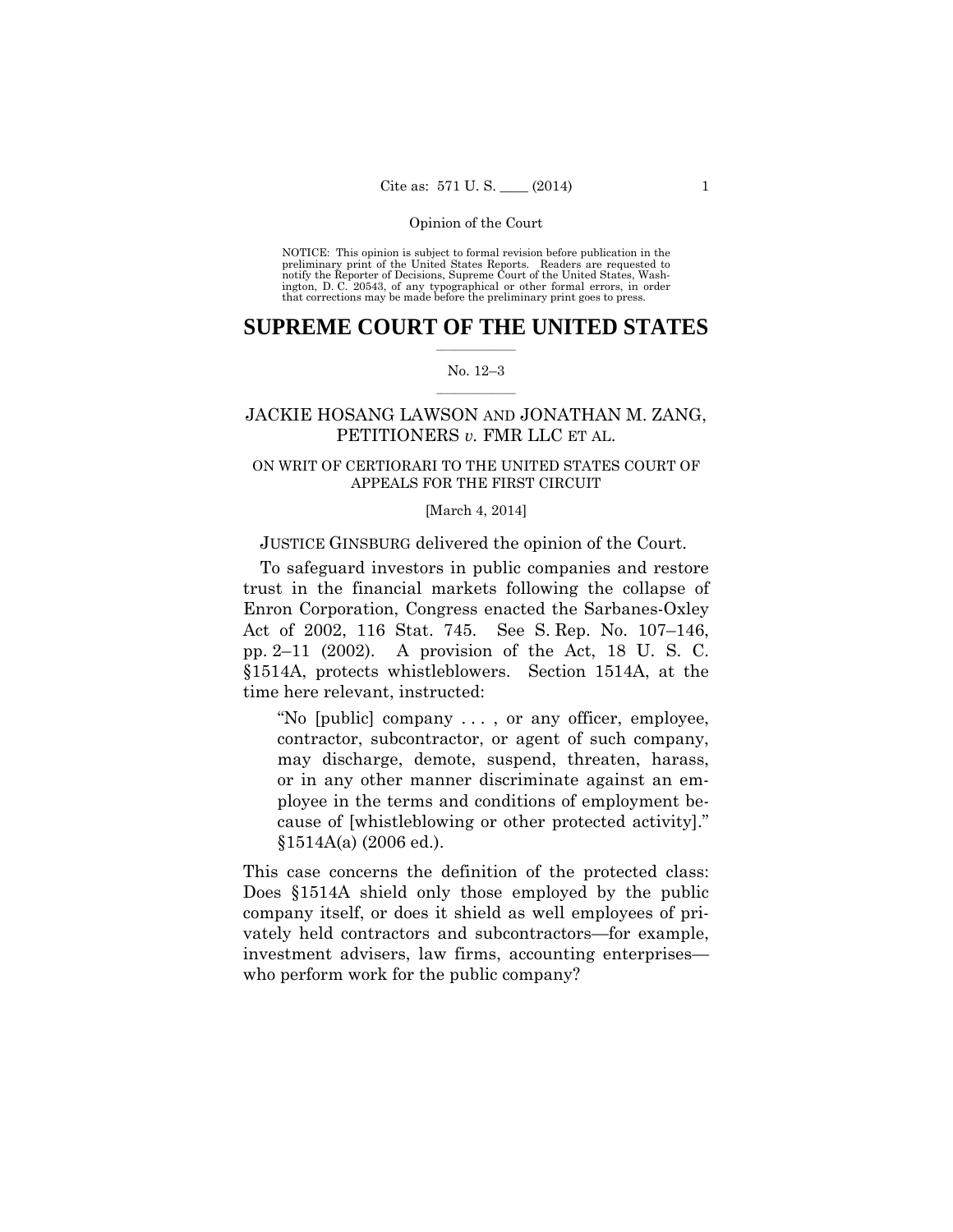NOTICE: This opinion is subject to formal revision before publication in the preliminary print of the United States Reports. Readers are requested to notify the Reporter of Decisions, Supreme Court of the United States, Washington, D. C. 20543, of any typographical or other formal errors, in order that corrections may be made before the preliminary print goes to press.

# **SUPREME COURT OF THE UNITED STATES**  $\frac{1}{2}$  ,  $\frac{1}{2}$  ,  $\frac{1}{2}$  ,  $\frac{1}{2}$  ,  $\frac{1}{2}$  ,  $\frac{1}{2}$  ,  $\frac{1}{2}$

#### No. 12–3  $\frac{1}{2}$  ,  $\frac{1}{2}$  ,  $\frac{1}{2}$  ,  $\frac{1}{2}$  ,  $\frac{1}{2}$  ,  $\frac{1}{2}$

# JACKIE HOSANG LAWSON AND JONATHAN M. ZANG, PETITIONERS *v.* FMR LLC ET AL.

# ON WRIT OF CERTIORARI TO THE UNITED STATES COURT OF APPEALS FOR THE FIRST CIRCUIT

#### [March 4, 2014]

# JUSTICE GINSBURG delivered the opinion of the Court.

 To safeguard investors in public companies and restore trust in the financial markets following the collapse of Enron Corporation, Congress enacted the Sarbanes-Oxley Act of 2002, 116 Stat. 745. See S. Rep. No. 107–146, pp. 2–11 (2002). A provision of the Act, 18 U. S. C. §1514A, protects whistleblowers. Section 1514A, at the time here relevant, instructed:

"No [public] company . . . , or any officer, employee, contractor, subcontractor, or agent of such company, may discharge, demote, suspend, threaten, harass, or in any other manner discriminate against an employee in the terms and conditions of employment because of [whistleblowing or other protected activity]." §1514A(a) (2006 ed.).

This case concerns the definition of the protected class: Does §1514A shield only those employed by the public company itself, or does it shield as well employees of privately held contractors and subcontractors—for example, investment advisers, law firms, accounting enterprises who perform work for the public company?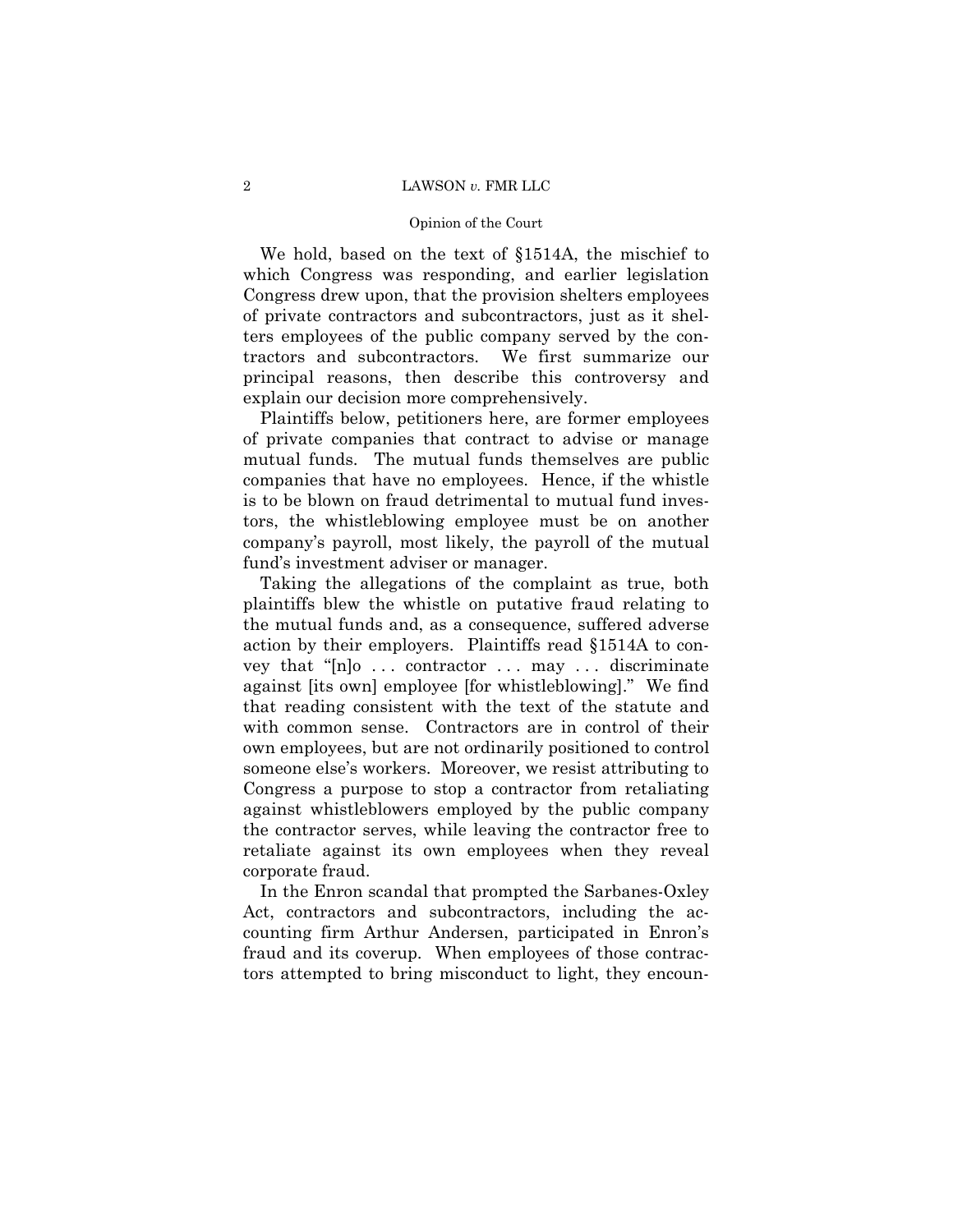#### Opinion of the Court

We hold, based on the text of §1514A, the mischief to which Congress was responding, and earlier legislation Congress drew upon, that the provision shelters employees of private contractors and subcontractors, just as it shelters employees of the public company served by the contractors and subcontractors. We first summarize our principal reasons, then describe this controversy and explain our decision more comprehensively.

Plaintiffs below, petitioners here, are former employees of private companies that contract to advise or manage mutual funds. The mutual funds themselves are public companies that have no employees. Hence, if the whistle is to be blown on fraud detrimental to mutual fund investors, the whistleblowing employee must be on another company's payroll, most likely, the payroll of the mutual fund's investment adviser or manager.

Taking the allegations of the complaint as true, both plaintiffs blew the whistle on putative fraud relating to the mutual funds and, as a consequence, suffered adverse action by their employers. Plaintiffs read §1514A to convey that "[n]o ... contractor ... may ... discriminate against [its own] employee [for whistleblowing]." We find that reading consistent with the text of the statute and with common sense. Contractors are in control of their own employees, but are not ordinarily positioned to control someone else's workers. Moreover, we resist attributing to Congress a purpose to stop a contractor from retaliating against whistleblowers employed by the public company the contractor serves, while leaving the contractor free to retaliate against its own employees when they reveal corporate fraud.

In the Enron scandal that prompted the Sarbanes-Oxley Act, contractors and subcontractors, including the accounting firm Arthur Andersen, participated in Enron's fraud and its coverup. When employees of those contractors attempted to bring misconduct to light, they encoun-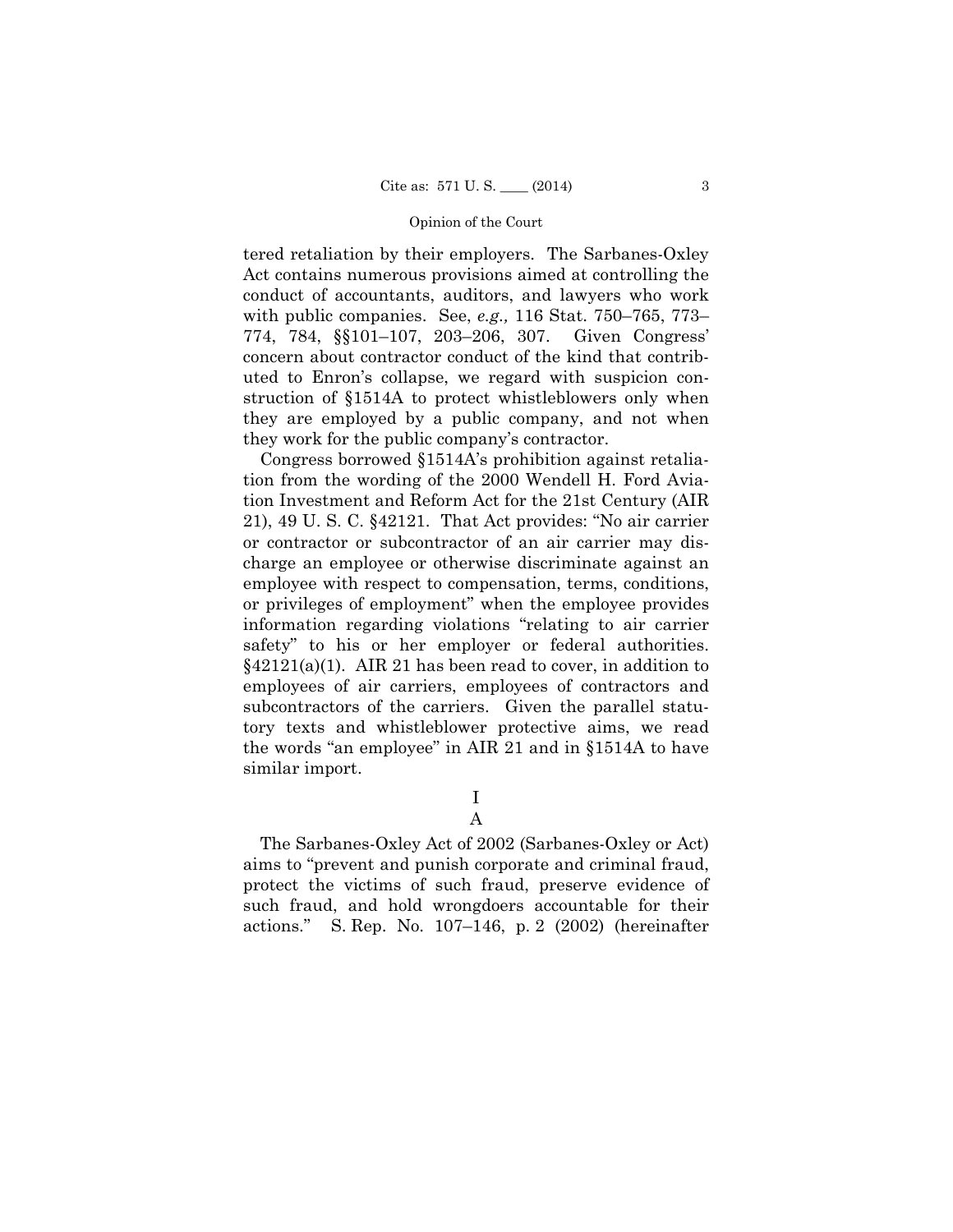tered retaliation by their employers. The Sarbanes-Oxley Act contains numerous provisions aimed at controlling the conduct of accountants, auditors, and lawyers who work with public companies. See, *e.g.,* 116 Stat. 750–765, 773– 774, 784, §§101–107, 203–206, 307. Given Congress' concern about contractor conduct of the kind that contributed to Enron's collapse, we regard with suspicion construction of §1514A to protect whistleblowers only when they are employed by a public company, and not when they work for the public company's contractor.

Congress borrowed §1514A's prohibition against retaliation from the wording of the 2000 Wendell H. Ford Aviation Investment and Reform Act for the 21st Century (AIR 21), 49 U. S. C. §42121. That Act provides: "No air carrier or contractor or subcontractor of an air carrier may discharge an employee or otherwise discriminate against an employee with respect to compensation, terms, conditions, or privileges of employment" when the employee provides information regarding violations "relating to air carrier safety" to his or her employer or federal authorities.  $§42121(a)(1)$ . AIR 21 has been read to cover, in addition to employees of air carriers, employees of contractors and subcontractors of the carriers. Given the parallel statutory texts and whistleblower protective aims, we read the words "an employee" in AIR 21 and in §1514A to have similar import.

I

A

The Sarbanes-Oxley Act of 2002 (Sarbanes-Oxley or Act) aims to "prevent and punish corporate and criminal fraud, protect the victims of such fraud, preserve evidence of such fraud, and hold wrongdoers accountable for their actions." S. Rep. No. 107–146, p. 2 (2002) (hereinafter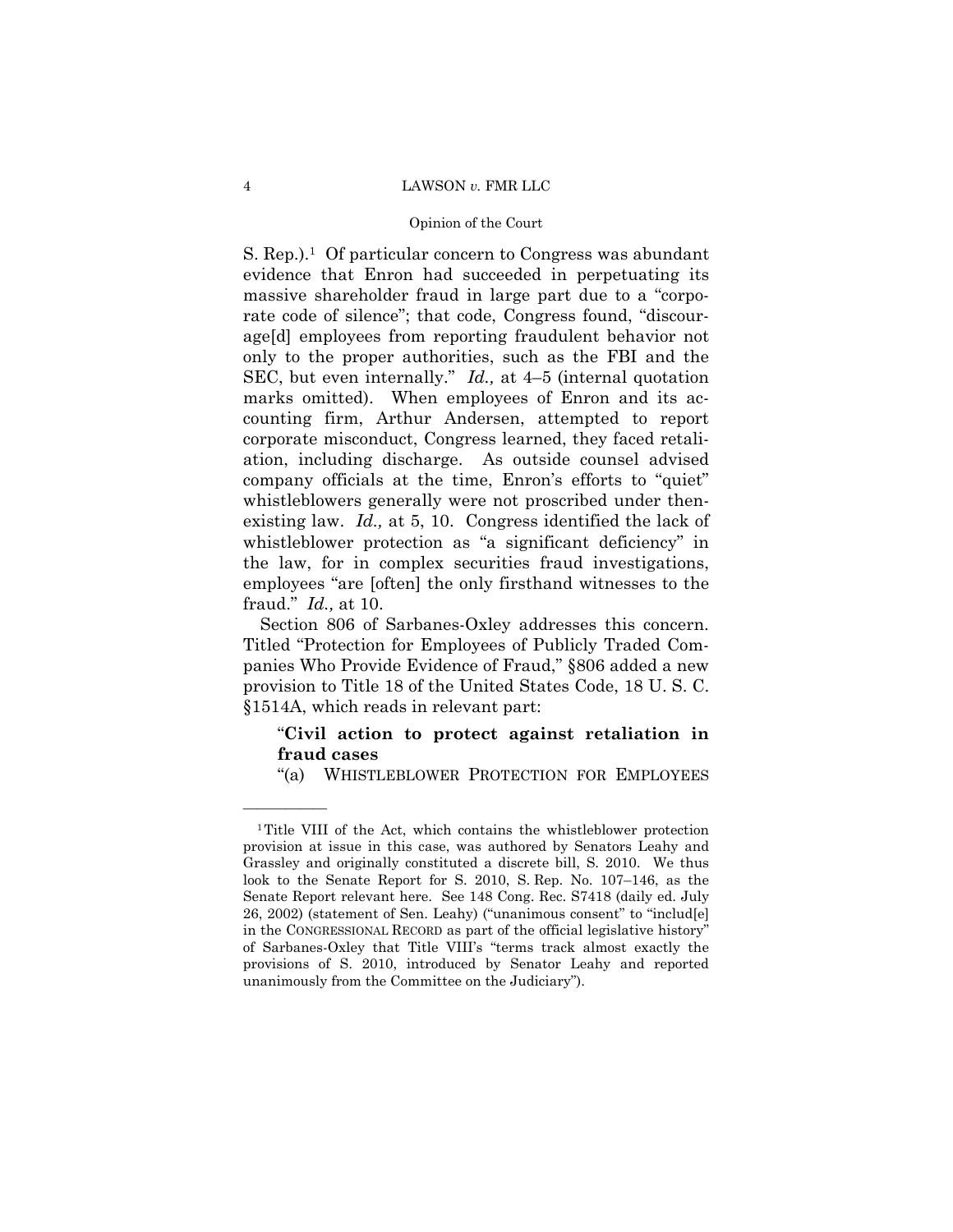#### Opinion of the Court

S. Rep.).<sup>1</sup> Of particular concern to Congress was abundant evidence that Enron had succeeded in perpetuating its massive shareholder fraud in large part due to a "corporate code of silence"; that code, Congress found, "discourage[d] employees from reporting fraudulent behavior not only to the proper authorities, such as the FBI and the SEC, but even internally." *Id.,* at 4–5 (internal quotation marks omitted). When employees of Enron and its accounting firm, Arthur Andersen, attempted to report corporate misconduct, Congress learned, they faced retaliation, including discharge. As outside counsel advised company officials at the time, Enron's efforts to "quiet" whistleblowers generally were not proscribed under thenexisting law. *Id.,* at 5, 10. Congress identified the lack of whistleblower protection as "a significant deficiency" in the law, for in complex securities fraud investigations, employees "are [often] the only firsthand witnesses to the fraud." *Id.,* at 10.

Section 806 of Sarbanes-Oxley addresses this concern. Titled "Protection for Employees of Publicly Traded Companies Who Provide Evidence of Fraud," §806 added a new provision to Title 18 of the United States Code, 18 U. S. C. §1514A, which reads in relevant part:

# "**Civil action to protect against retaliation in fraud cases**

"(a) WHISTLEBLOWER PROTECTION FOR EMPLOYEES

<sup>1</sup>Title VIII of the Act, which contains the whistleblower protection provision at issue in this case, was authored by Senators Leahy and Grassley and originally constituted a discrete bill, S. 2010. We thus look to the Senate Report for S. 2010, S. Rep. No. 107–146, as the Senate Report relevant here. See 148 Cong. Rec. S7418 (daily ed. July 26, 2002) (statement of Sen. Leahy) ("unanimous consent" to "includ[e] in the CONGRESSIONAL RECORD as part of the official legislative history" of Sarbanes-Oxley that Title VIII's "terms track almost exactly the provisions of S. 2010, introduced by Senator Leahy and reported unanimously from the Committee on the Judiciary").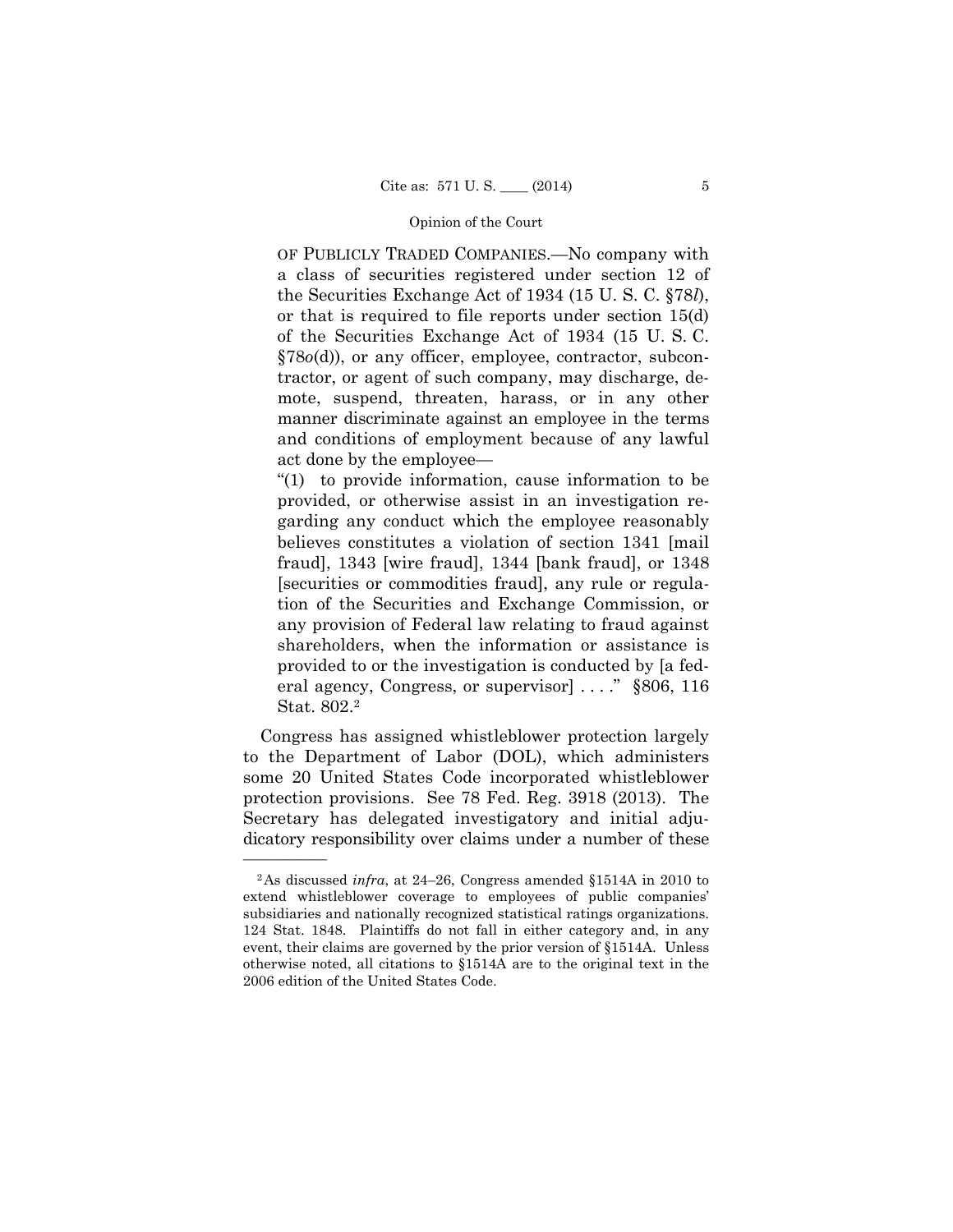OF PUBLICLY TRADED COMPANIES.—No company with a class of securities registered under section 12 of the Securities Exchange Act of 1934 (15 U. S. C. §78*l*), or that is required to file reports under section 15(d) of the Securities Exchange Act of 1934 (15 U. S. C. §78*o*(d)), or any officer, employee, contractor, subcontractor, or agent of such company, may discharge, demote, suspend, threaten, harass, or in any other manner discriminate against an employee in the terms and conditions of employment because of any lawful act done by the employee—

"(1) to provide information, cause information to be provided, or otherwise assist in an investigation regarding any conduct which the employee reasonably believes constitutes a violation of section 1341 [mail fraud], 1343 [wire fraud], 1344 [bank fraud], or 1348 [securities or commodities fraud], any rule or regulation of the Securities and Exchange Commission, or any provision of Federal law relating to fraud against shareholders, when the information or assistance is provided to or the investigation is conducted by [a federal agency, Congress, or supervisor] . . . ." §806, 116 Stat. 802.2

Congress has assigned whistleblower protection largely to the Department of Labor (DOL), which administers some 20 United States Code incorporated whistleblower protection provisions. See 78 Fed. Reg. 3918 (2013). The Secretary has delegated investigatory and initial adjudicatory responsibility over claims under a number of these

<sup>2</sup>As discussed *infra*, at 24–26, Congress amended §1514A in 2010 to extend whistleblower coverage to employees of public companies' subsidiaries and nationally recognized statistical ratings organizations. 124 Stat. 1848. Plaintiffs do not fall in either category and, in any event, their claims are governed by the prior version of §1514A. Unless otherwise noted, all citations to §1514A are to the original text in the 2006 edition of the United States Code.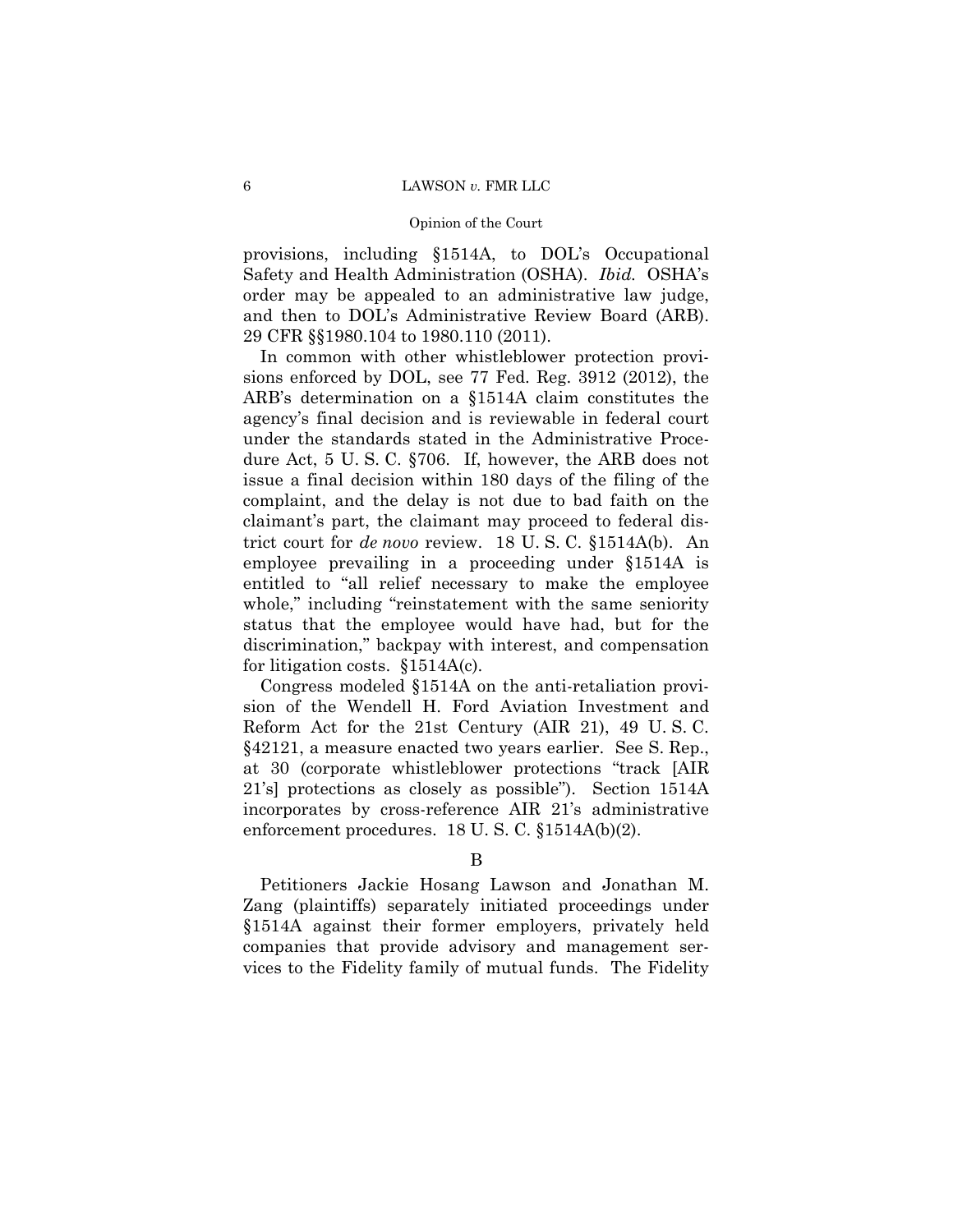provisions, including §1514A, to DOL's Occupational Safety and Health Administration (OSHA). *Ibid.* OSHA's order may be appealed to an administrative law judge, and then to DOL's Administrative Review Board (ARB). 29 CFR §§1980.104 to 1980.110 (2011).

In common with other whistleblower protection provisions enforced by DOL, see 77 Fed. Reg. 3912 (2012), the ARB's determination on a §1514A claim constitutes the agency's final decision and is reviewable in federal court under the standards stated in the Administrative Procedure Act, 5 U. S. C. §706. If, however, the ARB does not issue a final decision within 180 days of the filing of the complaint, and the delay is not due to bad faith on the claimant's part, the claimant may proceed to federal district court for *de novo* review. 18 U. S. C. §1514A(b). An employee prevailing in a proceeding under §1514A is entitled to "all relief necessary to make the employee whole," including "reinstatement with the same seniority status that the employee would have had, but for the discrimination," backpay with interest, and compensation for litigation costs. §1514A(c).

Congress modeled §1514A on the anti-retaliation provision of the Wendell H. Ford Aviation Investment and Reform Act for the 21st Century (AIR 21), 49 U. S. C. §42121, a measure enacted two years earlier. See S. Rep., at 30 (corporate whistleblower protections "track [AIR 21's] protections as closely as possible"). Section 1514A incorporates by cross-reference AIR 21's administrative enforcement procedures. 18 U. S. C. §1514A(b)(2).

B

Petitioners Jackie Hosang Lawson and Jonathan M. Zang (plaintiffs) separately initiated proceedings under §1514A against their former employers, privately held companies that provide advisory and management services to the Fidelity family of mutual funds. The Fidelity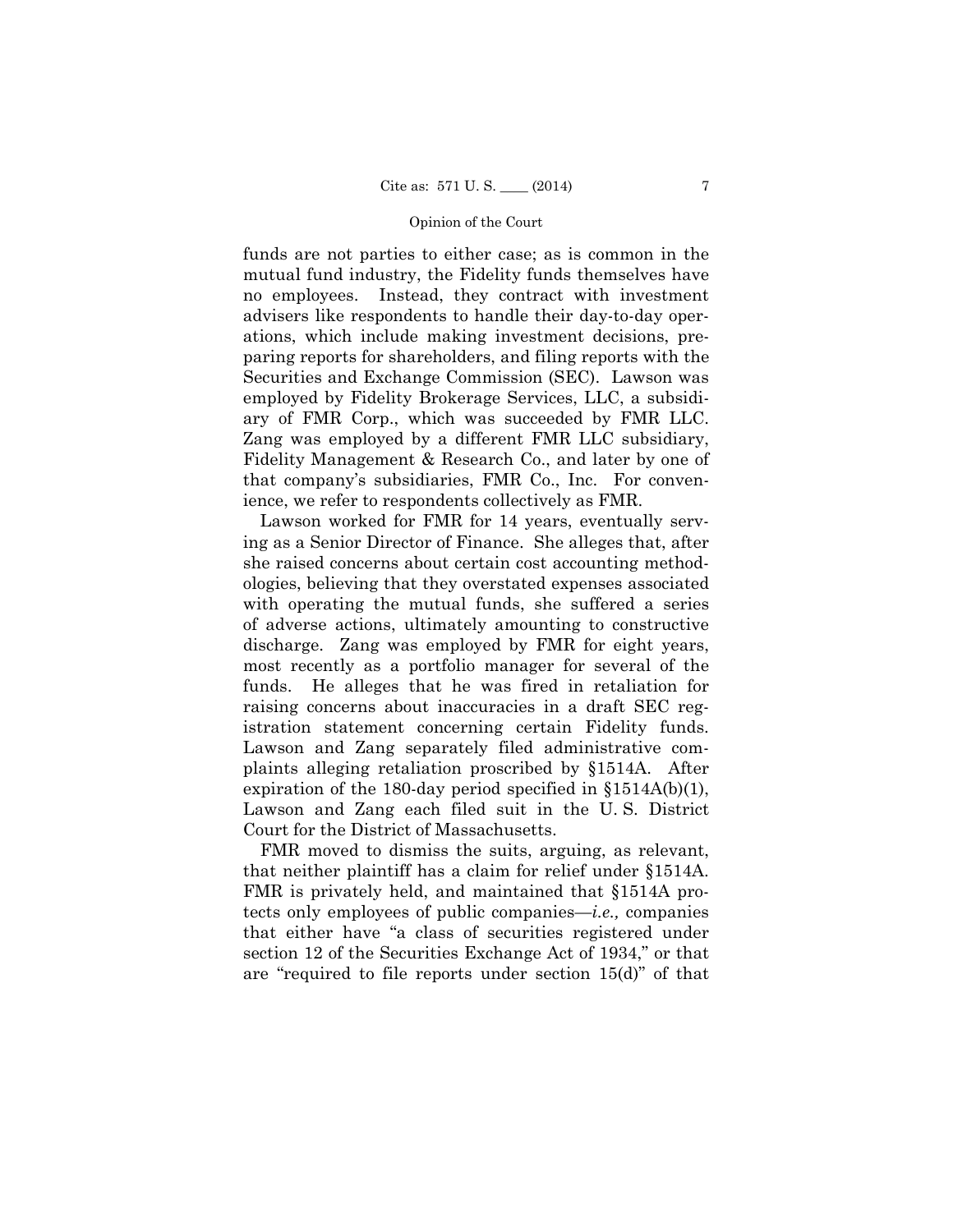funds are not parties to either case; as is common in the mutual fund industry, the Fidelity funds themselves have no employees. Instead, they contract with investment advisers like respondents to handle their day-to-day operations, which include making investment decisions, preparing reports for shareholders, and filing reports with the Securities and Exchange Commission (SEC). Lawson was employed by Fidelity Brokerage Services, LLC, a subsidiary of FMR Corp., which was succeeded by FMR LLC. Zang was employed by a different FMR LLC subsidiary, Fidelity Management & Research Co., and later by one of that company's subsidiaries, FMR Co., Inc. For convenience, we refer to respondents collectively as FMR.

Lawson worked for FMR for 14 years, eventually serving as a Senior Director of Finance. She alleges that, after she raised concerns about certain cost accounting methodologies, believing that they overstated expenses associated with operating the mutual funds, she suffered a series of adverse actions, ultimately amounting to constructive discharge. Zang was employed by FMR for eight years, most recently as a portfolio manager for several of the funds. He alleges that he was fired in retaliation for raising concerns about inaccuracies in a draft SEC registration statement concerning certain Fidelity funds. Lawson and Zang separately filed administrative complaints alleging retaliation proscribed by §1514A. After expiration of the 180-day period specified in §1514A(b)(1), Lawson and Zang each filed suit in the U. S. District Court for the District of Massachusetts.

FMR moved to dismiss the suits, arguing, as relevant, that neither plaintiff has a claim for relief under §1514A. FMR is privately held, and maintained that §1514A protects only employees of public companies—*i.e.,* companies that either have "a class of securities registered under section 12 of the Securities Exchange Act of 1934," or that are "required to file reports under section 15(d)" of that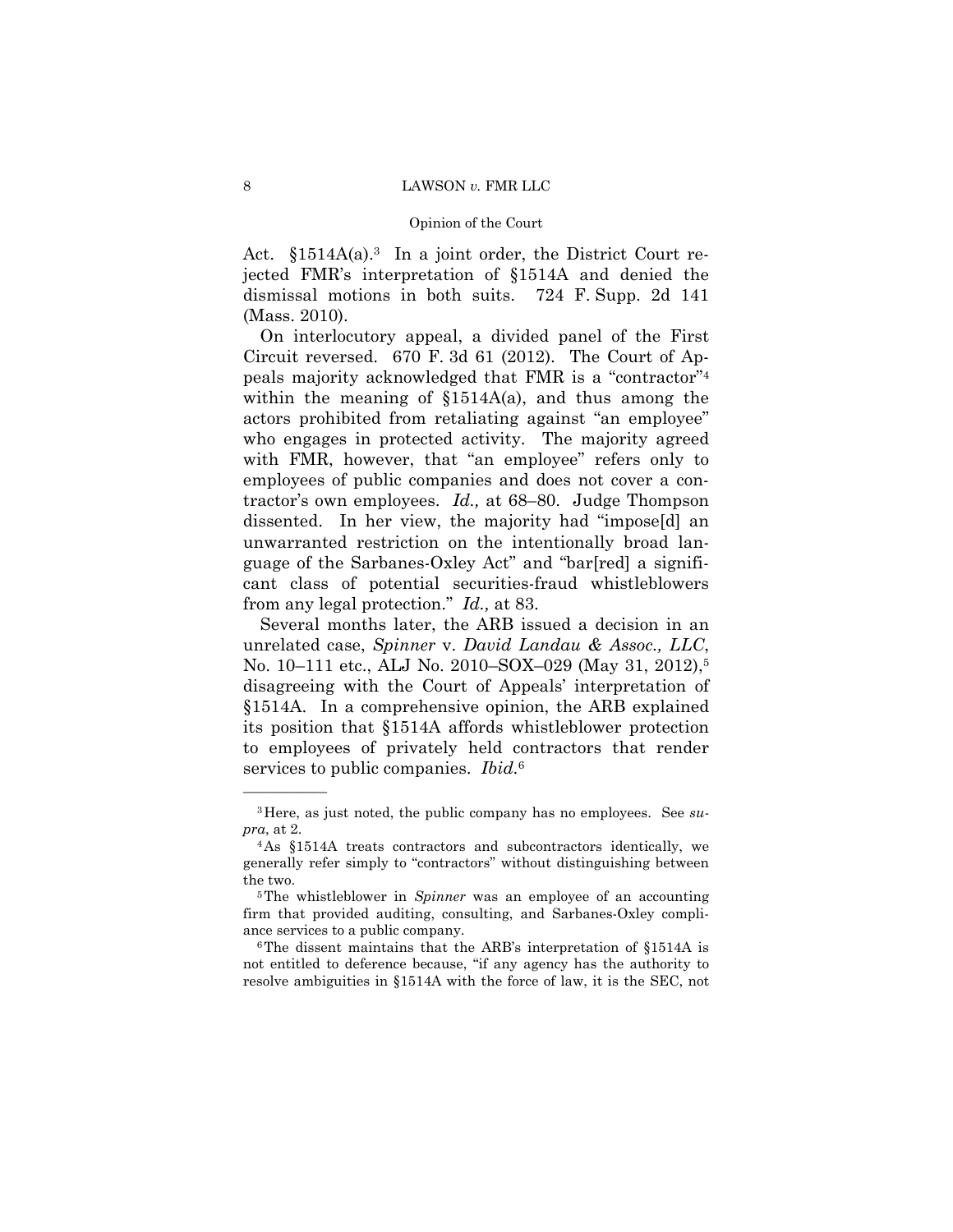Act.  $$1514A(a).$ <sup>3</sup> In a joint order, the District Court rejected FMR's interpretation of §1514A and denied the dismissal motions in both suits. 724 F. Supp. 2d 141 (Mass. 2010).

On interlocutory appeal, a divided panel of the First Circuit reversed. 670 F. 3d 61 (2012). The Court of Appeals majority acknowledged that FMR is a "contractor"4 within the meaning of  $$1514A(a)$ , and thus among the actors prohibited from retaliating against "an employee" who engages in protected activity. The majority agreed with FMR, however, that "an employee" refers only to employees of public companies and does not cover a contractor's own employees. *Id.,* at 68–80. Judge Thompson dissented. In her view, the majority had "impose[d] an unwarranted restriction on the intentionally broad language of the Sarbanes-Oxley Act" and "bar[red] a significant class of potential securities-fraud whistleblowers from any legal protection." *Id.,* at 83.

Several months later, the ARB issued a decision in an unrelated case, *Spinner* v. *David Landau & Assoc., LLC*, No. 10–111 etc., ALJ No. 2010–SOX–029 (May 31, 2012),5 disagreeing with the Court of Appeals' interpretation of §1514A. In a comprehensive opinion, the ARB explained its position that §1514A affords whistleblower protection to employees of privately held contractors that render services to public companies. *Ibid.*<sup>6</sup>

not entitled to deference because, "if any agency has the authority to resolve ambiguities in §1514A with the force of law, it is the SEC, not

<sup>3</sup>Here, as just noted, the public company has no employees. See *supra*, at 2.

<sup>4</sup>As §1514A treats contractors and subcontractors identically, we generally refer simply to "contractors" without distinguishing between

the two. 5The whistleblower in *Spinner* was an employee of an accounting firm that provided auditing, consulting, and Sarbanes-Oxley compliance services to a public company.<br><sup>6</sup>The dissent maintains that the ARB's interpretation of §1514A is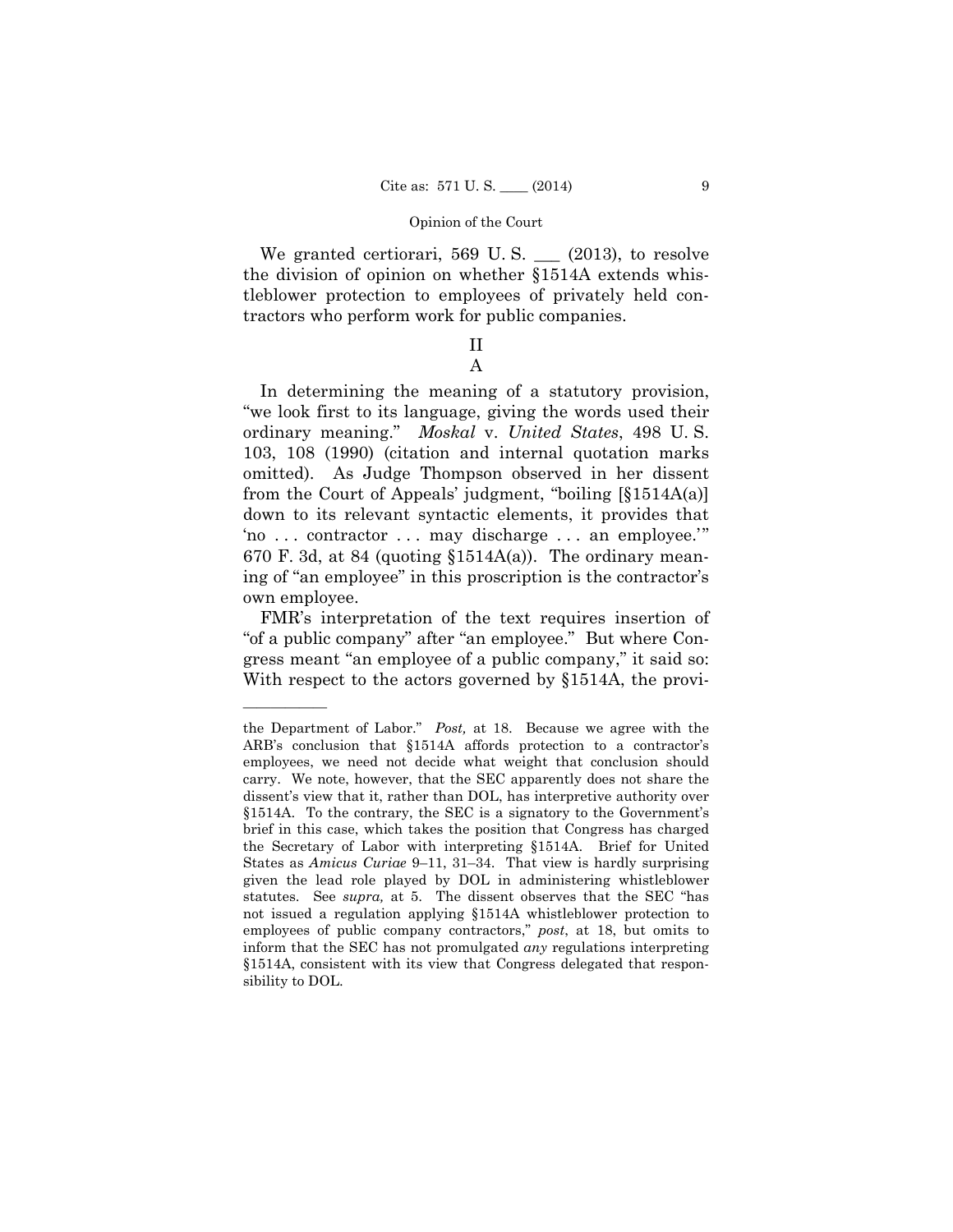We granted certiorari, 569 U.S.  $\_\_$  (2013), to resolve the division of opinion on whether §1514A extends whistleblower protection to employees of privately held contractors who perform work for public companies.

# II A

 ordinary meaning." *Moskal* v. *United States*, 498 U. S. In determining the meaning of a statutory provision, "we look first to its language, giving the words used their 103, 108 (1990) (citation and internal quotation marks omitted). As Judge Thompson observed in her dissent from the Court of Appeals' judgment, "boiling [§1514A(a)] down to its relevant syntactic elements, it provides that 'no . . . contractor . . . may discharge . . . an employee.'" 670 F. 3d, at 84 (quoting  $$1514A(a)$ ). The ordinary meaning of "an employee" in this proscription is the contractor's own employee.

FMR's interpretation of the text requires insertion of "of a public company" after "an employee." But where Congress meant "an employee of a public company," it said so: With respect to the actors governed by §1514A, the provi-

the Department of Labor." *Post,* at 18. Because we agree with the ARB's conclusion that §1514A affords protection to a contractor's employees, we need not decide what weight that conclusion should carry. We note, however, that the SEC apparently does not share the dissent's view that it, rather than DOL, has interpretive authority over §1514A. To the contrary, the SEC is a signatory to the Government's brief in this case, which takes the position that Congress has charged the Secretary of Labor with interpreting §1514A. Brief for United States as *Amicus Curiae* 9–11, 31–34. That view is hardly surprising given the lead role played by DOL in administering whistleblower statutes. See *supra,* at 5. The dissent observes that the SEC "has not issued a regulation applying §1514A whistleblower protection to employees of public company contractors," *post*, at 18, but omits to inform that the SEC has not promulgated *any* regulations interpreting §1514A, consistent with its view that Congress delegated that responsibility to DOL.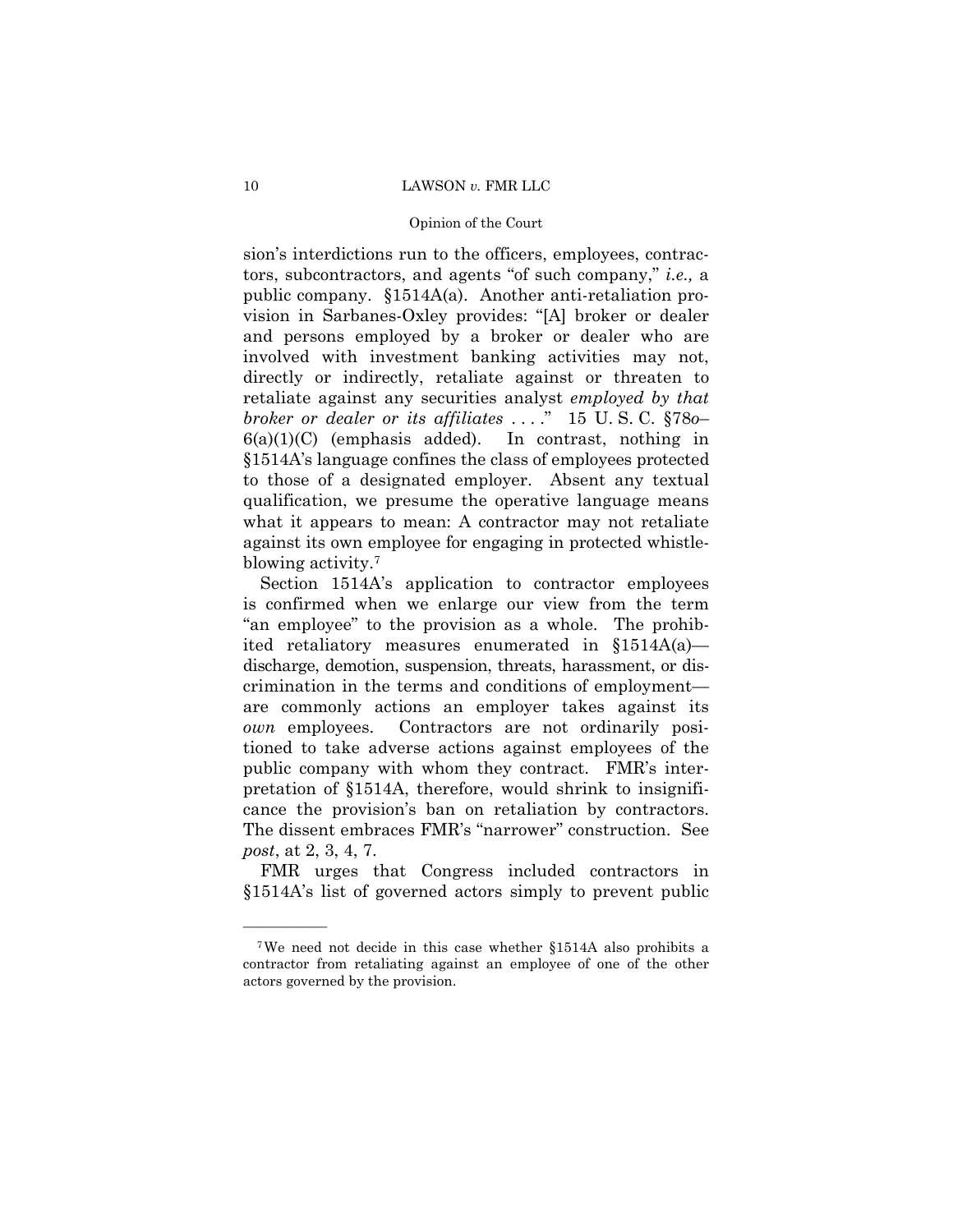#### Opinion of the Court

sion's interdictions run to the officers, employees, contractors, subcontractors, and agents "of such company," *i.e.,* a public company. §1514A(a). Another anti-retaliation provision in Sarbanes-Oxley provides: "[A] broker or dealer and persons employed by a broker or dealer who are involved with investment banking activities may not, directly or indirectly, retaliate against or threaten to retaliate against any securities analyst *employed by that broker or dealer or its affiliates* . . . ." 15 U. S. C. §78*o*–  $6(a)(1)(C)$  (emphasis added). In contrast, nothing in §1514A's language confines the class of employees protected to those of a designated employer. Absent any textual qualification, we presume the operative language means what it appears to mean: A contractor may not retaliate against its own employee for engaging in protected whistleblowing activity.<sup>7</sup>

 cance the provision's ban on retaliation by contractors. Section 1514A's application to contractor employees is confirmed when we enlarge our view from the term "an employee" to the provision as a whole. The prohibited retaliatory measures enumerated in §1514A(a) discharge, demotion, suspension, threats, harassment, or discrimination in the terms and conditions of employment are commonly actions an employer takes against its *own* employees. Contractors are not ordinarily positioned to take adverse actions against employees of the public company with whom they contract. FMR's interpretation of §1514A, therefore, would shrink to insignifi-The dissent embraces FMR's "narrower" construction. See *post*, at 2, 3, 4, 7.

FMR urges that Congress included contractors in §1514A's list of governed actors simply to prevent public

<sup>7</sup>We need not decide in this case whether §1514A also prohibits a contractor from retaliating against an employee of one of the other actors governed by the provision.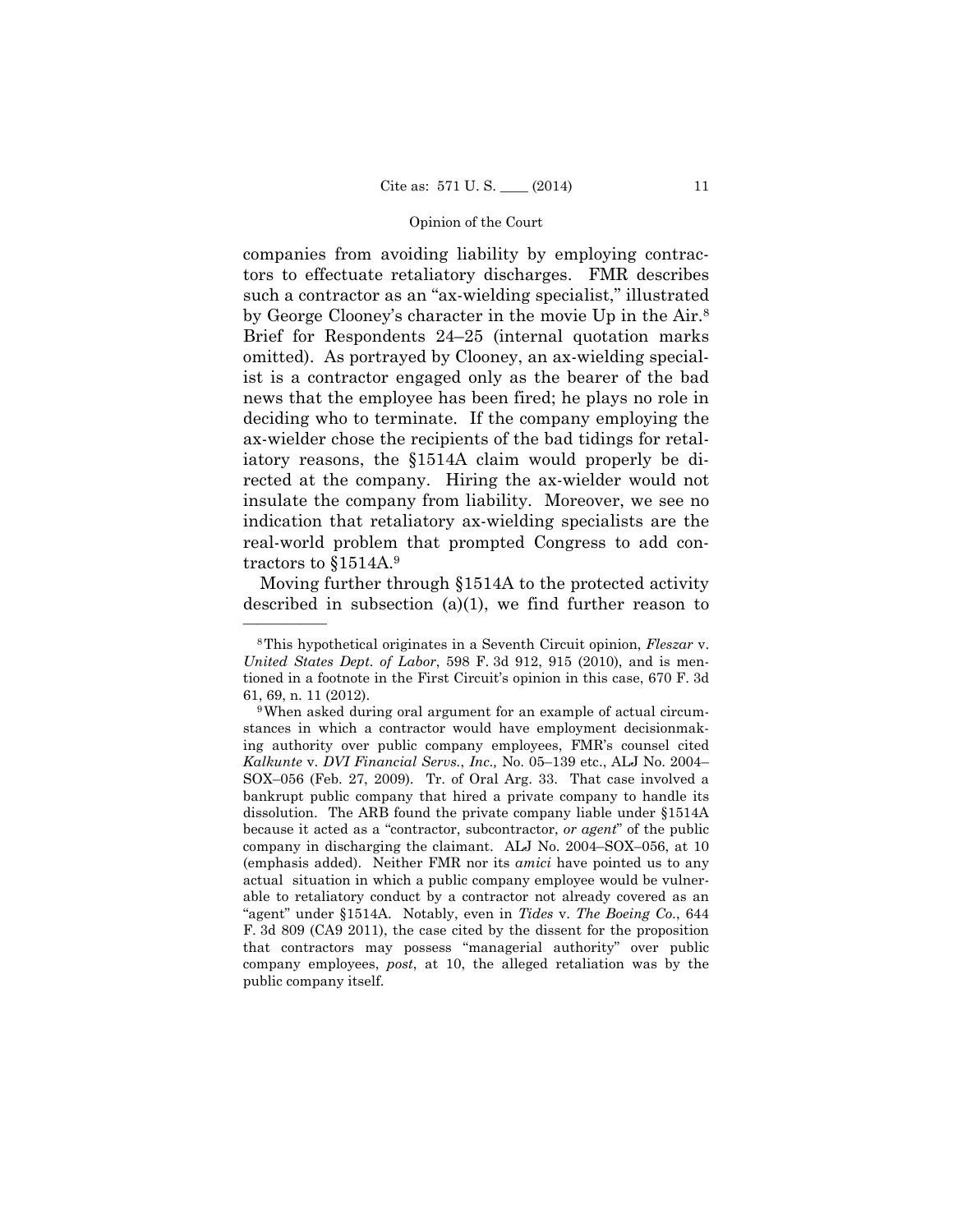by George Clooney's character in the movie Up in the Air.8 companies from avoiding liability by employing contractors to effectuate retaliatory discharges. FMR describes such a contractor as an "ax-wielding specialist," illustrated Brief for Respondents 24–25 (internal quotation marks omitted). As portrayed by Clooney, an ax-wielding specialist is a contractor engaged only as the bearer of the bad news that the employee has been fired; he plays no role in deciding who to terminate. If the company employing the ax-wielder chose the recipients of the bad tidings for retaliatory reasons, the §1514A claim would properly be directed at the company. Hiring the ax-wielder would not insulate the company from liability. Moreover, we see no indication that retaliatory ax-wielding specialists are the real-world problem that prompted Congress to add contractors to §1514A.9

Moving further through §1514A to the protected activity described in subsection (a)(1), we find further reason to

<sup>8</sup>This hypothetical originates in a Seventh Circuit opinion, *Fleszar* v. *United States Dept. of Labor*, 598 F. 3d 912, 915 (2010), and is mentioned in a footnote in the First Circuit's opinion in this case, 670 F. 3d

<sup>61, 69,</sup> n. 11 (2012).<br><sup>9</sup>When asked during oral argument for an example of actual circumstances in which a contractor would have employment decisionmaking authority over public company employees, FMR's counsel cited *Kalkunte* v. *DVI Financial Servs.*, *Inc.,* No. 05–139 etc., ALJ No. 2004– SOX–056 (Feb. 27, 2009). Tr. of Oral Arg. 33. That case involved a bankrupt public company that hired a private company to handle its dissolution. The ARB found the private company liable under §1514A because it acted as a "contractor, subcontractor, *or agent*" of the public company in discharging the claimant. ALJ No. 2004–SOX–056, at 10 (emphasis added). Neither FMR nor its *amici* have pointed us to any actual situation in which a public company employee would be vulnerable to retaliatory conduct by a contractor not already covered as an "agent" under §1514A. Notably, even in *Tides* v. *The Boeing Co.*, 644 F. 3d 809 (CA9 2011), the case cited by the dissent for the proposition that contractors may possess "managerial authority" over public company employees, *post*, at 10, the alleged retaliation was by the public company itself.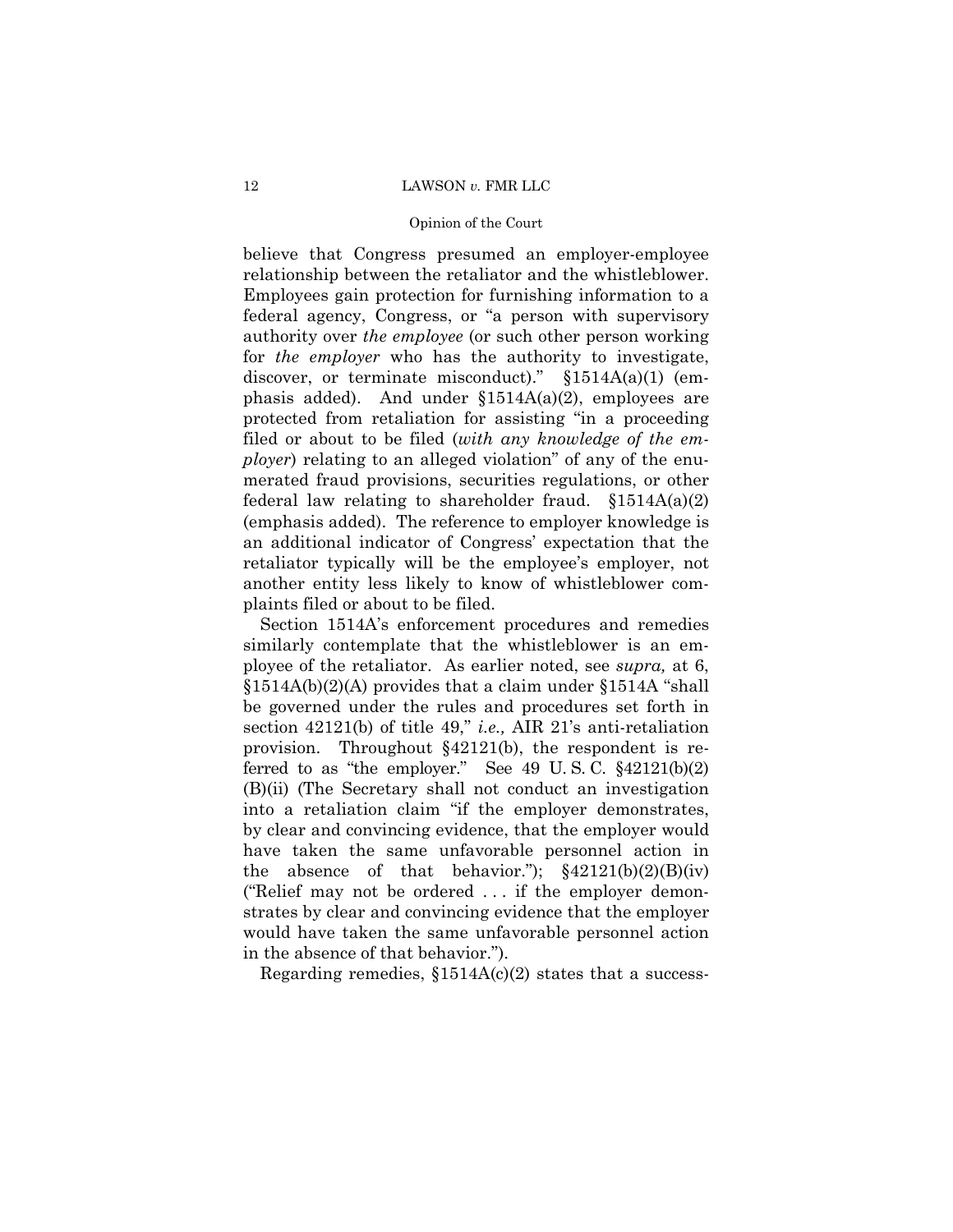#### Opinion of the Court

believe that Congress presumed an employer-employee relationship between the retaliator and the whistleblower. Employees gain protection for furnishing information to a federal agency, Congress, or "a person with supervisory authority over *the employee* (or such other person working for *the employer* who has the authority to investigate, discover, or terminate misconduct)."  $\S 1514A(a)(1)$  (emphasis added). And under  $$1514A(a)(2)$ , employees are protected from retaliation for assisting "in a proceeding filed or about to be filed (*with any knowledge of the employer*) relating to an alleged violation" of any of the enumerated fraud provisions, securities regulations, or other federal law relating to shareholder fraud.  $$1514A(a)(2)$ (emphasis added). The reference to employer knowledge is an additional indicator of Congress' expectation that the retaliator typically will be the employee's employer, not another entity less likely to know of whistleblower complaints filed or about to be filed.

Section 1514A's enforcement procedures and remedies similarly contemplate that the whistleblower is an employee of the retaliator. As earlier noted, see *supra,* at 6, §1514A(b)(2)(A) provides that a claim under §1514A "shall be governed under the rules and procedures set forth in section 42121(b) of title 49," *i.e.,* AIR 21's anti-retaliation provision. Throughout §42121(b), the respondent is referred to as "the employer." See 49 U.S.C.  $\S 42121(b)(2)$ (B)(ii) (The Secretary shall not conduct an investigation into a retaliation claim "if the employer demonstrates, by clear and convincing evidence, that the employer would have taken the same unfavorable personnel action in the absence of that behavior.");  $\frac{642121(b)(2)(B)(iv)}{2}$ ("Relief may not be ordered . . . if the employer demonstrates by clear and convincing evidence that the employer would have taken the same unfavorable personnel action in the absence of that behavior.").

Regarding remedies,  $$1514A(c)(2)$  states that a success-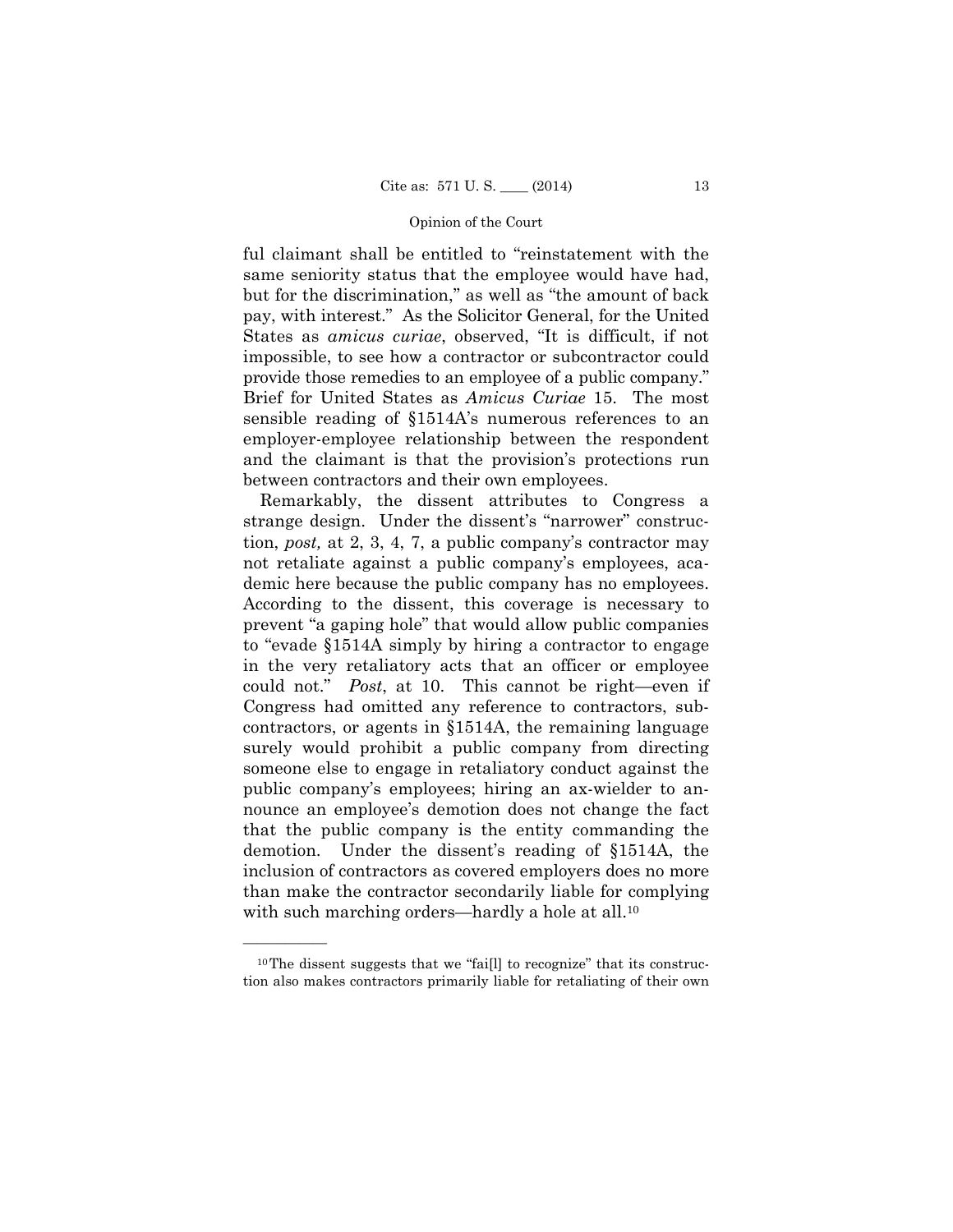pay, with interest." As the Solicitor General, for the United ful claimant shall be entitled to "reinstatement with the same seniority status that the employee would have had, but for the discrimination," as well as "the amount of back States as *amicus curiae*, observed, "It is difficult, if not impossible, to see how a contractor or subcontractor could provide those remedies to an employee of a public company." Brief for United States as *Amicus Curiae* 15. The most sensible reading of §1514A's numerous references to an employer-employee relationship between the respondent and the claimant is that the provision's protections run between contractors and their own employees.

 demic here because the public company has no employees. Remarkably, the dissent attributes to Congress a strange design. Under the dissent's "narrower" construction, *post,* at 2, 3, 4, 7, a public company's contractor may not retaliate against a public company's employees, aca-According to the dissent, this coverage is necessary to prevent "a gaping hole" that would allow public companies to "evade §1514A simply by hiring a contractor to engage in the very retaliatory acts that an officer or employee could not." *Post*, at 10. This cannot be right—even if Congress had omitted any reference to contractors, subcontractors, or agents in §1514A, the remaining language surely would prohibit a public company from directing someone else to engage in retaliatory conduct against the public company's employees; hiring an ax-wielder to announce an employee's demotion does not change the fact that the public company is the entity commanding the demotion. Under the dissent's reading of §1514A, the inclusion of contractors as covered employers does no more than make the contractor secondarily liable for complying with such marching orders—hardly a hole at all.<sup>10</sup>

<sup>10</sup>The dissent suggests that we "fai[l] to recognize" that its construction also makes contractors primarily liable for retaliating of their own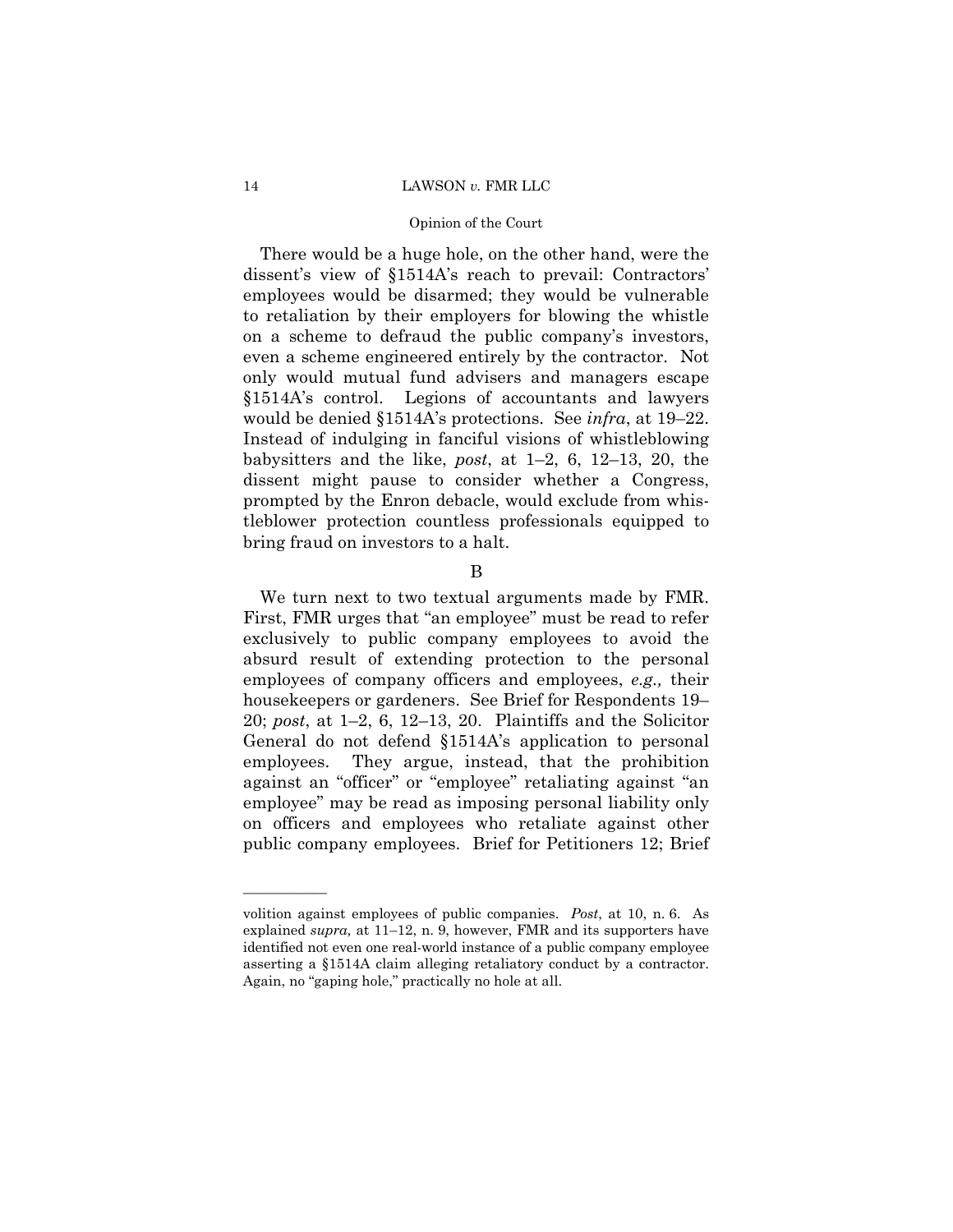#### Opinion of the Court

 would be denied §1514A's protections. See *infra*, at 19–22. Instead of indulging in fanciful visions of whistleblowing There would be a huge hole, on the other hand, were the dissent's view of §1514A's reach to prevail: Contractors' employees would be disarmed; they would be vulnerable to retaliation by their employers for blowing the whistle on a scheme to defraud the public company's investors, even a scheme engineered entirely by the contractor. Not only would mutual fund advisers and managers escape §1514A's control. Legions of accountants and lawyers babysitters and the like, *post*, at 1–2, 6, 12–13, 20, the dissent might pause to consider whether a Congress, prompted by the Enron debacle, would exclude from whistleblower protection countless professionals equipped to bring fraud on investors to a halt.

# B

 We turn next to two textual arguments made by FMR. First, FMR urges that "an employee" must be read to refer exclusively to public company employees to avoid the absurd result of extending protection to the personal employees of company officers and employees, *e.g.,* their housekeepers or gardeners. See Brief for Respondents 19– 20; *post*, at 1–2, 6, 12–13, 20. Plaintiffs and the Solicitor General do not defend §1514A's application to personal employees. They argue, instead, that the prohibition against an "officer" or "employee" retaliating against "an employee" may be read as imposing personal liability only on officers and employees who retaliate against other public company employees. Brief for Petitioners 12; Brief

 asserting a §1514A claim alleging retaliatory conduct by a contractor. volition against employees of public companies. *Post*, at 10, n. 6. As explained *supra,* at 11–12, n. 9, however, FMR and its supporters have identified not even one real-world instance of a public company employee Again, no "gaping hole," practically no hole at all.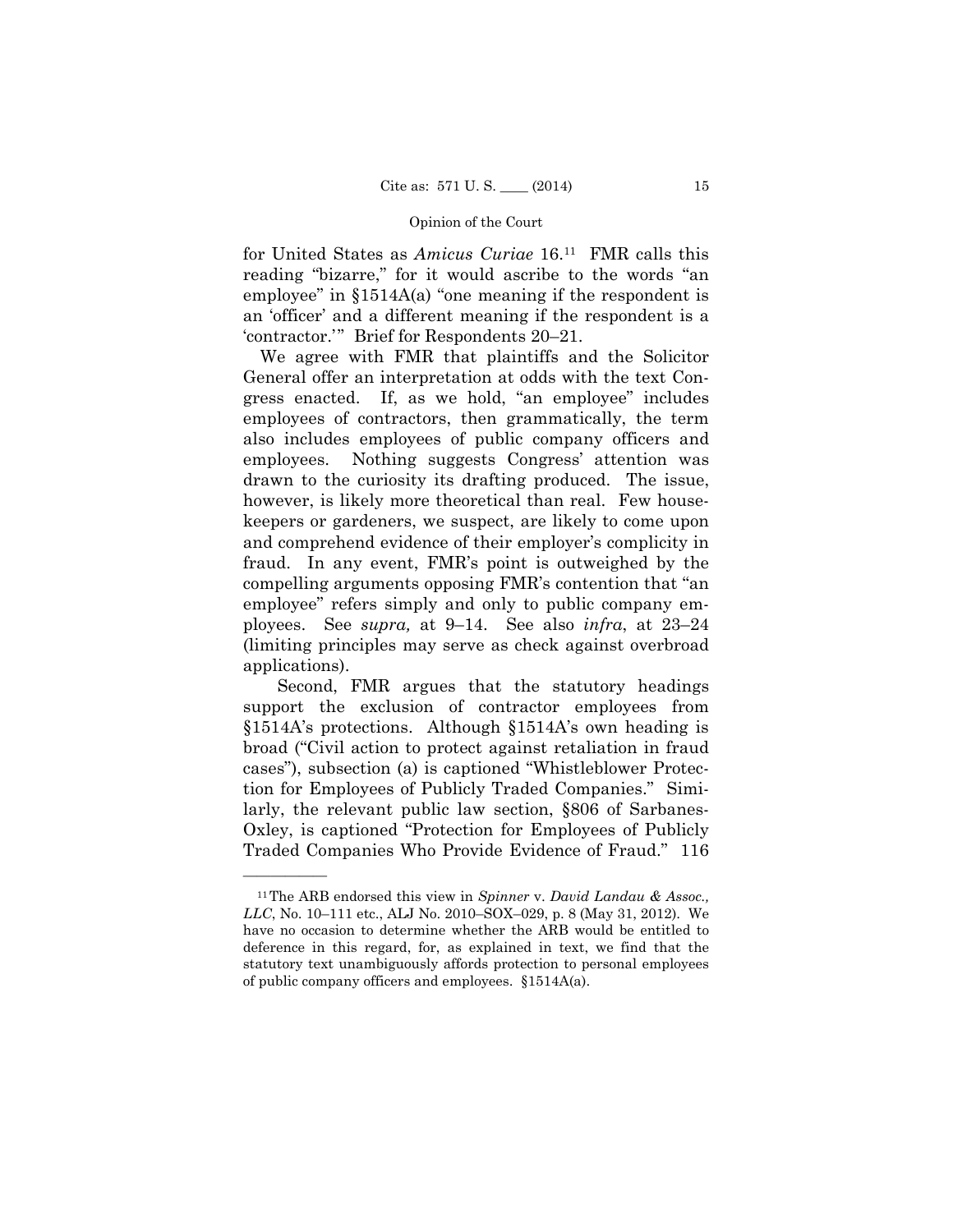for United States as *Amicus Curiae* 16.11 FMR calls this reading "bizarre," for it would ascribe to the words "an employee" in §1514A(a) "one meaning if the respondent is an 'officer' and a different meaning if the respondent is a 'contractor.'" Brief for Respondents 20–21.

We agree with FMR that plaintiffs and the Solicitor General offer an interpretation at odds with the text Congress enacted. If, as we hold, "an employee" includes employees of contractors, then grammatically, the term also includes employees of public company officers and employees. Nothing suggests Congress' attention was drawn to the curiosity its drafting produced. The issue, however, is likely more theoretical than real. Few housekeepers or gardeners, we suspect, are likely to come upon and comprehend evidence of their employer's complicity in fraud. In any event, FMR's point is outweighed by the compelling arguments opposing FMR's contention that "an employee" refers simply and only to public company employees. See *supra,* at 9–14. See also *infra*, at 23–24 (limiting principles may serve as check against overbroad applications).

Second, FMR argues that the statutory headings support the exclusion of contractor employees from §1514A's protections. Although §1514A's own heading is broad ("Civil action to protect against retaliation in fraud cases"), subsection (a) is captioned "Whistleblower Protection for Employees of Publicly Traded Companies." Similarly, the relevant public law section, §806 of Sarbanes-Oxley, is captioned "Protection for Employees of Publicly Traded Companies Who Provide Evidence of Fraud." 116

<sup>11</sup>The ARB endorsed this view in *Spinner* v. *David Landau & Assoc., LLC*, No. 10–111 etc., ALJ No. 2010–SOX–029, p. 8 (May 31, 2012). We have no occasion to determine whether the ARB would be entitled to deference in this regard, for, as explained in text, we find that the statutory text unambiguously affords protection to personal employees of public company officers and employees. §1514A(a).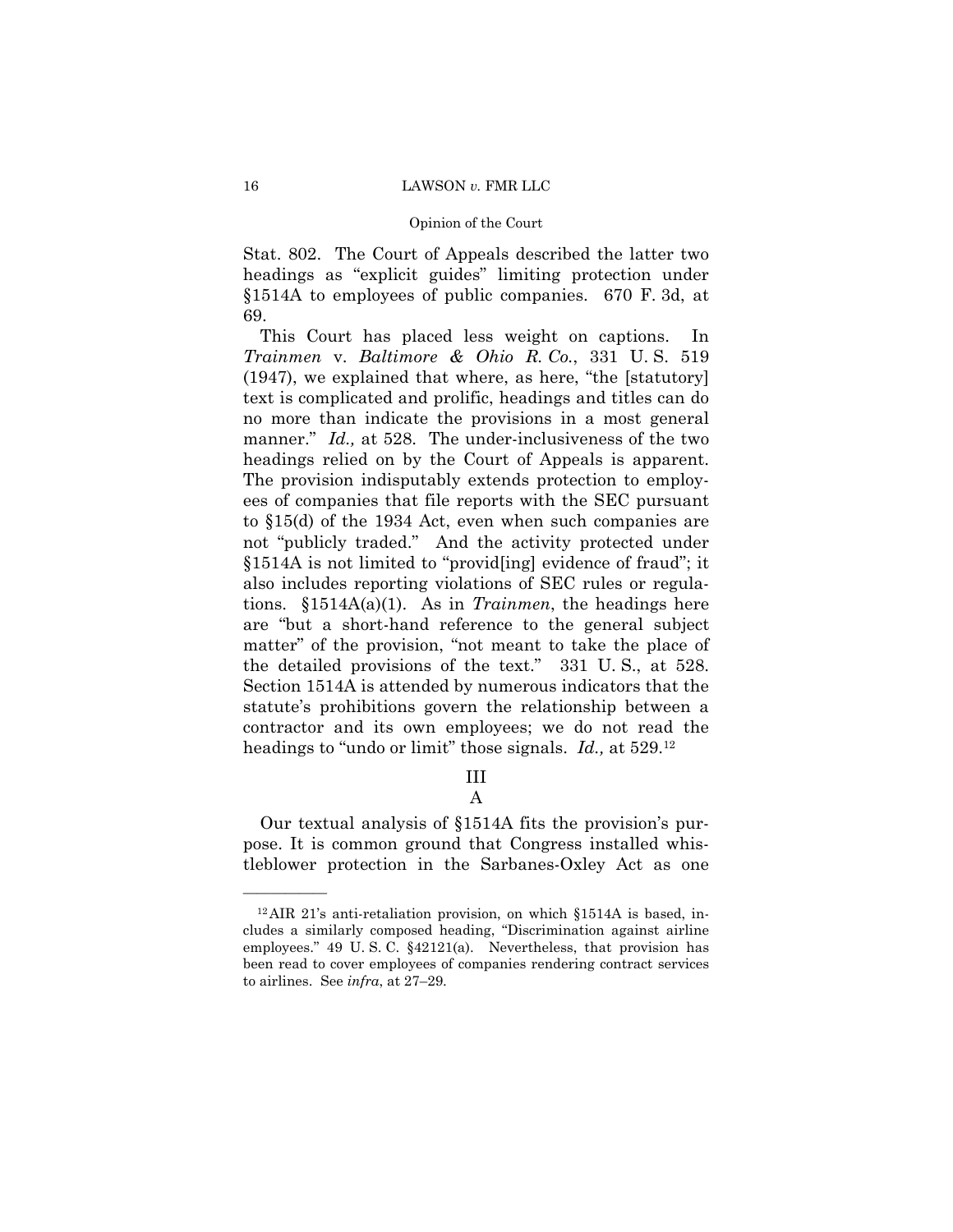Stat. 802. The Court of Appeals described the latter two headings as "explicit guides" limiting protection under §1514A to employees of public companies. 670 F. 3d, at 69.

This Court has placed less weight on captions. In *Trainmen* v. *Baltimore & Ohio R. Co.*, 331 U. S. 519 (1947), we explained that where, as here, "the [statutory] text is complicated and prolific, headings and titles can do no more than indicate the provisions in a most general manner." *Id.*, at 528. The under-inclusiveness of the two headings relied on by the Court of Appeals is apparent. The provision indisputably extends protection to employees of companies that file reports with the SEC pursuant to §15(d) of the 1934 Act, even when such companies are not "publicly traded." And the activity protected under §1514A is not limited to "provid[ing] evidence of fraud"; it also includes reporting violations of SEC rules or regulations. §1514A(a)(1). As in *Trainmen*, the headings here are "but a short-hand reference to the general subject matter" of the provision, "not meant to take the place of the detailed provisions of the text." 331 U. S., at 528. Section 1514A is attended by numerous indicators that the statute's prohibitions govern the relationship between a contractor and its own employees; we do not read the headings to "undo or limit" those signals. *Id.,* at 529.12

# III

A

Our textual analysis of §1514A fits the provision's purpose. It is common ground that Congress installed whistleblower protection in the Sarbanes-Oxley Act as one

<sup>12</sup>AIR 21's anti-retaliation provision, on which §1514A is based, includes a similarly composed heading, "Discrimination against airline employees." 49 U.S.C. §42121(a). Nevertheless, that provision has been read to cover employees of companies rendering contract services to airlines. See *infra*, at 27–29.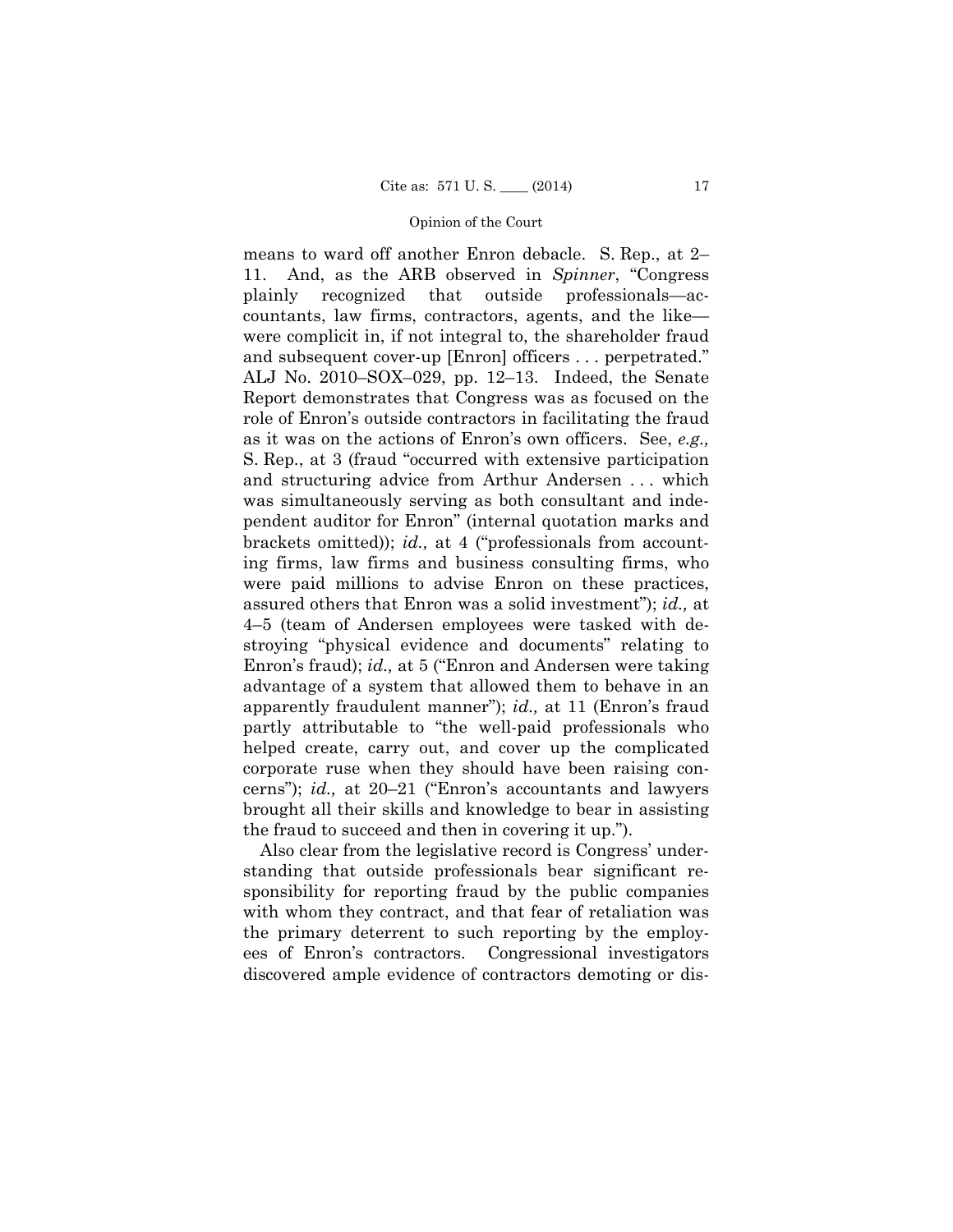means to ward off another Enron debacle. S. Rep., at 2– 11. And, as the ARB observed in *Spinner*, "Congress plainly recognized that outside professionals—accountants, law firms, contractors, agents, and the like were complicit in, if not integral to, the shareholder fraud and subsequent cover-up [Enron] officers . . . perpetrated." ALJ No. 2010–SOX–029, pp. 12–13. Indeed, the Senate Report demonstrates that Congress was as focused on the role of Enron's outside contractors in facilitating the fraud as it was on the actions of Enron's own officers. See, *e.g.,* S. Rep., at 3 (fraud "occurred with extensive participation and structuring advice from Arthur Andersen . . . which was simultaneously serving as both consultant and independent auditor for Enron" (internal quotation marks and brackets omitted)); *id.,* at 4 ("professionals from accounting firms, law firms and business consulting firms, who were paid millions to advise Enron on these practices, assured others that Enron was a solid investment"); *id.,* at 4–5 (team of Andersen employees were tasked with destroying "physical evidence and documents" relating to Enron's fraud); *id.,* at 5 ("Enron and Andersen were taking advantage of a system that allowed them to behave in an apparently fraudulent manner"); *id.,* at 11 (Enron's fraud partly attributable to "the well-paid professionals who helped create, carry out, and cover up the complicated corporate ruse when they should have been raising concerns"); *id.,* at 20–21 ("Enron's accountants and lawyers brought all their skills and knowledge to bear in assisting the fraud to succeed and then in covering it up.").

Also clear from the legislative record is Congress' understanding that outside professionals bear significant responsibility for reporting fraud by the public companies with whom they contract, and that fear of retaliation was the primary deterrent to such reporting by the employees of Enron's contractors. Congressional investigators discovered ample evidence of contractors demoting or dis-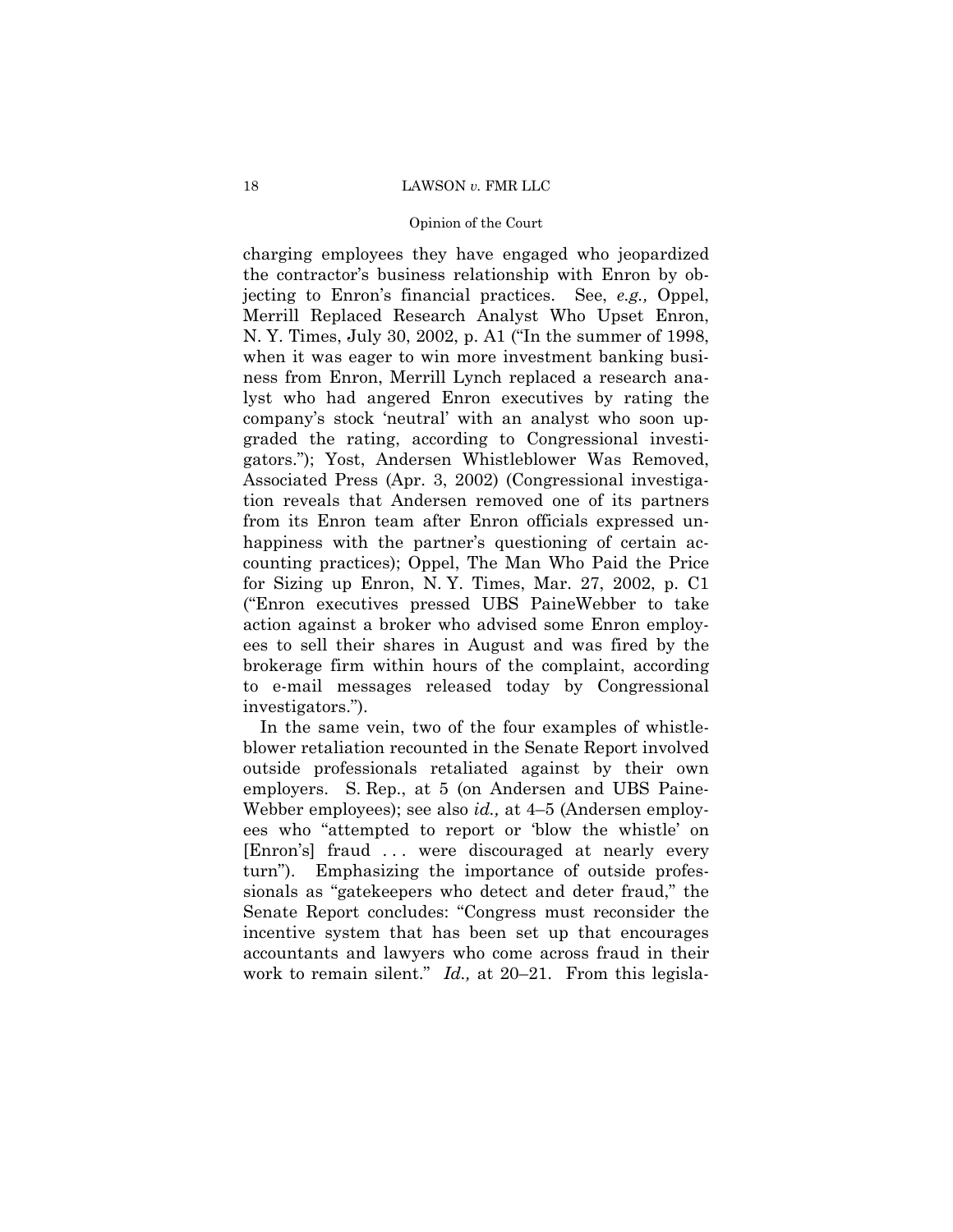#### Opinion of the Court

charging employees they have engaged who jeopardized the contractor's business relationship with Enron by objecting to Enron's financial practices. See, *e.g.,* Oppel, Merrill Replaced Research Analyst Who Upset Enron, N. Y. Times, July 30, 2002, p. A1 ("In the summer of 1998, when it was eager to win more investment banking business from Enron, Merrill Lynch replaced a research analyst who had angered Enron executives by rating the company's stock 'neutral' with an analyst who soon upgraded the rating, according to Congressional investigators."); Yost, Andersen Whistleblower Was Removed, Associated Press (Apr. 3, 2002) (Congressional investigation reveals that Andersen removed one of its partners from its Enron team after Enron officials expressed unhappiness with the partner's questioning of certain accounting practices); Oppel, The Man Who Paid the Price for Sizing up Enron, N. Y. Times, Mar. 27, 2002, p. C1 ("Enron executives pressed UBS PaineWebber to take action against a broker who advised some Enron employees to sell their shares in August and was fired by the brokerage firm within hours of the complaint, according to e-mail messages released today by Congressional investigators.").

In the same vein, two of the four examples of whistleblower retaliation recounted in the Senate Report involved outside professionals retaliated against by their own employers. S. Rep., at 5 (on Andersen and UBS Paine-Webber employees); see also *id.,* at 4–5 (Andersen employees who "attempted to report or 'blow the whistle' on [Enron's] fraud ... were discouraged at nearly every turn"). Emphasizing the importance of outside professionals as "gatekeepers who detect and deter fraud," the Senate Report concludes: "Congress must reconsider the incentive system that has been set up that encourages accountants and lawyers who come across fraud in their work to remain silent." *Id.,* at 20–21. From this legisla-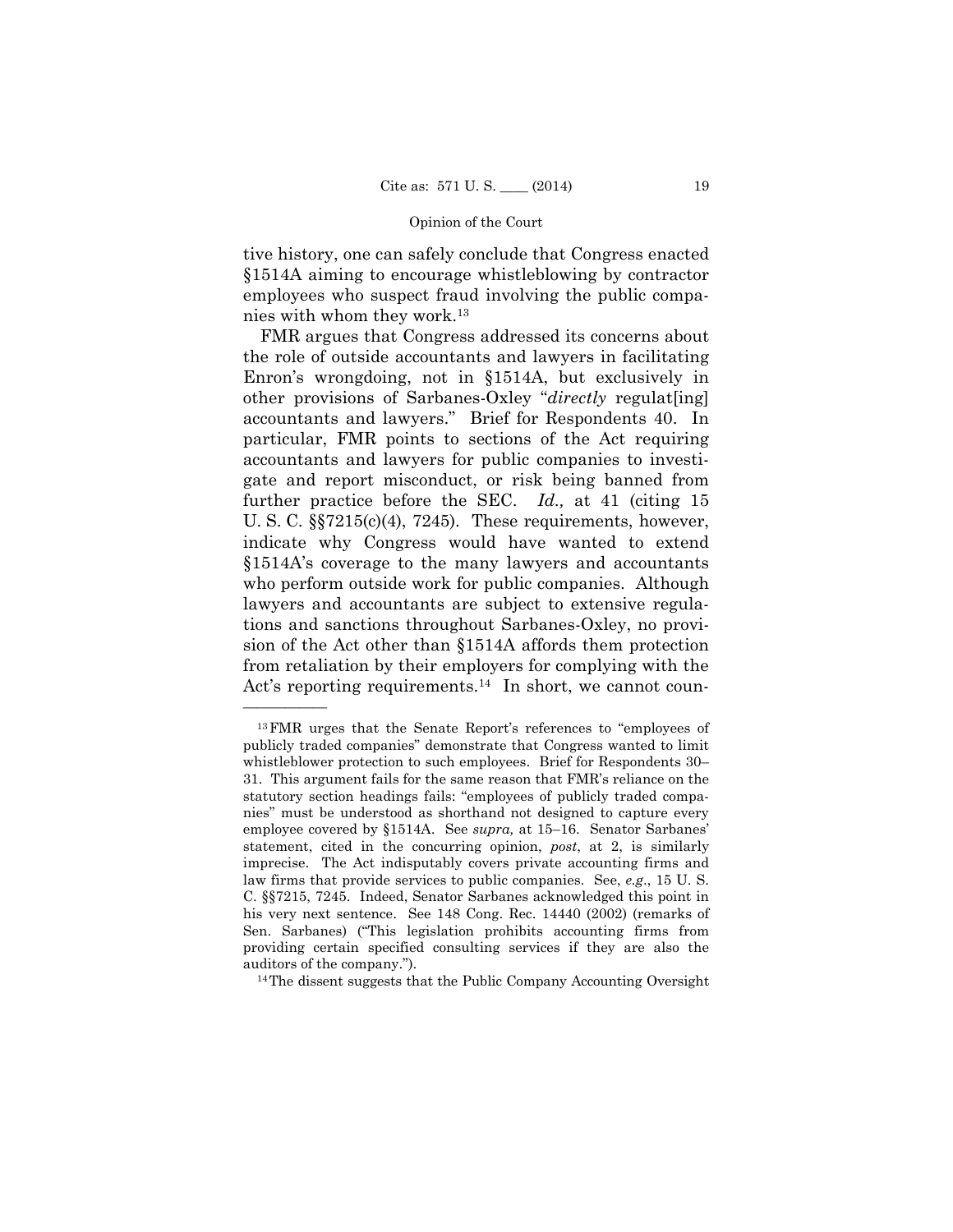tive history, one can safely conclude that Congress enacted §1514A aiming to encourage whistleblowing by contractor employees who suspect fraud involving the public companies with whom they work.13

 FMR argues that Congress addressed its concerns about the role of outside accountants and lawyers in facilitating Enron's wrongdoing, not in §1514A, but exclusively in other provisions of Sarbanes-Oxley "*directly* regulat[ing] accountants and lawyers." Brief for Respondents 40. In particular, FMR points to sections of the Act requiring accountants and lawyers for public companies to investigate and report misconduct, or risk being banned from further practice before the SEC. *Id.,* at 41 (citing 15 U. S. C. §§7215(c)(4), 7245). These requirements, however, indicate why Congress would have wanted to extend §1514A's coverage to the many lawyers and accountants who perform outside work for public companies. Although lawyers and accountants are subject to extensive regulations and sanctions throughout Sarbanes-Oxley, no provision of the Act other than §1514A affords them protection from retaliation by their employers for complying with the Act's reporting requirements.<sup>14</sup> In short, we cannot coun-

<sup>13</sup>FMR urges that the Senate Report's references to "employees of publicly traded companies" demonstrate that Congress wanted to limit whistleblower protection to such employees. Brief for Respondents 30– 31. This argument fails for the same reason that FMR's reliance on the statutory section headings fails: "employees of publicly traded companies" must be understood as shorthand not designed to capture every employee covered by §1514A. See *supra,* at 15–16. Senator Sarbanes' statement, cited in the concurring opinion, *post*, at 2, is similarly imprecise. The Act indisputably covers private accounting firms and law firms that provide services to public companies. See, *e.g*., 15 U. S. C. §§7215, 7245. Indeed, Senator Sarbanes acknowledged this point in his very next sentence. See 148 Cong. Rec. 14440 (2002) (remarks of Sen. Sarbanes) ("This legislation prohibits accounting firms from providing certain specified consulting services if they are also the auditors of the company."). 14The dissent suggests that the Public Company Accounting Oversight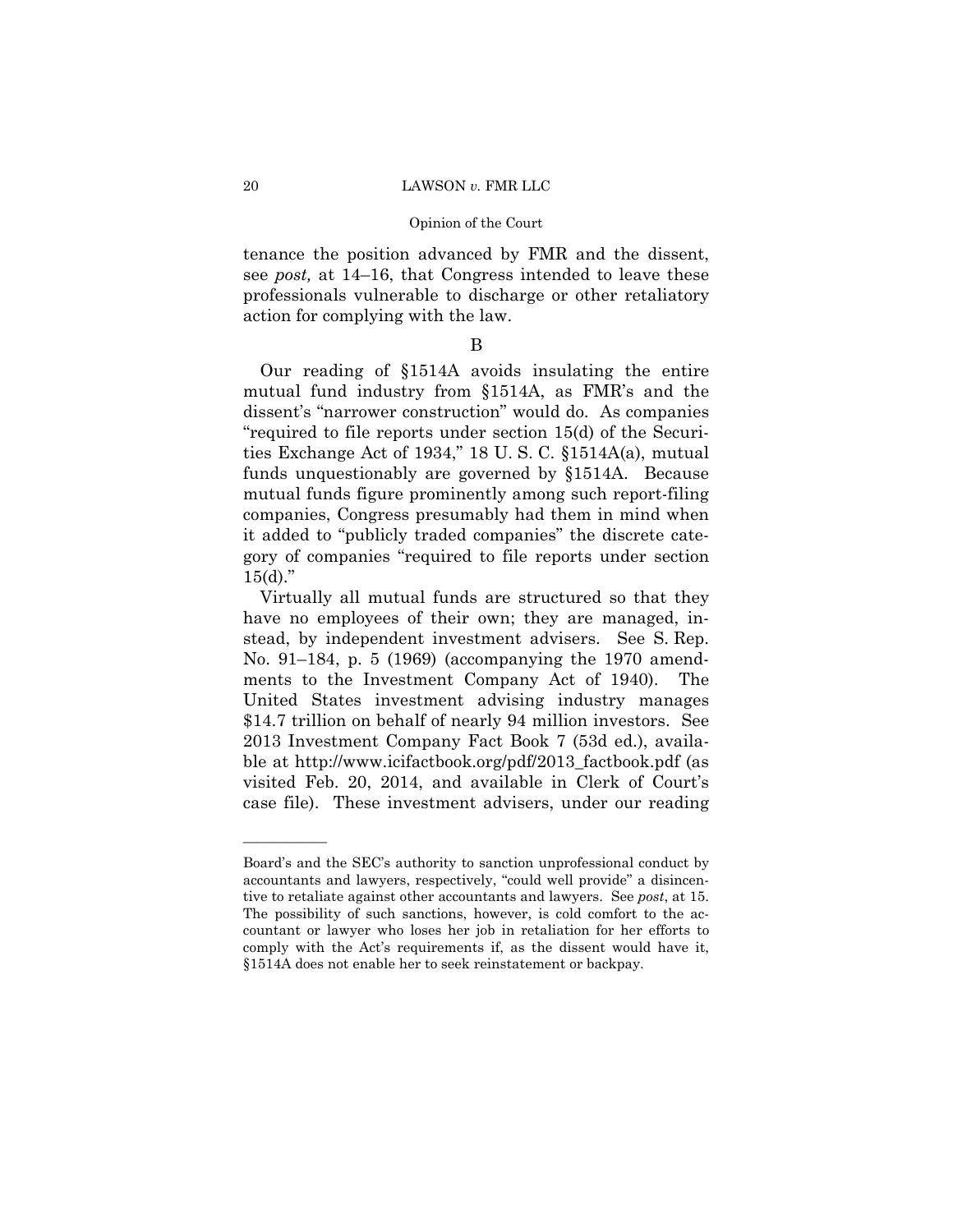#### Opinion of the Court

tenance the position advanced by FMR and the dissent, see *post,* at 14–16, that Congress intended to leave these professionals vulnerable to discharge or other retaliatory action for complying with the law.

# B

Our reading of §1514A avoids insulating the entire mutual fund industry from §1514A, as FMR's and the dissent's "narrower construction" would do. As companies "required to file reports under section 15(d) of the Securities Exchange Act of 1934," 18 U. S. C. §1514A(a), mutual funds unquestionably are governed by §1514A. Because mutual funds figure prominently among such report-filing companies, Congress presumably had them in mind when it added to "publicly traded companies" the discrete category of companies "required to file reports under section  $15(d)$ ."

Virtually all mutual funds are structured so that they have no employees of their own; they are managed, instead, by independent investment advisers. See S. Rep. No. 91–184, p. 5 (1969) (accompanying the 1970 amendments to the Investment Company Act of 1940). The United States investment advising industry manages \$14.7 trillion on behalf of nearly 94 million investors. See 2013 Investment Company Fact Book 7 (53d ed.), available at http://www.icifactbook.org/pdf/2013\_factbook.pdf (as visited Feb. 20, 2014, and available in Clerk of Court's case file). These investment advisers, under our reading

 tive to retaliate against other accountants and lawyers. See *post*, at 15. Board's and the SEC's authority to sanction unprofessional conduct by accountants and lawyers, respectively, "could well provide" a disincen-The possibility of such sanctions, however, is cold comfort to the accountant or lawyer who loses her job in retaliation for her efforts to comply with the Act's requirements if, as the dissent would have it, §1514A does not enable her to seek reinstatement or backpay.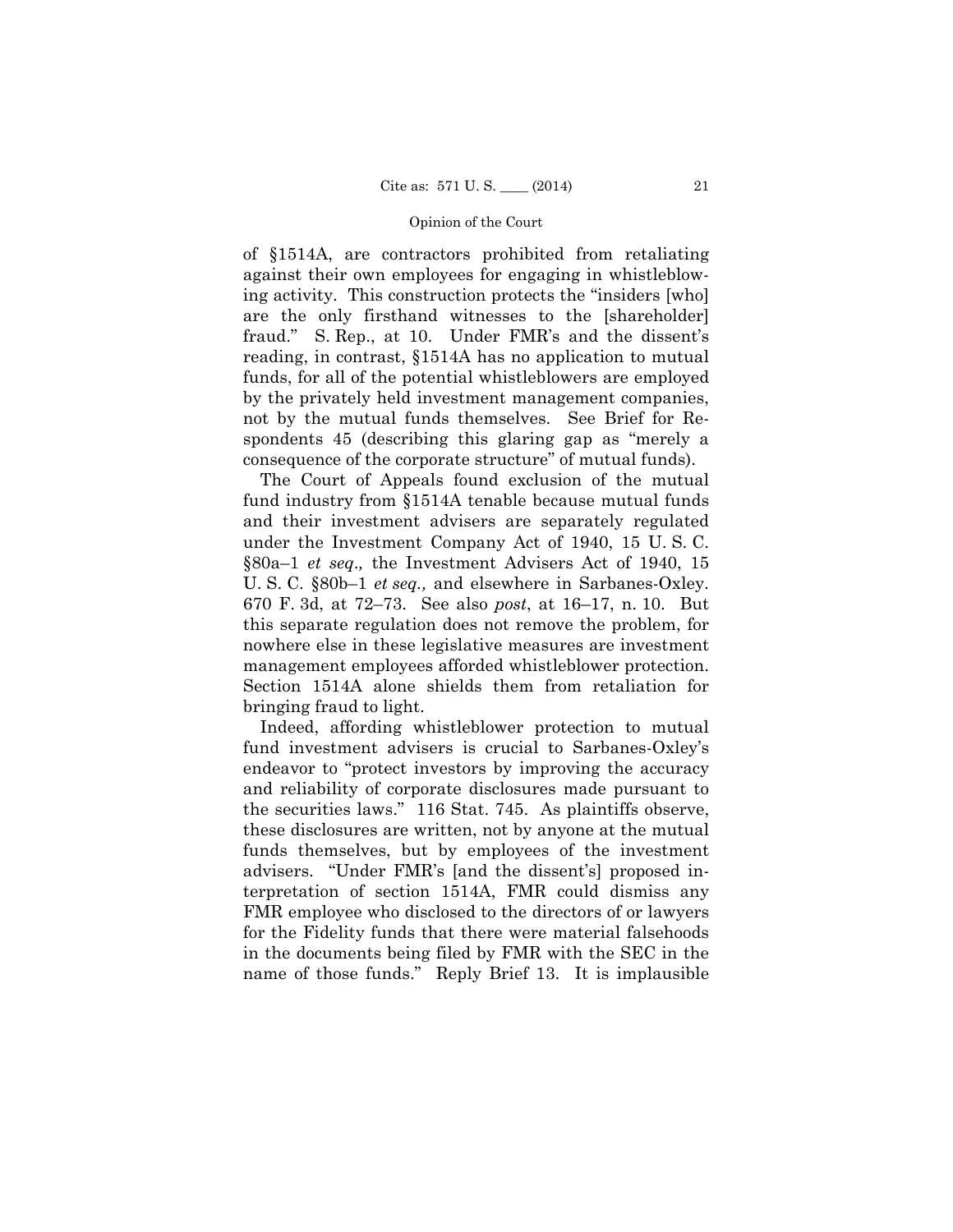of §1514A, are contractors prohibited from retaliating against their own employees for engaging in whistleblowing activity. This construction protects the "insiders [who] are the only firsthand witnesses to the [shareholder] fraud." S. Rep., at 10. Under FMR's and the dissent's reading, in contrast, §1514A has no application to mutual funds, for all of the potential whistleblowers are employed by the privately held investment management companies, not by the mutual funds themselves. See Brief for Respondents 45 (describing this glaring gap as "merely a consequence of the corporate structure" of mutual funds).

The Court of Appeals found exclusion of the mutual fund industry from §1514A tenable because mutual funds and their investment advisers are separately regulated under the Investment Company Act of 1940, 15 U. S. C. §80a–1 *et seq*.*,* the Investment Advisers Act of 1940, 15 U. S. C. §80b–1 *et seq.,* and elsewhere in Sarbanes-Oxley. 670 F. 3d, at 72–73. See also *post*, at 16–17, n. 10. But this separate regulation does not remove the problem, for nowhere else in these legislative measures are investment management employees afforded whistleblower protection. Section 1514A alone shields them from retaliation for bringing fraud to light.

Indeed, affording whistleblower protection to mutual fund investment advisers is crucial to Sarbanes-Oxley's endeavor to "protect investors by improving the accuracy and reliability of corporate disclosures made pursuant to the securities laws." 116 Stat. 745. As plaintiffs observe, these disclosures are written, not by anyone at the mutual funds themselves, but by employees of the investment advisers. "Under FMR's [and the dissent's] proposed interpretation of section 1514A, FMR could dismiss any FMR employee who disclosed to the directors of or lawyers for the Fidelity funds that there were material falsehoods in the documents being filed by FMR with the SEC in the name of those funds." Reply Brief 13. It is implausible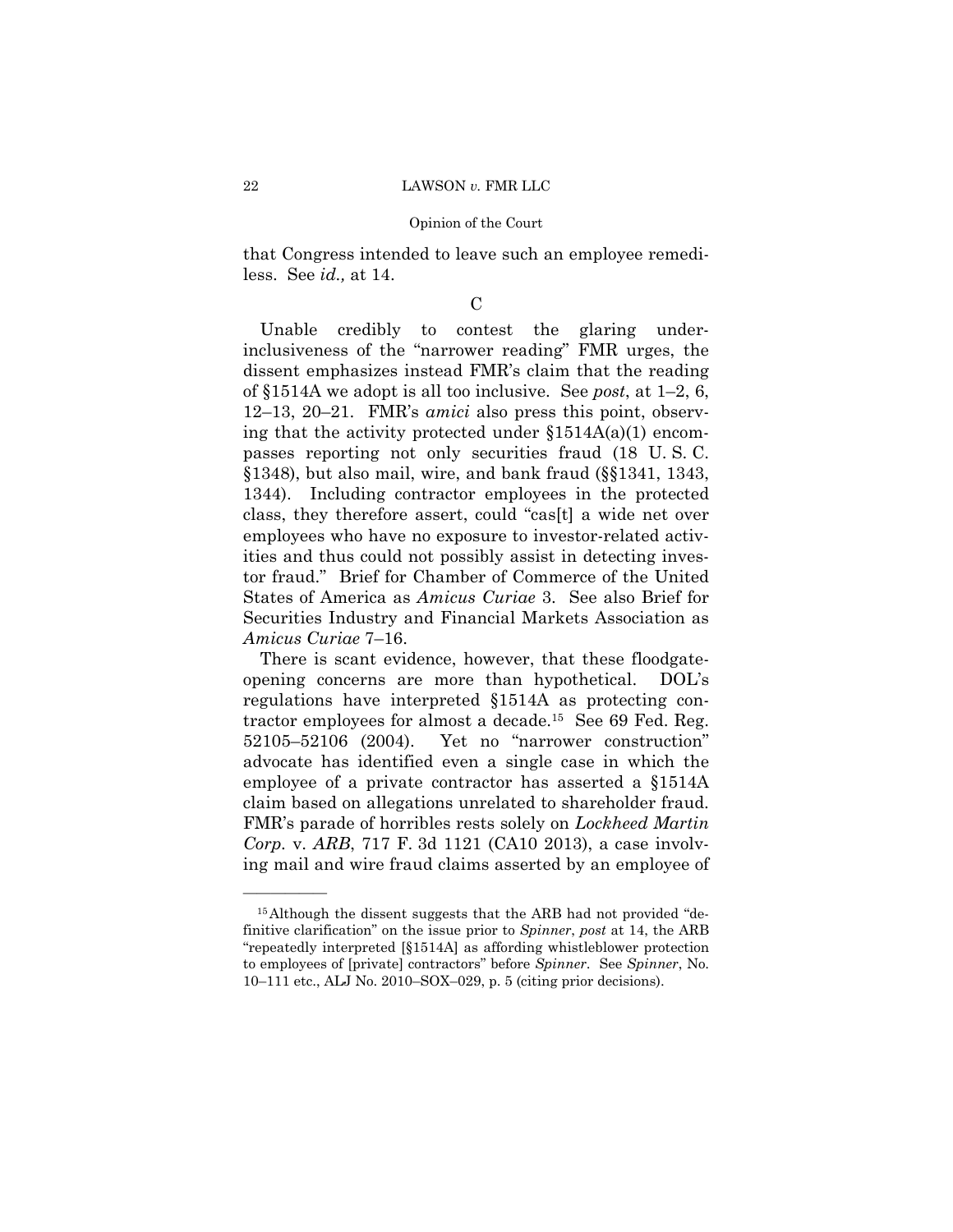that Congress intended to leave such an employee remediless. See *id.,* at 14.

# $\mathcal{C}$

Unable credibly to contest the glaring underinclusiveness of the "narrower reading" FMR urges, the dissent emphasizes instead FMR's claim that the reading of §1514A we adopt is all too inclusive. See *post*, at 1–2, 6, 12–13, 20–21. FMR's *amici* also press this point, observing that the activity protected under  $$1514A(a)(1)$  encompasses reporting not only securities fraud (18 U. S. C. §1348), but also mail, wire, and bank fraud (§§1341, 1343, 1344). Including contractor employees in the protected class, they therefore assert, could "cas[t] a wide net over employees who have no exposure to investor-related activities and thus could not possibly assist in detecting investor fraud." Brief for Chamber of Commerce of the United States of America as *Amicus Curiae* 3. See also Brief for Securities Industry and Financial Markets Association as *Amicus Curiae* 7–16.

 claim based on allegations unrelated to shareholder fraud. There is scant evidence, however, that these floodgateopening concerns are more than hypothetical. DOL's regulations have interpreted §1514A as protecting contractor employees for almost a decade.15 See 69 Fed. Reg. 52105–52106 (2004). Yet no "narrower construction" advocate has identified even a single case in which the employee of a private contractor has asserted a §1514A FMR's parade of horribles rests solely on *Lockheed Martin Corp.* v. *ARB*, 717 F. 3d 1121 (CA10 2013), a case involving mail and wire fraud claims asserted by an employee of

<sup>15</sup>Although the dissent suggests that the ARB had not provided "definitive clarification" on the issue prior to *Spinner*, *post* at 14, the ARB "repeatedly interpreted [§1514A] as affording whistleblower protection to employees of [private] contractors" before *Spinner*. See *Spinner*, No. 10–111 etc., ALJ No. 2010–SOX–029, p. 5 (citing prior decisions).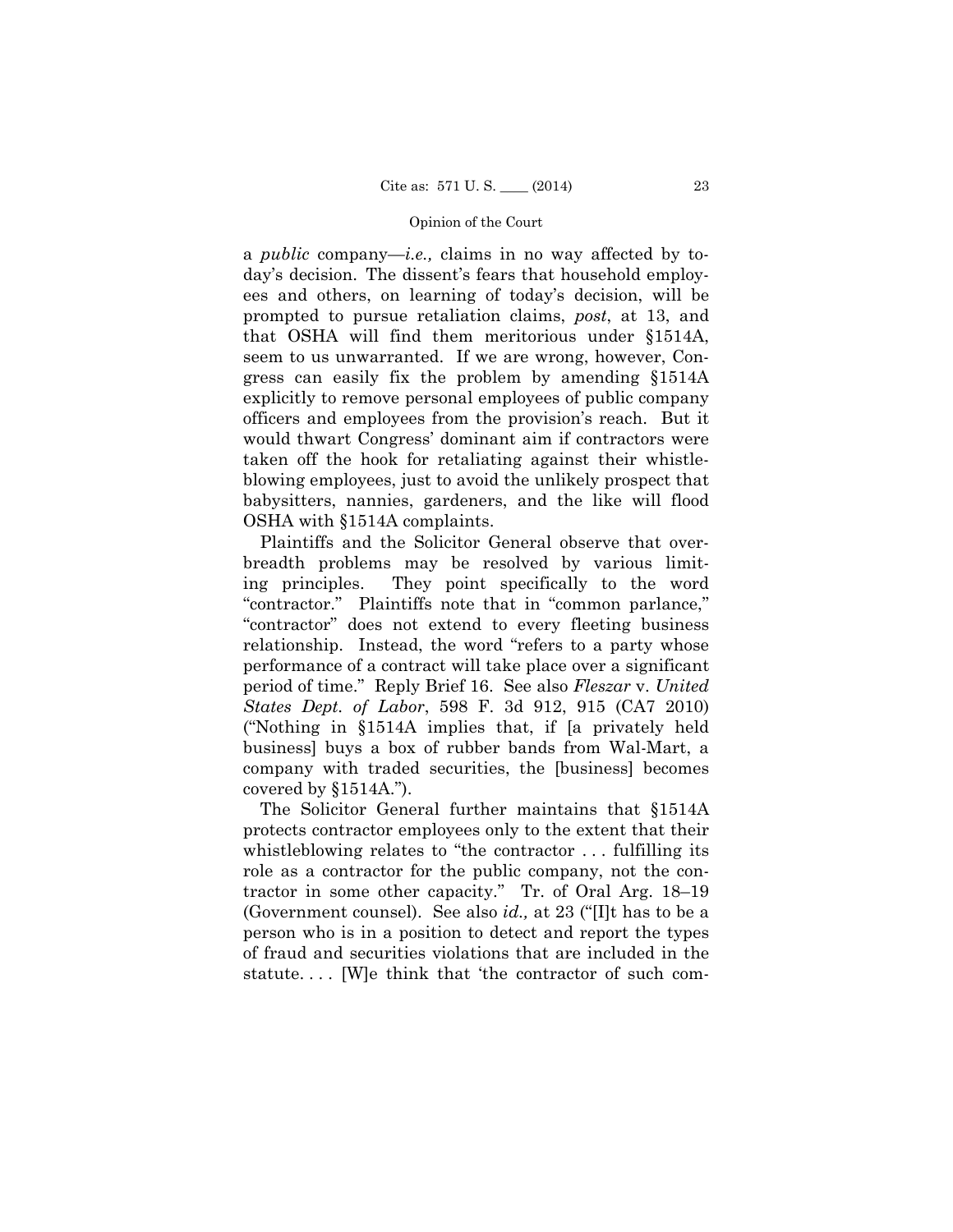day's decision. The dissent's fears that household employa *public* company—*i.e.,* claims in no way affected by toees and others, on learning of today's decision, will be prompted to pursue retaliation claims, *post*, at 13, and that OSHA will find them meritorious under §1514A, seem to us unwarranted. If we are wrong, however, Congress can easily fix the problem by amending §1514A explicitly to remove personal employees of public company officers and employees from the provision's reach. But it would thwart Congress' dominant aim if contractors were taken off the hook for retaliating against their whistleblowing employees, just to avoid the unlikely prospect that babysitters, nannies, gardeners, and the like will flood OSHA with §1514A complaints.

Plaintiffs and the Solicitor General observe that overbreadth problems may be resolved by various limiting principles. They point specifically to the word "contractor." Plaintiffs note that in "common parlance," "contractor" does not extend to every fleeting business relationship. Instead, the word "refers to a party whose performance of a contract will take place over a significant period of time." Reply Brief 16. See also *Fleszar* v. *United States Dept. of Labor*, 598 F. 3d 912, 915 (CA7 2010) ("Nothing in §1514A implies that, if [a privately held business] buys a box of rubber bands from Wal-Mart, a company with traded securities, the [business] becomes covered by §1514A.").

The Solicitor General further maintains that §1514A protects contractor employees only to the extent that their whistleblowing relates to "the contractor . . . fulfilling its role as a contractor for the public company, not the contractor in some other capacity." Tr. of Oral Arg. 18–19 (Government counsel). See also *id.,* at 23 ("[I]t has to be a person who is in a position to detect and report the types of fraud and securities violations that are included in the statute. . . . [W]e think that 'the contractor of such com-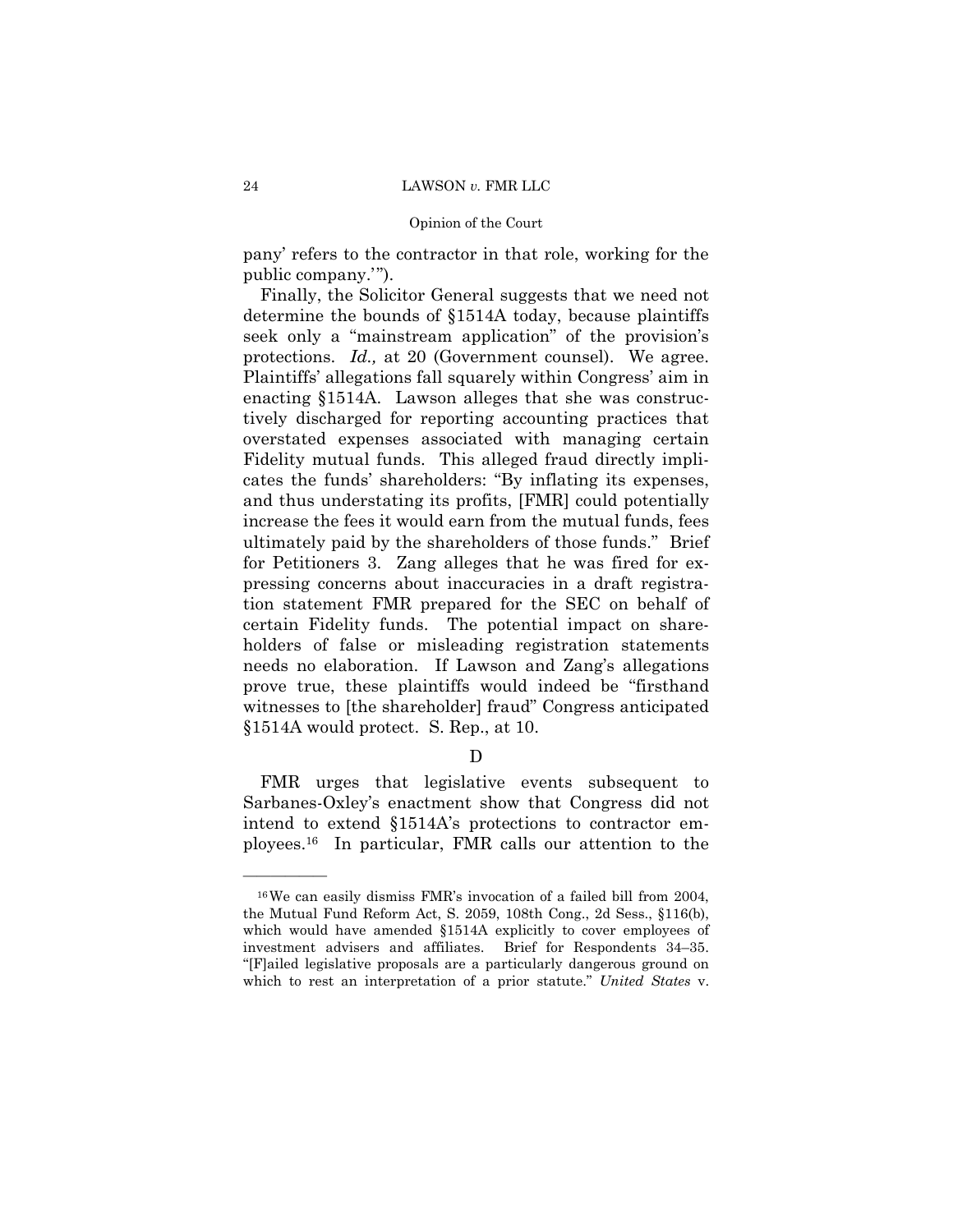pany' refers to the contractor in that role, working for the public company.'").

Finally, the Solicitor General suggests that we need not determine the bounds of §1514A today, because plaintiffs seek only a "mainstream application" of the provision's protections. *Id.,* at 20 (Government counsel). We agree. Plaintiffs' allegations fall squarely within Congress' aim in enacting §1514A. Lawson alleges that she was constructively discharged for reporting accounting practices that overstated expenses associated with managing certain Fidelity mutual funds. This alleged fraud directly implicates the funds' shareholders: "By inflating its expenses, and thus understating its profits, [FMR] could potentially increase the fees it would earn from the mutual funds, fees ultimately paid by the shareholders of those funds." Brief for Petitioners 3. Zang alleges that he was fired for expressing concerns about inaccuracies in a draft registration statement FMR prepared for the SEC on behalf of certain Fidelity funds. The potential impact on shareholders of false or misleading registration statements needs no elaboration. If Lawson and Zang's allegations prove true, these plaintiffs would indeed be "firsthand witnesses to [the shareholder] fraud" Congress anticipated §1514A would protect. S. Rep., at 10.

# D

FMR urges that legislative events subsequent to Sarbanes-Oxley's enactment show that Congress did not intend to extend §1514A's protections to contractor employees.16 In particular, FMR calls our attention to the

<sup>16</sup>We can easily dismiss FMR's invocation of a failed bill from 2004, the Mutual Fund Reform Act, S. 2059, 108th Cong., 2d Sess., §116(b), which would have amended §1514A explicitly to cover employees of investment advisers and affiliates. Brief for Respondents 34–35. "[F]ailed legislative proposals are a particularly dangerous ground on which to rest an interpretation of a prior statute." *United States* v.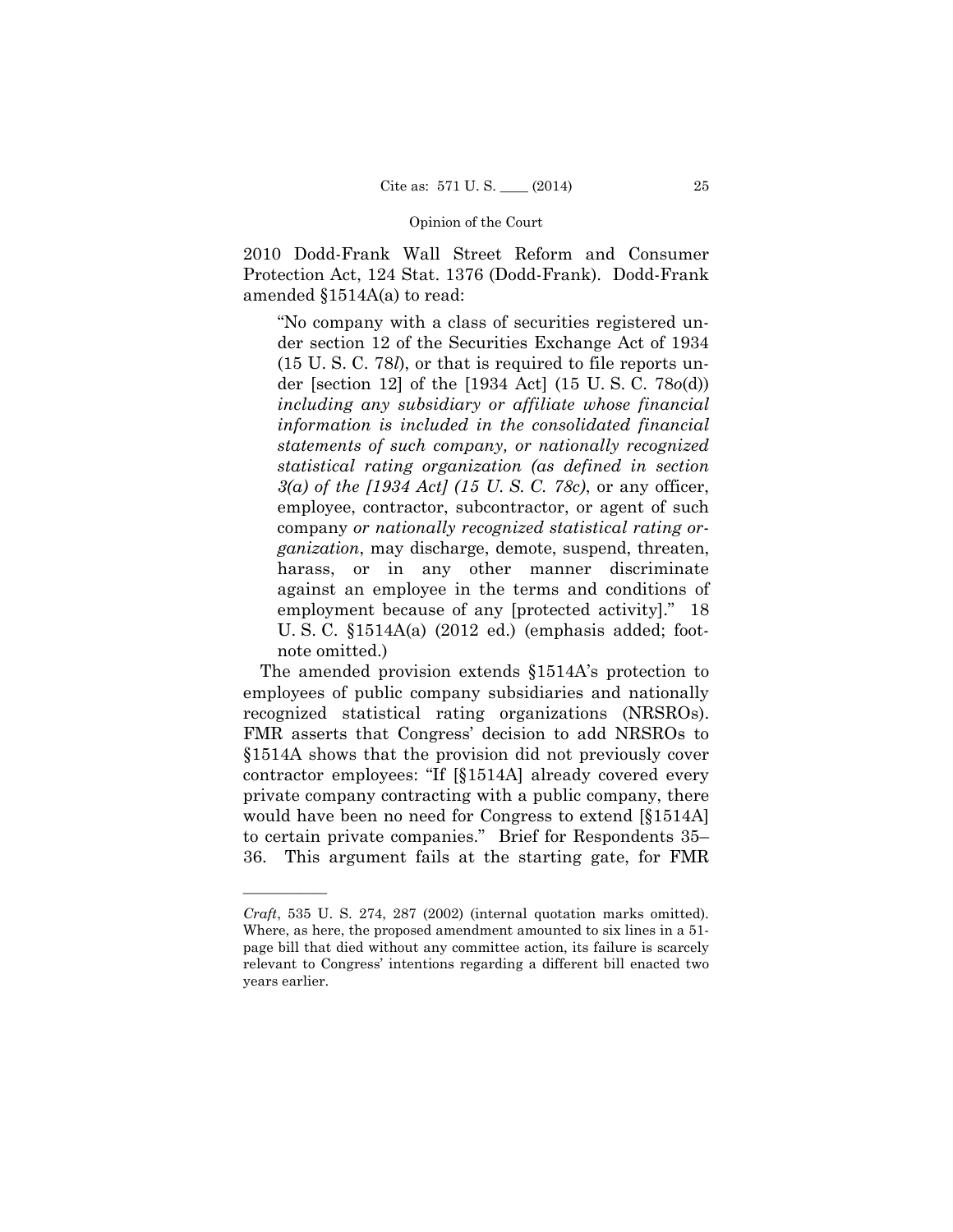2010 Dodd-Frank Wall Street Reform and Consumer Protection Act, 124 Stat. 1376 (Dodd-Frank). Dodd-Frank amended §1514A(a) to read:

"No company with a class of securities registered under section 12 of the Securities Exchange Act of 1934 (15 U. S. C. 78*l*), or that is required to file reports under [section 12] of the [1934 Act] (15 U. S. C. 78*o*(d)) *including any subsidiary or affiliate whose financial information is included in the consolidated financial statements of such company, or nationally recognized statistical rating organization (as defined in section 3(a) of the [1934 Act] (15 U. S. C. 78c)*, or any officer, employee, contractor, subcontractor, or agent of such company *or nationally recognized statistical rating organization*, may discharge, demote, suspend, threaten, harass, or in any other manner discriminate against an employee in the terms and conditions of employment because of any [protected activity]." 18 U. S. C. §1514A(a) (2012 ed.) (emphasis added; footnote omitted.)

The amended provision extends §1514A's protection to employees of public company subsidiaries and nationally recognized statistical rating organizations (NRSROs). FMR asserts that Congress' decision to add NRSROs to §1514A shows that the provision did not previously cover contractor employees: "If [§1514A] already covered every private company contracting with a public company, there would have been no need for Congress to extend [§1514A] to certain private companies." Brief for Respondents 35– 36. This argument fails at the starting gate, for FMR

 *Craft*, 535 U. S. 274, 287 (2002) (internal quotation marks omitted). Where, as here, the proposed amendment amounted to six lines in a 51 page bill that died without any committee action, its failure is scarcely relevant to Congress' intentions regarding a different bill enacted two years earlier.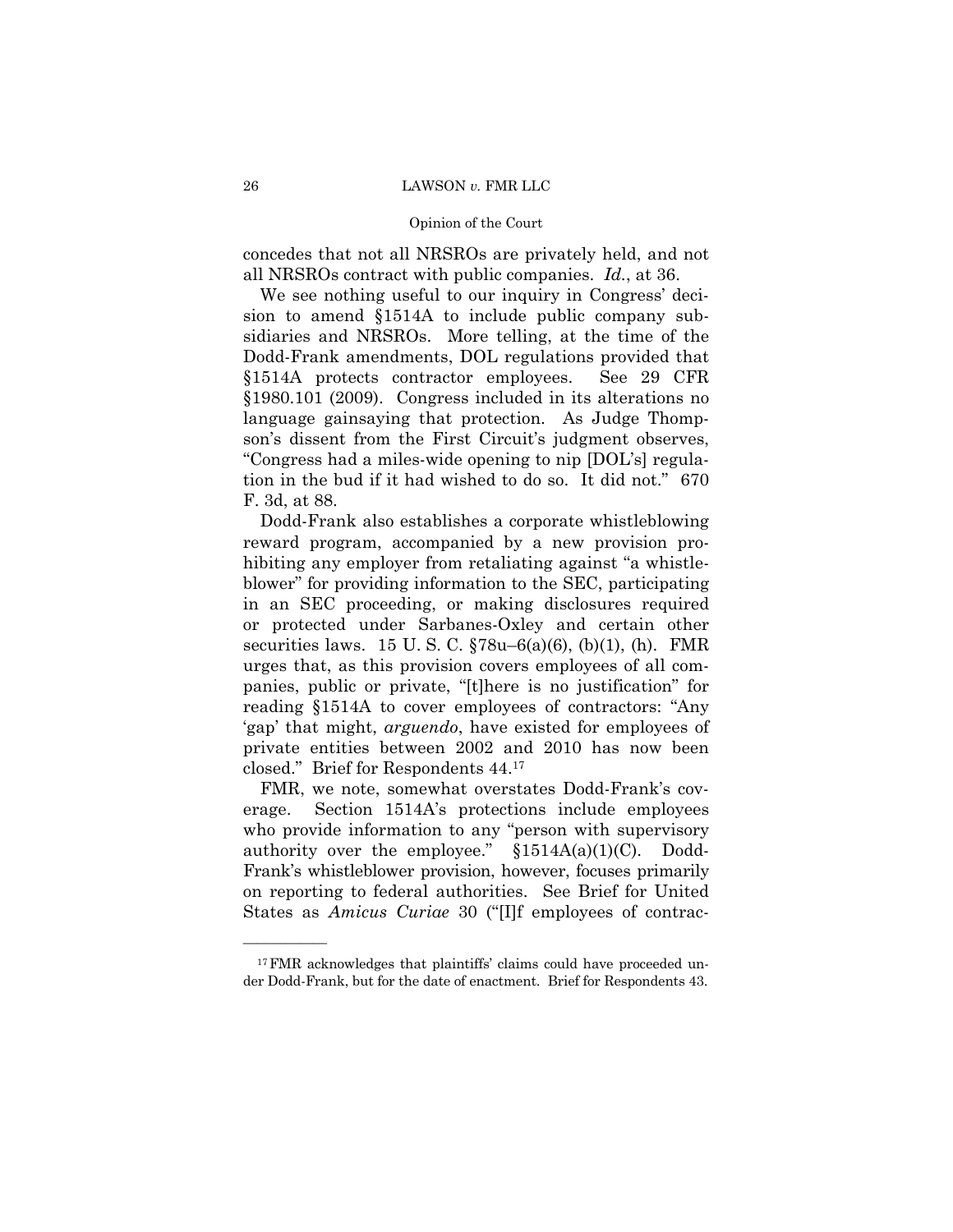#### Opinion of the Court

concedes that not all NRSROs are privately held, and not all NRSROs contract with public companies. *Id.*, at 36.

We see nothing useful to our inquiry in Congress' decision to amend §1514A to include public company subsidiaries and NRSROs. More telling, at the time of the Dodd-Frank amendments, DOL regulations provided that §1514A protects contractor employees. See 29 CFR §1980.101 (2009). Congress included in its alterations no language gainsaying that protection. As Judge Thompson's dissent from the First Circuit's judgment observes, "Congress had a miles-wide opening to nip [DOL's] regulation in the bud if it had wished to do so. It did not." 670 F. 3d, at 88.

 blower" for providing information to the SEC, participating Dodd-Frank also establishes a corporate whistleblowing reward program, accompanied by a new provision prohibiting any employer from retaliating against "a whistlein an SEC proceeding, or making disclosures required or protected under Sarbanes-Oxley and certain other securities laws. 15 U. S. C.  $$78u-6(a)(6), (b)(1), (h)$ . FMR urges that, as this provision covers employees of all companies, public or private, "[t]here is no justification" for reading §1514A to cover employees of contractors: "Any 'gap' that might, *arguendo*, have existed for employees of private entities between 2002 and 2010 has now been closed." Brief for Respondents 44.17

FMR, we note, somewhat overstates Dodd-Frank's coverage. Section 1514A's protections include employees who provide information to any "person with supervisory authority over the employee."  $$1514A(a)(1)(C)$ . Dodd-Frank's whistleblower provision, however, focuses primarily on reporting to federal authorities. See Brief for United States as *Amicus Curiae* 30 ("[I]f employees of contrac-

<sup>17</sup>FMR acknowledges that plaintiffs' claims could have proceeded under Dodd-Frank, but for the date of enactment. Brief for Respondents 43.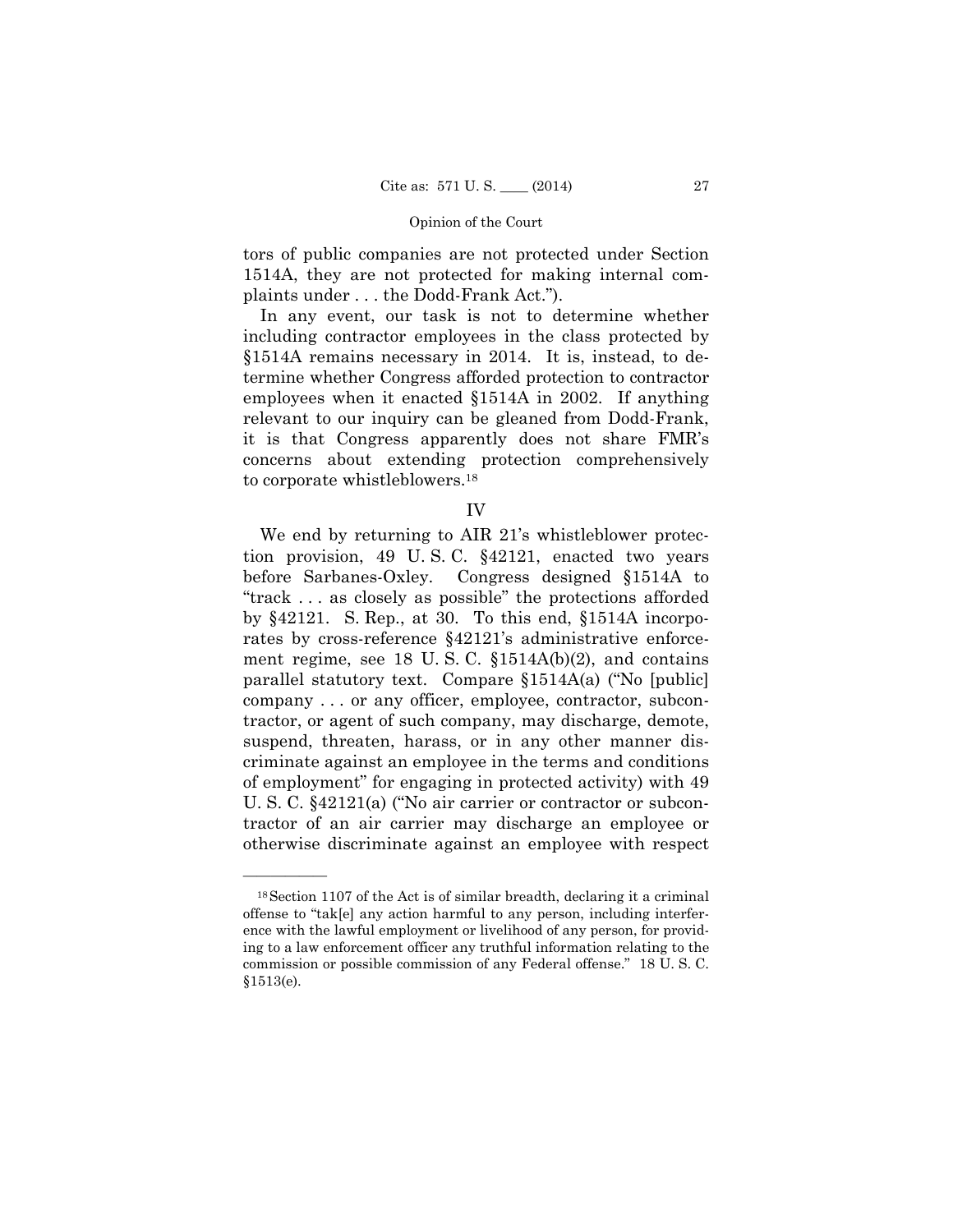tors of public companies are not protected under Section 1514A, they are not protected for making internal complaints under . . . the Dodd-Frank Act.").

In any event, our task is not to determine whether including contractor employees in the class protected by §1514A remains necessary in 2014. It is, instead, to determine whether Congress afforded protection to contractor employees when it enacted §1514A in 2002. If anything relevant to our inquiry can be gleaned from Dodd-Frank, it is that Congress apparently does not share FMR's concerns about extending protection comprehensively to corporate whistleblowers.18

IV

We end by returning to AIR 21's whistleblower protection provision, 49 U. S. C. §42121, enacted two years before Sarbanes-Oxley. Congress designed §1514A to "track . . . as closely as possible" the protections afforded by §42121. S. Rep., at 30. To this end, §1514A incorporates by cross-reference §42121's administrative enforcement regime, see 18 U. S. C. §1514A(b)(2), and contains parallel statutory text. Compare §1514A(a) ("No [public] company . . . or any officer, employee, contractor, subcontractor, or agent of such company, may discharge, demote, suspend, threaten, harass, or in any other manner discriminate against an employee in the terms and conditions of employment" for engaging in protected activity) with 49 U. S. C. §42121(a) ("No air carrier or contractor or subcontractor of an air carrier may discharge an employee or otherwise discriminate against an employee with respect

<sup>18</sup>Section 1107 of the Act is of similar breadth, declaring it a criminal offense to "tak[e] any action harmful to any person, including interference with the lawful employment or livelihood of any person, for providing to a law enforcement officer any truthful information relating to the commission or possible commission of any Federal offense." 18 U. S. C. §1513(e).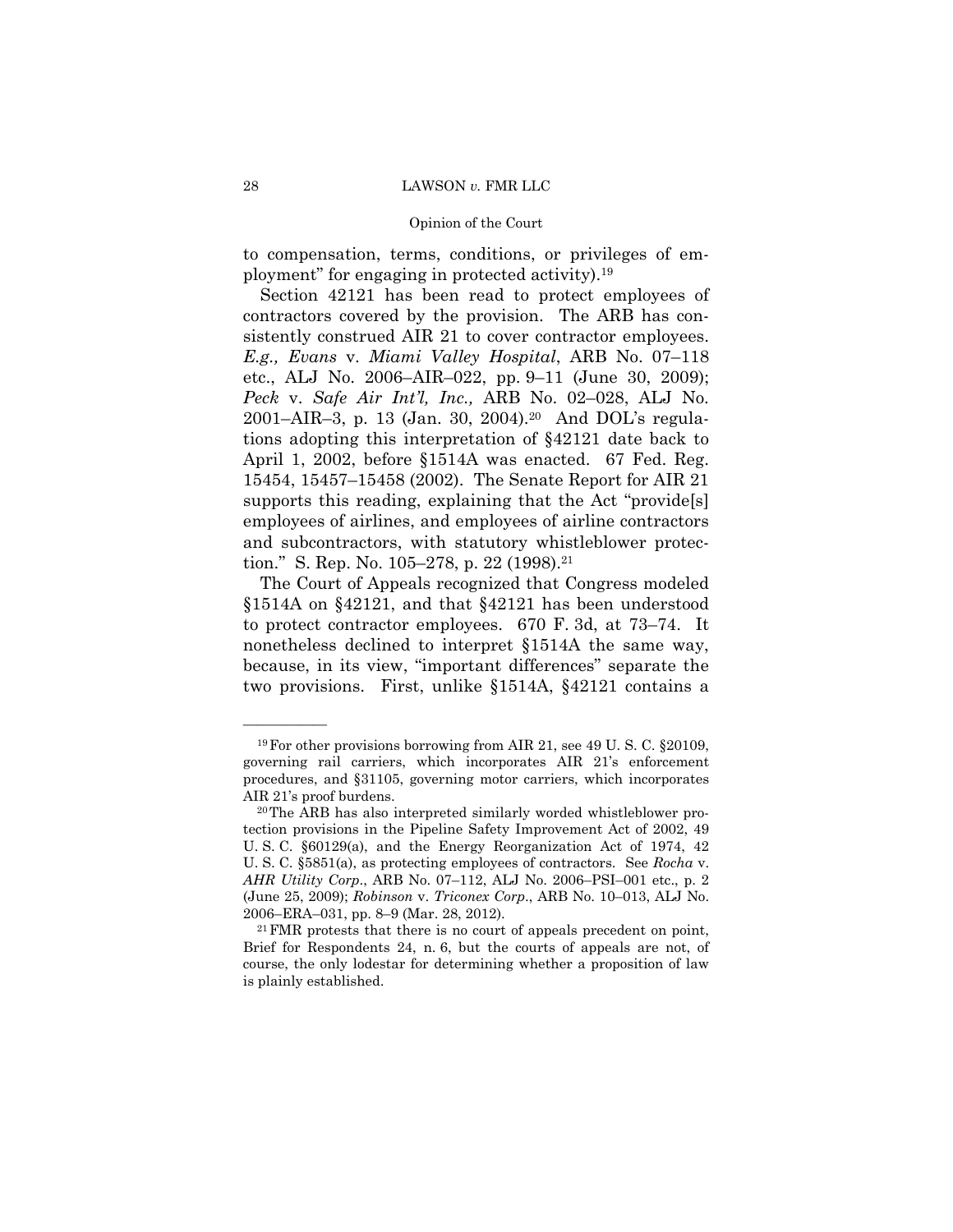#### Opinion of the Court

to compensation, terms, conditions, or privileges of employment" for engaging in protected activity).19

Section 42121 has been read to protect employees of contractors covered by the provision. The ARB has consistently construed AIR 21 to cover contractor employees. *E.g., Evans* v. *Miami Valley Hospital*, ARB No. 07–118 etc., ALJ No. 2006–AIR–022, pp. 9–11 (June 30, 2009); *Peck* v. *Safe Air Int'l, Inc.,* ARB No. 02–028, ALJ No. 2001–AIR–3, p. 13 (Jan. 30, 2004).20 And DOL's regulations adopting this interpretation of §42121 date back to April 1, 2002, before §1514A was enacted. 67 Fed. Reg. 15454, 15457–15458 (2002). The Senate Report for AIR 21 supports this reading, explaining that the Act "provide[s] employees of airlines, and employees of airline contractors and subcontractors, with statutory whistleblower protection." S. Rep. No. 105–278, p. 22 (1998).<sup>21</sup>

The Court of Appeals recognized that Congress modeled §1514A on §42121, and that §42121 has been understood to protect contractor employees. 670 F. 3d, at 73–74. It nonetheless declined to interpret §1514A the same way, because, in its view, "important differences" separate the two provisions. First, unlike §1514A, §42121 contains a

<sup>&</sup>lt;sup>19</sup> For other provisions borrowing from AIR 21, see 49 U.S.C. §20109, governing rail carriers, which incorporates AIR 21's enforcement procedures, and §31105, governing motor carriers, which incorporates AIR 21's proof burdens.<br><sup>20</sup>The ARB has also interpreted similarly worded whistleblower pro-

tection provisions in the Pipeline Safety Improvement Act of 2002, 49 U. S. C. §60129(a), and the Energy Reorganization Act of 1974, 42 U. S. C. §5851(a), as protecting employees of contractors. See *Rocha* v. *AHR Utility Corp*., ARB No. 07–112, ALJ No. 2006–PSI–001 etc., p. 2 (June 25, 2009); *Robinson* v. *Triconex Corp*., ARB No. 10–013, ALJ No.

<sup>2006–</sup>ERA–031, pp. 8–9 (Mar. 28, 2012). <sup>21</sup> FMR protests that there is no court of appeals precedent on point, Brief for Respondents 24, n. 6, but the courts of appeals are not, of course, the only lodestar for determining whether a proposition of law is plainly established.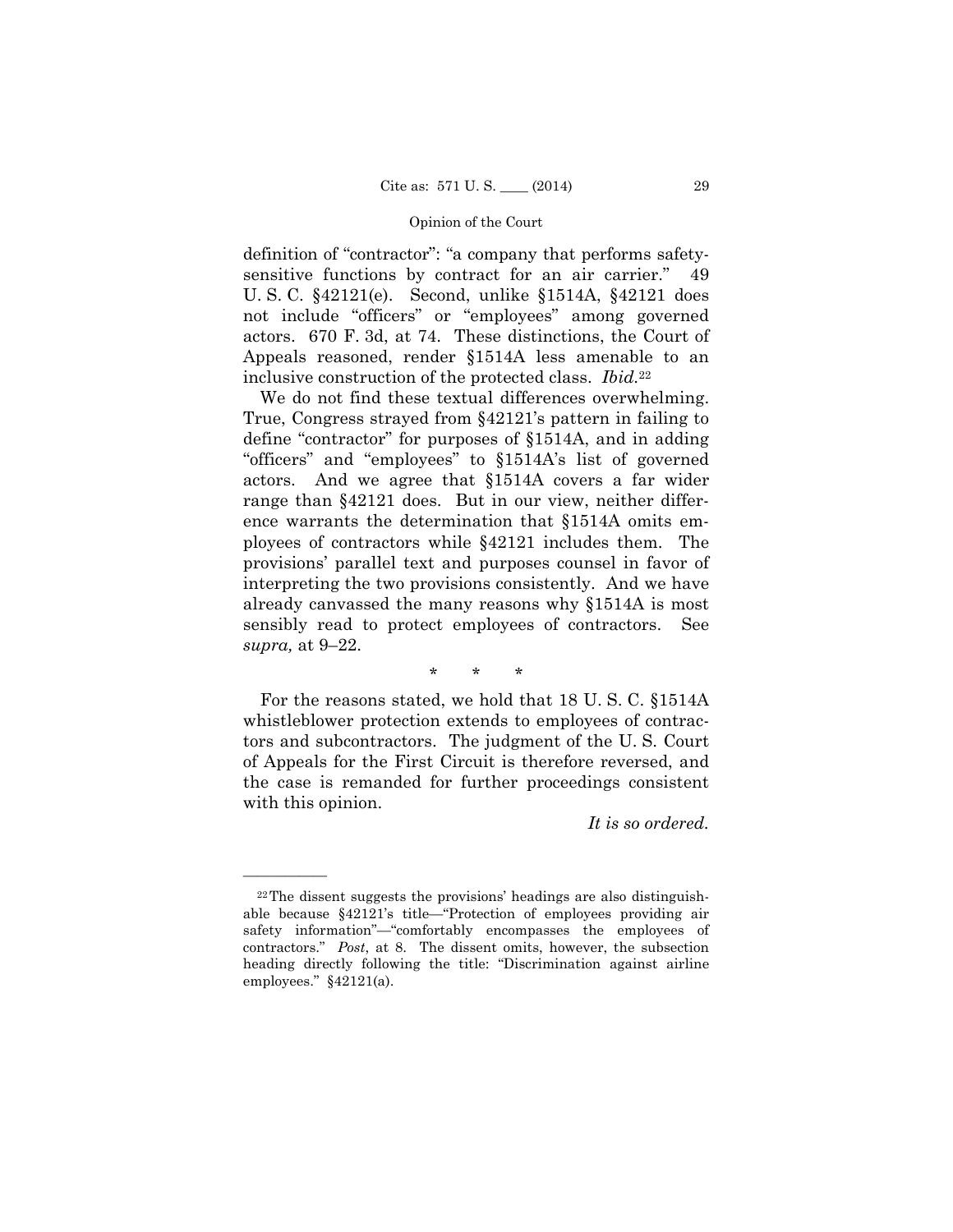definition of "contractor": "a company that performs safetysensitive functions by contract for an air carrier." 49 U. S. C. §42121(e). Second, unlike §1514A, §42121 does not include "officers" or "employees" among governed actors. 670 F. 3d, at 74. These distinctions, the Court of Appeals reasoned, render §1514A less amenable to an inclusive construction of the protected class. *Ibid.*<sup>22</sup>

We do not find these textual differences overwhelming. True, Congress strayed from §42121's pattern in failing to define "contractor" for purposes of §1514A, and in adding "officers" and "employees" to §1514A's list of governed actors. And we agree that §1514A covers a far wider range than §42121 does. But in our view, neither difference warrants the determination that §1514A omits employees of contractors while §42121 includes them. The provisions' parallel text and purposes counsel in favor of interpreting the two provisions consistently. And we have already canvassed the many reasons why §1514A is most sensibly read to protect employees of contractors. See *supra,* at 9–22.

\* \* \*

For the reasons stated, we hold that 18 U. S. C. §1514A whistleblower protection extends to employees of contractors and subcontractors. The judgment of the U. S. Court of Appeals for the First Circuit is therefore reversed, and the case is remanded for further proceedings consistent with this opinion.

*It is so ordered.* 

 contractors." *Post*, at 8. The dissent omits, however, the subsection 22The dissent suggests the provisions' headings are also distinguishable because §42121's title—"Protection of employees providing air safety information"—"comfortably encompasses the employees of heading directly following the title: "Discrimination against airline employees." §42121(a).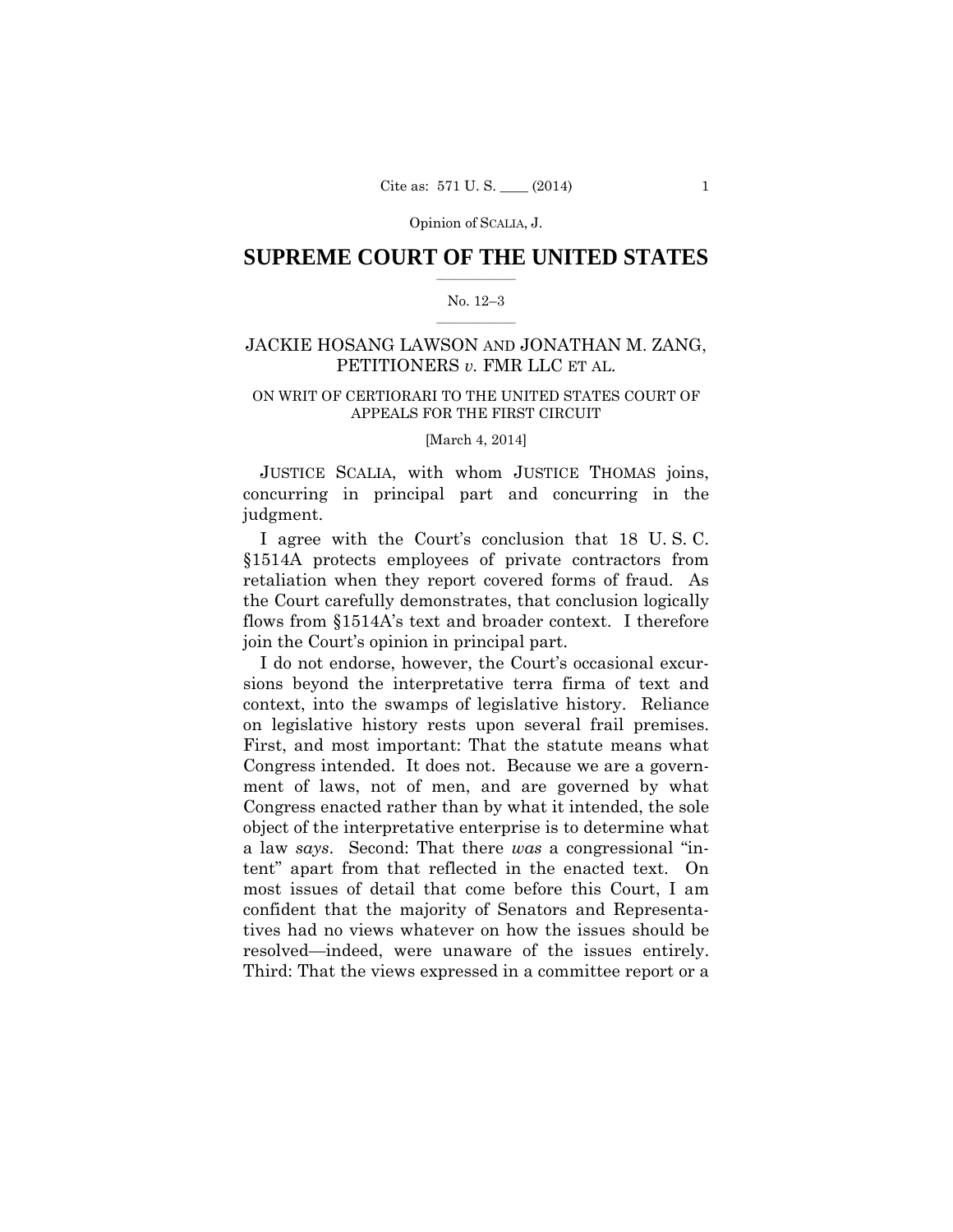Opinion of SCALIA, J.

# $\frac{1}{2}$  ,  $\frac{1}{2}$  ,  $\frac{1}{2}$  ,  $\frac{1}{2}$  ,  $\frac{1}{2}$  ,  $\frac{1}{2}$  ,  $\frac{1}{2}$ **SUPREME COURT OF THE UNITED STATES**

#### $\frac{1}{2}$  ,  $\frac{1}{2}$  ,  $\frac{1}{2}$  ,  $\frac{1}{2}$  ,  $\frac{1}{2}$  ,  $\frac{1}{2}$ No. 12–3

# JACKIE HOSANG LAWSON AND JONATHAN M. ZANG, PETITIONERS *v.* FMR LLC ET AL.

# ON WRIT OF CERTIORARI TO THE UNITED STATES COURT OF APPEALS FOR THE FIRST CIRCUIT

[March 4, 2014]

JUSTICE SCALIA, with whom JUSTICE THOMAS joins, concurring in principal part and concurring in the judgment.

I agree with the Court's conclusion that 18 U. S. C. §1514A protects employees of private contractors from retaliation when they report covered forms of fraud. As the Court carefully demonstrates, that conclusion logically flows from §1514A's text and broader context. I therefore join the Court's opinion in principal part.

 resolved—indeed, were unaware of the issues entirely. I do not endorse, however, the Court's occasional excursions beyond the interpretative terra firma of text and context, into the swamps of legislative history. Reliance on legislative history rests upon several frail premises. First, and most important: That the statute means what Congress intended. It does not. Because we are a government of laws, not of men, and are governed by what Congress enacted rather than by what it intended, the sole object of the interpretative enterprise is to determine what a law *says*. Second: That there *was* a congressional "intent" apart from that reflected in the enacted text. On most issues of detail that come before this Court, I am confident that the majority of Senators and Representatives had no views whatever on how the issues should be Third: That the views expressed in a committee report or a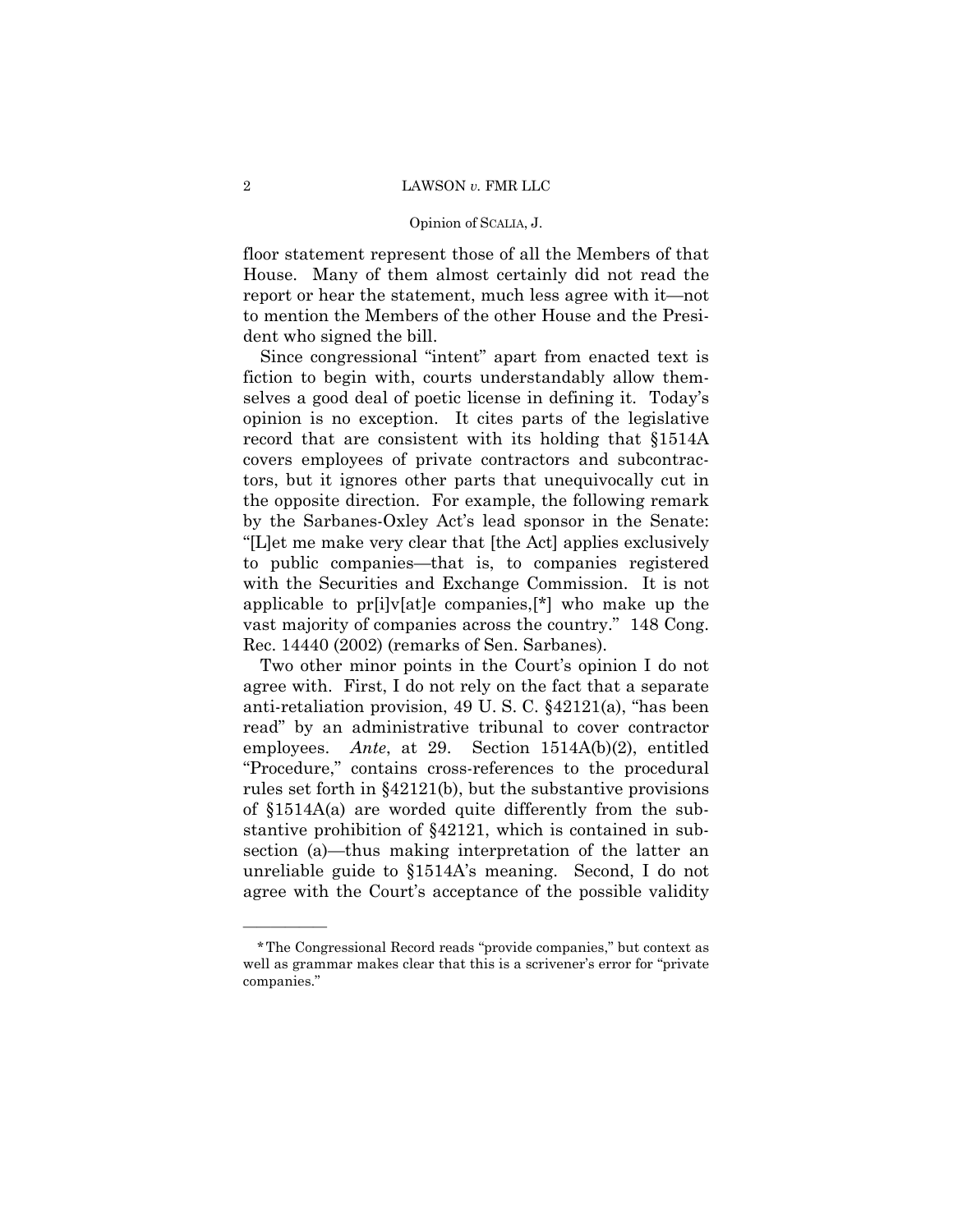#### Opinion of SCALIA, J.

floor statement represent those of all the Members of that House. Many of them almost certainly did not read the report or hear the statement, much less agree with it—not to mention the Members of the other House and the President who signed the bill.

Since congressional "intent" apart from enacted text is fiction to begin with, courts understandably allow themselves a good deal of poetic license in defining it. Today's opinion is no exception. It cites parts of the legislative record that are consistent with its holding that §1514A covers employees of private contractors and subcontractors, but it ignores other parts that unequivocally cut in the opposite direction. For example, the following remark by the Sarbanes-Oxley Act's lead sponsor in the Senate: "[L]et me make very clear that [the Act] applies exclusively to public companies—that is, to companies registered with the Securities and Exchange Commission. It is not applicable to pr[i]v[at]e companies,[\*] who make up the vast majority of companies across the country." 148 Cong. Rec. 14440 (2002) (remarks of Sen. Sarbanes).

 employees. *Ante*, at 29. Section 1514A(b)(2), entitled Two other minor points in the Court's opinion I do not agree with. First, I do not rely on the fact that a separate anti-retaliation provision, 49 U. S. C. §42121(a), "has been read" by an administrative tribunal to cover contractor "Procedure," contains cross-references to the procedural rules set forth in §42121(b), but the substantive provisions of §1514A(a) are worded quite differently from the substantive prohibition of §42121, which is contained in subsection (a)—thus making interpretation of the latter an unreliable guide to §1514A's meaning. Second, I do not agree with the Court's acceptance of the possible validity

<sup>\*</sup>The Congressional Record reads "provide companies," but context as well as grammar makes clear that this is a scrivener's error for "private companies."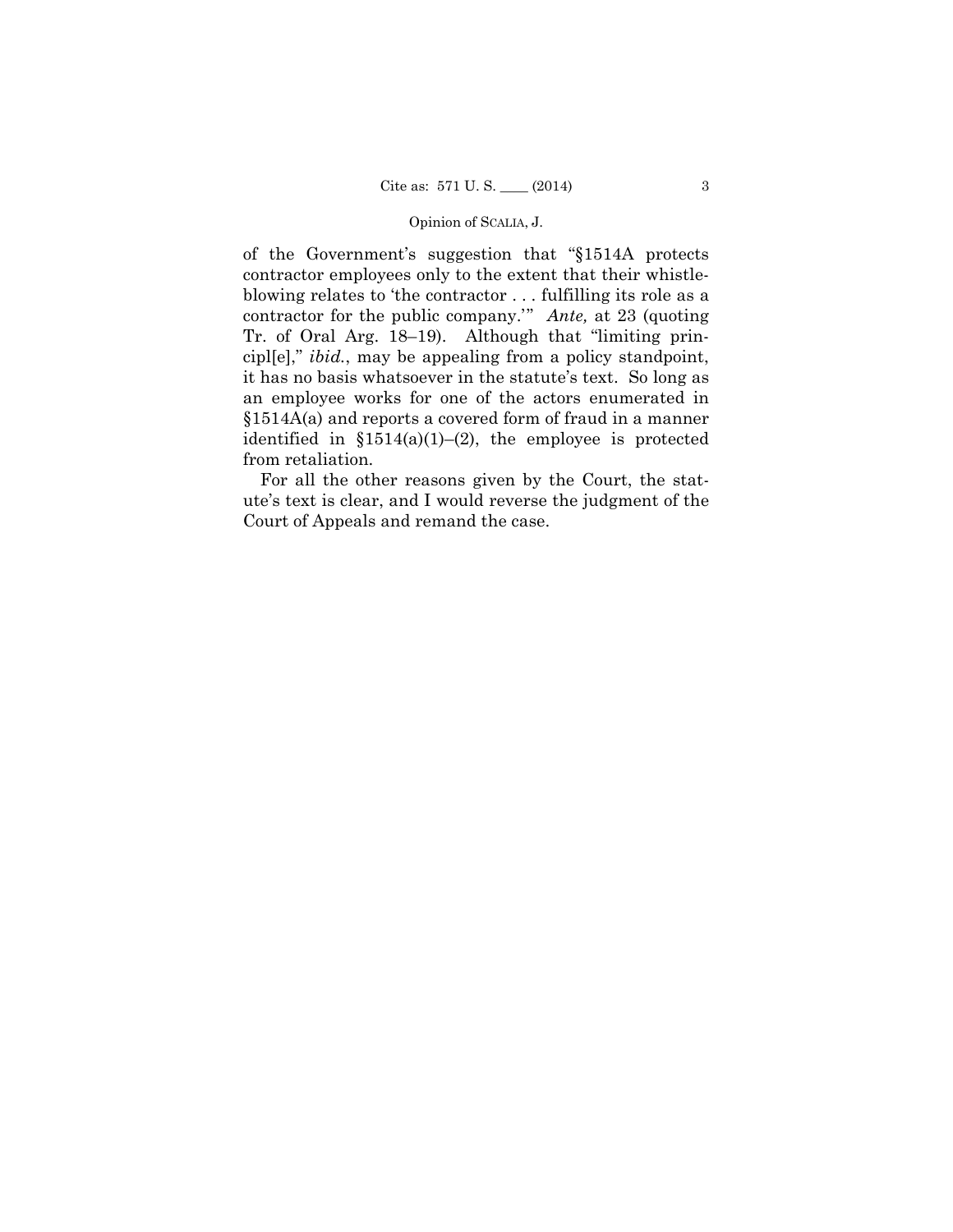# Opinion of SCALIA, J.

of the Government's suggestion that "§1514A protects contractor employees only to the extent that their whistleblowing relates to 'the contractor . . . fulfilling its role as a contractor for the public company.'" *Ante,* at 23 (quoting Tr. of Oral Arg. 18–19). Although that "limiting principl[e]," *ibid.*, may be appealing from a policy standpoint, it has no basis whatsoever in the statute's text. So long as an employee works for one of the actors enumerated in §1514A(a) and reports a covered form of fraud in a manner identified in  $$1514(a)(1)–(2)$ , the employee is protected from retaliation.

For all the other reasons given by the Court, the statute's text is clear, and I would reverse the judgment of the Court of Appeals and remand the case.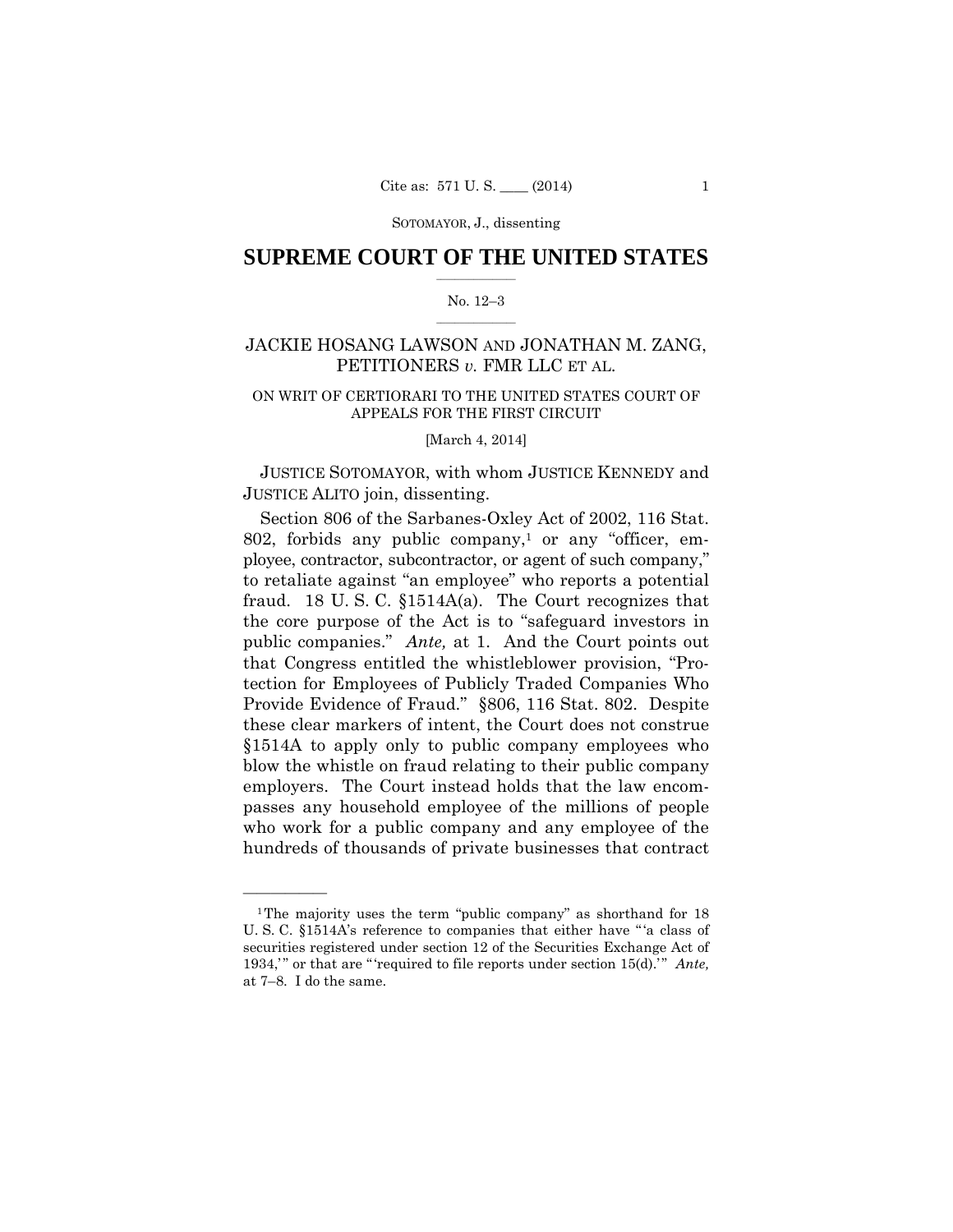# $\frac{1}{2}$  ,  $\frac{1}{2}$  ,  $\frac{1}{2}$  ,  $\frac{1}{2}$  ,  $\frac{1}{2}$  ,  $\frac{1}{2}$  ,  $\frac{1}{2}$ **SUPREME COURT OF THE UNITED STATES**

#### $\frac{1}{2}$  ,  $\frac{1}{2}$  ,  $\frac{1}{2}$  ,  $\frac{1}{2}$  ,  $\frac{1}{2}$  ,  $\frac{1}{2}$ No. 12–3

# JACKIE HOSANG LAWSON AND JONATHAN M. ZANG, PETITIONERS *v.* FMR LLC ET AL.

# ON WRIT OF CERTIORARI TO THE UNITED STATES COURT OF APPEALS FOR THE FIRST CIRCUIT

[March 4, 2014]

JUSTICE SOTOMAYOR, with whom JUSTICE KENNEDY and JUSTICE ALITO join, dissenting.

Section 806 of the Sarbanes-Oxley Act of 2002, 116 Stat. 802, forbids any public company,<sup>1</sup> or any "officer, employee, contractor, subcontractor, or agent of such company," to retaliate against "an employee" who reports a potential fraud. 18 U. S. C. §1514A(a). The Court recognizes that the core purpose of the Act is to "safeguard investors in public companies." *Ante,* at 1. And the Court points out that Congress entitled the whistleblower provision, "Protection for Employees of Publicly Traded Companies Who Provide Evidence of Fraud." §806, 116 Stat. 802. Despite these clear markers of intent, the Court does not construe §1514A to apply only to public company employees who blow the whistle on fraud relating to their public company employers. The Court instead holds that the law encompasses any household employee of the millions of people who work for a public company and any employee of the hundreds of thousands of private businesses that contract

<sup>&</sup>lt;sup>1</sup>The majority uses the term "public company" as shorthand for 18 U. S. C. §1514A's reference to companies that either have " 'a class of securities registered under section 12 of the Securities Exchange Act of 1934," or that are "'required to file reports under section 15(d)." *Ante*, at 7–8. I do the same.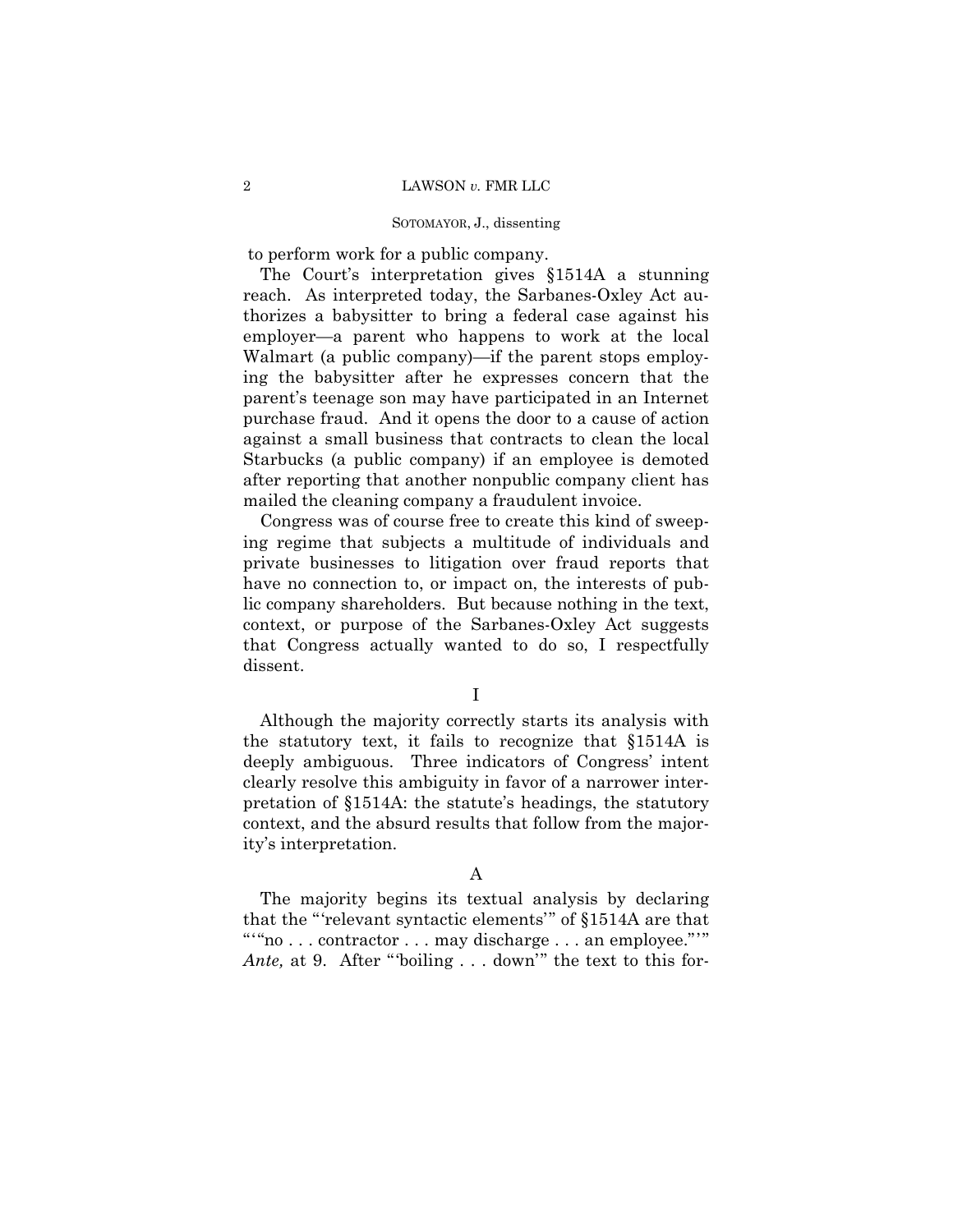to perform work for a public company.

The Court's interpretation gives §1514A a stunning reach. As interpreted today, the Sarbanes-Oxley Act authorizes a babysitter to bring a federal case against his employer—a parent who happens to work at the local Walmart (a public company)—if the parent stops employing the babysitter after he expresses concern that the parent's teenage son may have participated in an Internet purchase fraud. And it opens the door to a cause of action against a small business that contracts to clean the local Starbucks (a public company) if an employee is demoted after reporting that another nonpublic company client has mailed the cleaning company a fraudulent invoice.

Congress was of course free to create this kind of sweeping regime that subjects a multitude of individuals and private businesses to litigation over fraud reports that have no connection to, or impact on, the interests of public company shareholders. But because nothing in the text, context, or purpose of the Sarbanes-Oxley Act suggests that Congress actually wanted to do so, I respectfully dissent.

I

Although the majority correctly starts its analysis with the statutory text, it fails to recognize that §1514A is deeply ambiguous. Three indicators of Congress' intent clearly resolve this ambiguity in favor of a narrower interpretation of §1514A: the statute's headings, the statutory context, and the absurd results that follow from the majority's interpretation.

 "'"no . . . contractor . . . may discharge . . . an employee."'" The majority begins its textual analysis by declaring that the "'relevant syntactic elements'" of §1514A are that *Ante,* at 9. After "'boiling . . . down'" the text to this for-

A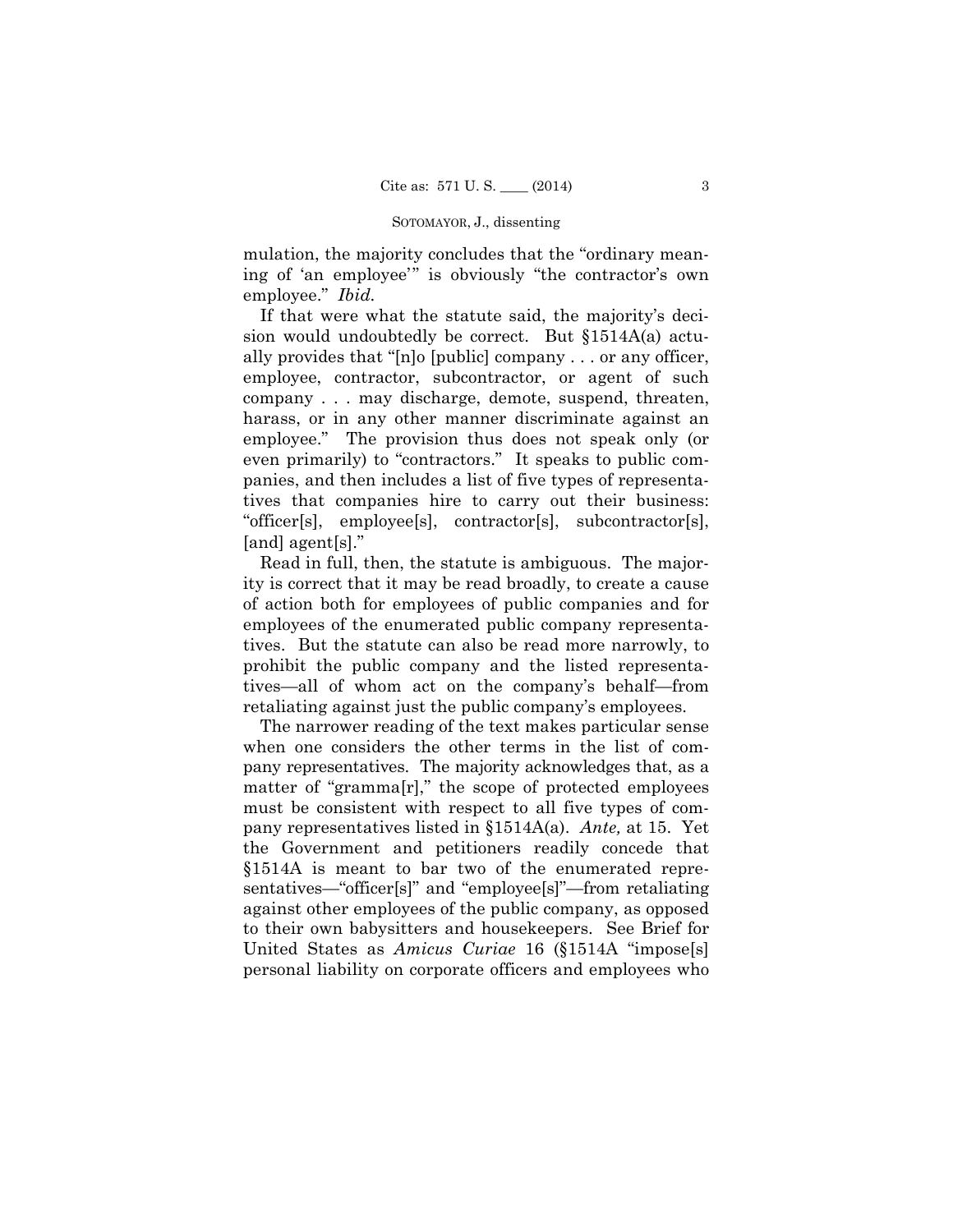mulation, the majority concludes that the "ordinary meaning of 'an employee'" is obviously "the contractor's own employee." *Ibid.* 

If that were what the statute said, the majority's decision would undoubtedly be correct. But §1514A(a) actually provides that "[n]o [public] company . . . or any officer, employee, contractor, subcontractor, or agent of such company . . . may discharge, demote, suspend, threaten, harass, or in any other manner discriminate against an employee." The provision thus does not speak only (or even primarily) to "contractors." It speaks to public companies, and then includes a list of five types of representatives that companies hire to carry out their business: "officer[s], employee[s], contractor[s], subcontractor[s], [and] agent[s]."

Read in full, then, the statute is ambiguous. The majority is correct that it may be read broadly, to create a cause of action both for employees of public companies and for employees of the enumerated public company representatives. But the statute can also be read more narrowly, to prohibit the public company and the listed representatives—all of whom act on the company's behalf—from retaliating against just the public company's employees.

The narrower reading of the text makes particular sense when one considers the other terms in the list of company representatives. The majority acknowledges that, as a matter of "gramma[r]," the scope of protected employees must be consistent with respect to all five types of company representatives listed in §1514A(a). *Ante,* at 15. Yet the Government and petitioners readily concede that §1514A is meant to bar two of the enumerated representatives—"officer[s]" and "employee[s]"—from retaliating against other employees of the public company, as opposed to their own babysitters and housekeepers. See Brief for United States as *Amicus Curiae* 16 (§1514A "impose[s] personal liability on corporate officers and employees who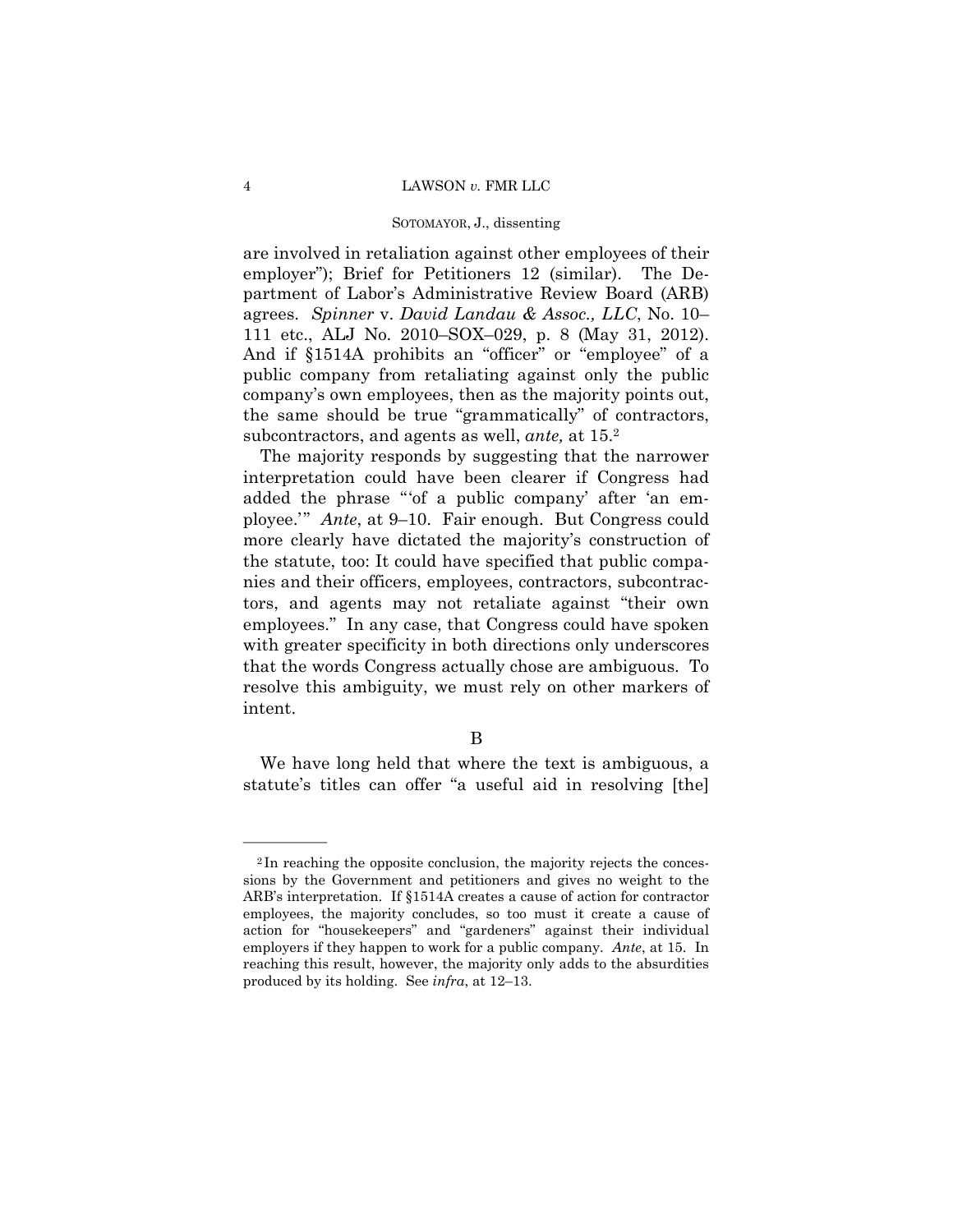#### SOTOMAYOR, J., dissenting

are involved in retaliation against other employees of their employer"); Brief for Petitioners 12 (similar). The Department of Labor's Administrative Review Board (ARB) agrees. *Spinner* v. *David Landau & Assoc., LLC*, No. 10– 111 etc., ALJ No. 2010–SOX–029, p. 8 (May 31, 2012). And if §1514A prohibits an "officer" or "employee" of a public company from retaliating against only the public company's own employees, then as the majority points out, the same should be true "grammatically" of contractors, subcontractors, and agents as well, *ante,* at 15.2

The majority responds by suggesting that the narrower interpretation could have been clearer if Congress had added the phrase "'of a public company' after 'an employee.'" *Ante*, at 9–10. Fair enough. But Congress could more clearly have dictated the majority's construction of the statute, too: It could have specified that public companies and their officers, employees, contractors, subcontractors, and agents may not retaliate against "their own employees." In any case, that Congress could have spoken with greater specificity in both directions only underscores that the words Congress actually chose are ambiguous. To resolve this ambiguity, we must rely on other markers of intent.

# B

We have long held that where the text is ambiguous, a statute's titles can offer "a useful aid in resolving [the]

<sup>2</sup> In reaching the opposite conclusion, the majority rejects the concessions by the Government and petitioners and gives no weight to the ARB's interpretation. If §1514A creates a cause of action for contractor employees, the majority concludes, so too must it create a cause of action for "housekeepers" and "gardeners" against their individual employers if they happen to work for a public company. *Ante*, at 15. In reaching this result, however, the majority only adds to the absurdities produced by its holding. See *infra*, at 12–13.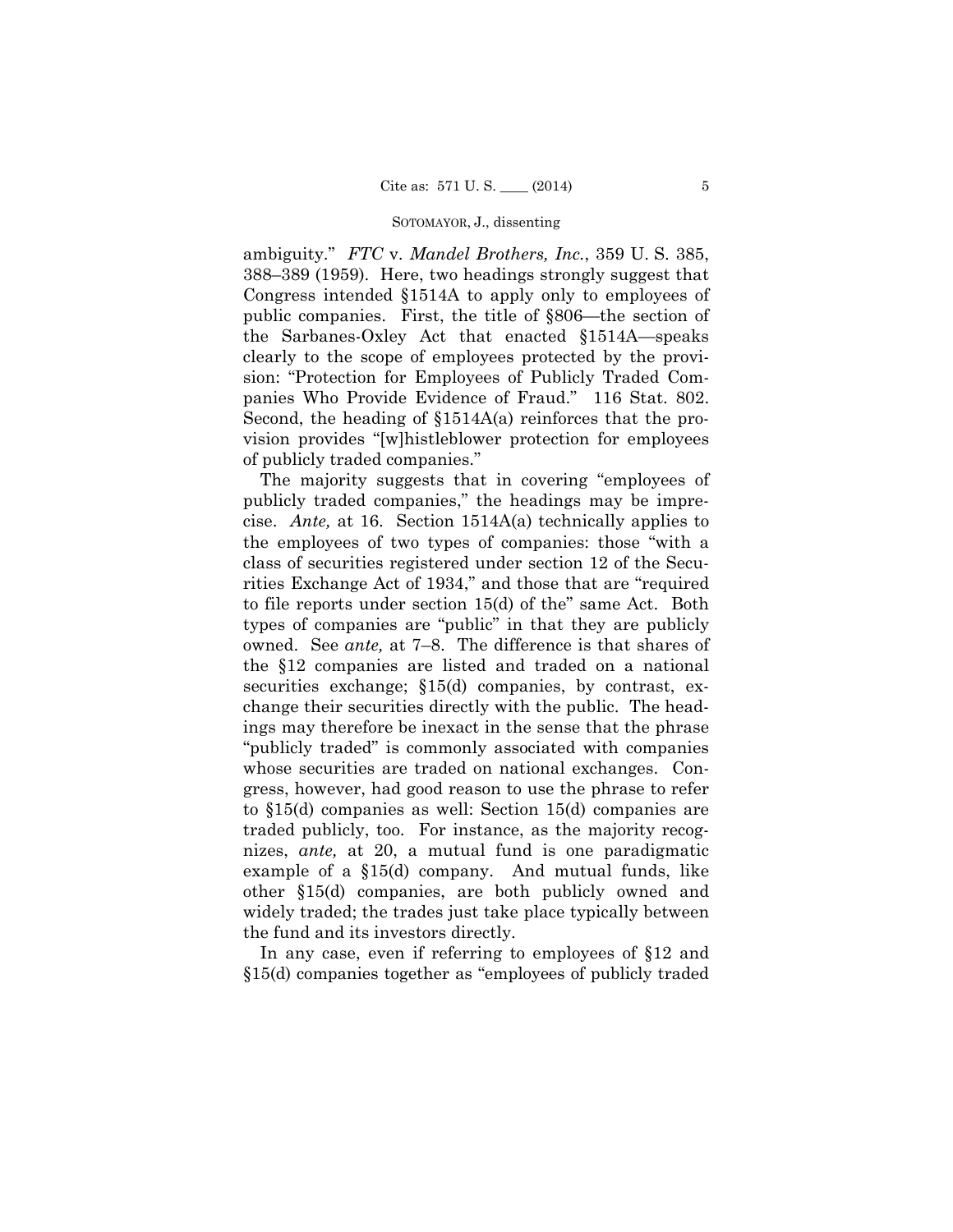panies Who Provide Evidence of Fraud." 116 Stat. 802. Second, the heading of §1514A(a) reinforces that the proambiguity." *FTC* v. *Mandel Brothers, Inc.*, 359 U. S. 385, 388–389 (1959). Here, two headings strongly suggest that Congress intended §1514A to apply only to employees of public companies. First, the title of §806—the section of the Sarbanes-Oxley Act that enacted §1514A—speaks clearly to the scope of employees protected by the provision: "Protection for Employees of Publicly Traded Comvision provides "[w]histleblower protection for employees of publicly traded companies."

The majority suggests that in covering "employees of publicly traded companies," the headings may be imprecise. *Ante,* at 16. Section 1514A(a) technically applies to the employees of two types of companies: those "with a class of securities registered under section 12 of the Securities Exchange Act of 1934," and those that are "required to file reports under section 15(d) of the" same Act. Both types of companies are "public" in that they are publicly owned. See *ante,* at 7–8. The difference is that shares of the §12 companies are listed and traded on a national securities exchange;  $$15(d)$  companies, by contrast, exchange their securities directly with the public. The headings may therefore be inexact in the sense that the phrase "publicly traded" is commonly associated with companies whose securities are traded on national exchanges. Congress, however, had good reason to use the phrase to refer to §15(d) companies as well: Section 15(d) companies are traded publicly, too. For instance, as the majority recognizes, *ante,* at 20, a mutual fund is one paradigmatic example of a §15(d) company. And mutual funds, like other §15(d) companies, are both publicly owned and widely traded; the trades just take place typically between the fund and its investors directly.

In any case, even if referring to employees of §12 and §15(d) companies together as "employees of publicly traded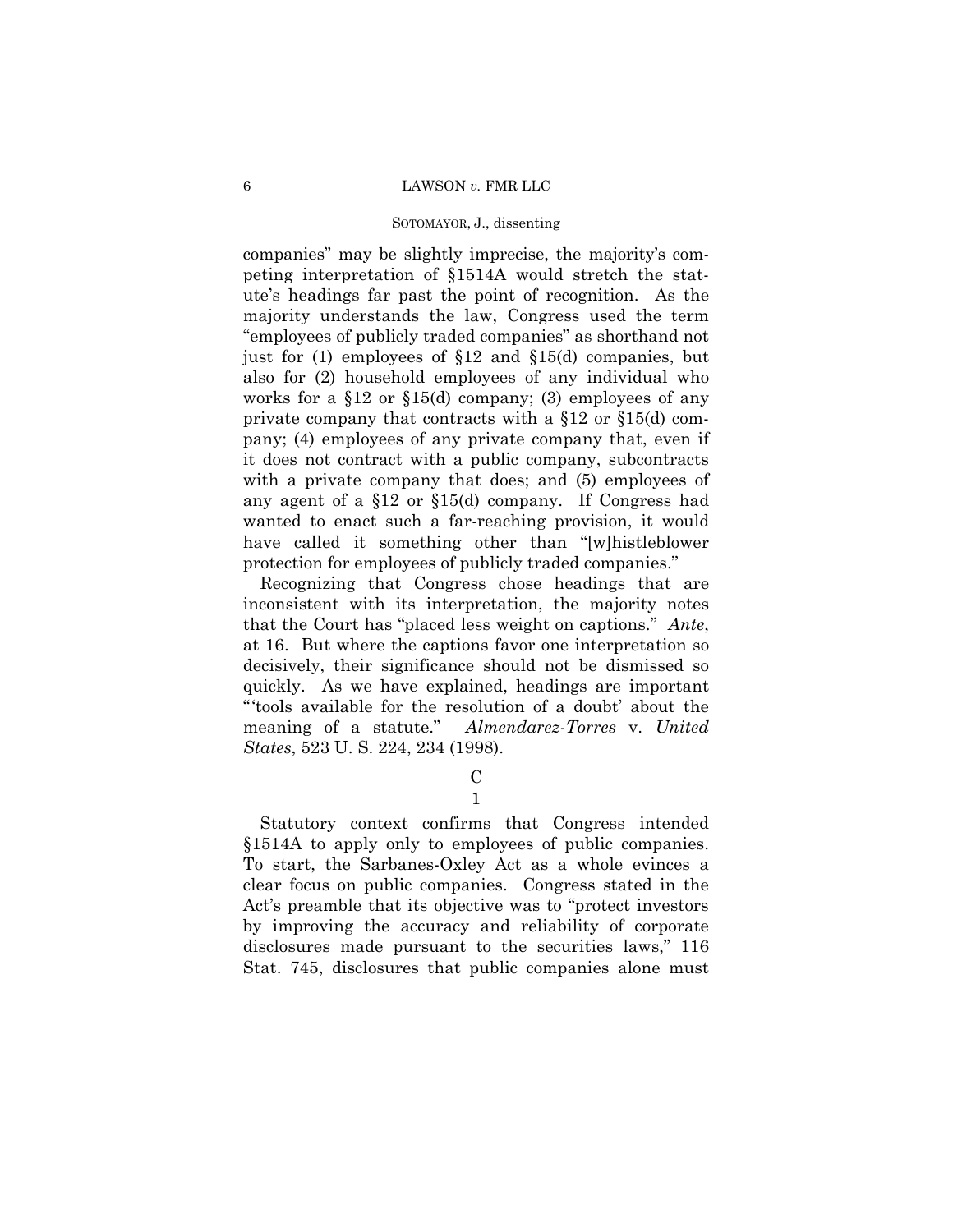#### SOTOMAYOR, J., dissenting

companies" may be slightly imprecise, the majority's competing interpretation of §1514A would stretch the statute's headings far past the point of recognition. As the majority understands the law, Congress used the term "employees of publicly traded companies" as shorthand not just for (1) employees of §12 and §15(d) companies, but also for (2) household employees of any individual who works for a §12 or §15(d) company; (3) employees of any private company that contracts with a §12 or §15(d) company; (4) employees of any private company that, even if it does not contract with a public company, subcontracts with a private company that does; and  $(5)$  employees of any agent of a §12 or §15(d) company. If Congress had wanted to enact such a far-reaching provision, it would have called it something other than "[w]histleblower protection for employees of publicly traded companies."

Recognizing that Congress chose headings that are inconsistent with its interpretation, the majority notes that the Court has "placed less weight on captions." *Ante*, at 16. But where the captions favor one interpretation so decisively, their significance should not be dismissed so quickly. As we have explained, headings are important "'tools available for the resolution of a doubt' about the meaning of a statute." *Almendarez-Torres* v. *United States*, 523 U. S. 224, 234 (1998).

> C 1

Statutory context confirms that Congress intended §1514A to apply only to employees of public companies. To start, the Sarbanes-Oxley Act as a whole evinces a clear focus on public companies. Congress stated in the Act's preamble that its objective was to "protect investors by improving the accuracy and reliability of corporate disclosures made pursuant to the securities laws," 116 Stat. 745, disclosures that public companies alone must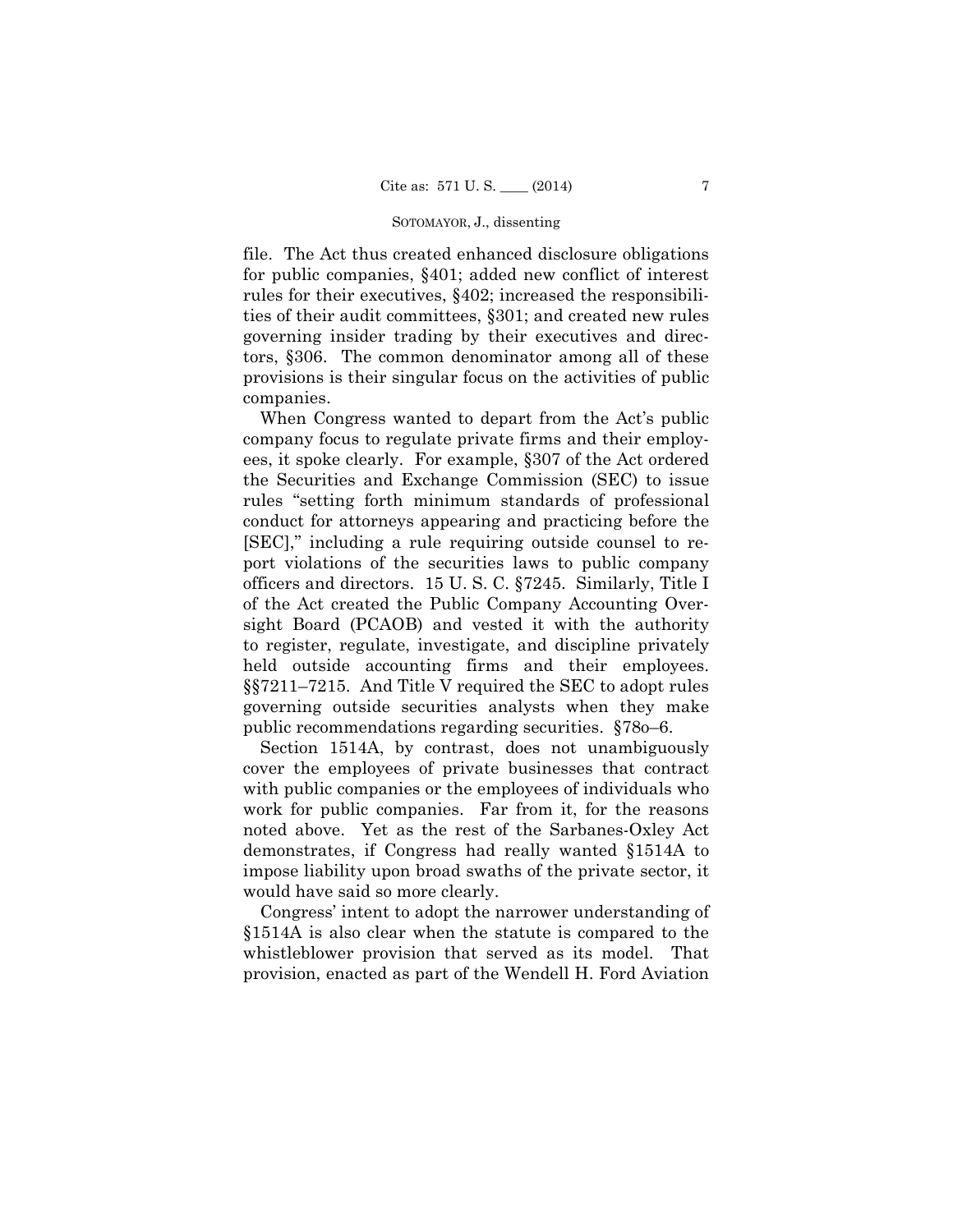file. The Act thus created enhanced disclosure obligations for public companies, §401; added new conflict of interest rules for their executives, §402; increased the responsibilities of their audit committees, §301; and created new rules governing insider trading by their executives and directors, §306. The common denominator among all of these provisions is their singular focus on the activities of public companies.

When Congress wanted to depart from the Act's public company focus to regulate private firms and their employees, it spoke clearly. For example, §307 of the Act ordered the Securities and Exchange Commission (SEC) to issue rules "setting forth minimum standards of professional conduct for attorneys appearing and practicing before the [SEC]," including a rule requiring outside counsel to report violations of the securities laws to public company officers and directors. 15 U. S. C. §7245. Similarly, Title I of the Act created the Public Company Accounting Oversight Board (PCAOB) and vested it with the authority to register, regulate, investigate, and discipline privately held outside accounting firms and their employees. §§7211–7215. And Title V required the SEC to adopt rules governing outside securities analysts when they make public recommendations regarding securities. §78o–6.

Section 1514A, by contrast, does not unambiguously cover the employees of private businesses that contract with public companies or the employees of individuals who work for public companies. Far from it, for the reasons noted above. Yet as the rest of the Sarbanes-Oxley Act demonstrates, if Congress had really wanted §1514A to impose liability upon broad swaths of the private sector, it would have said so more clearly.

Congress' intent to adopt the narrower understanding of §1514A is also clear when the statute is compared to the whistleblower provision that served as its model. That provision, enacted as part of the Wendell H. Ford Aviation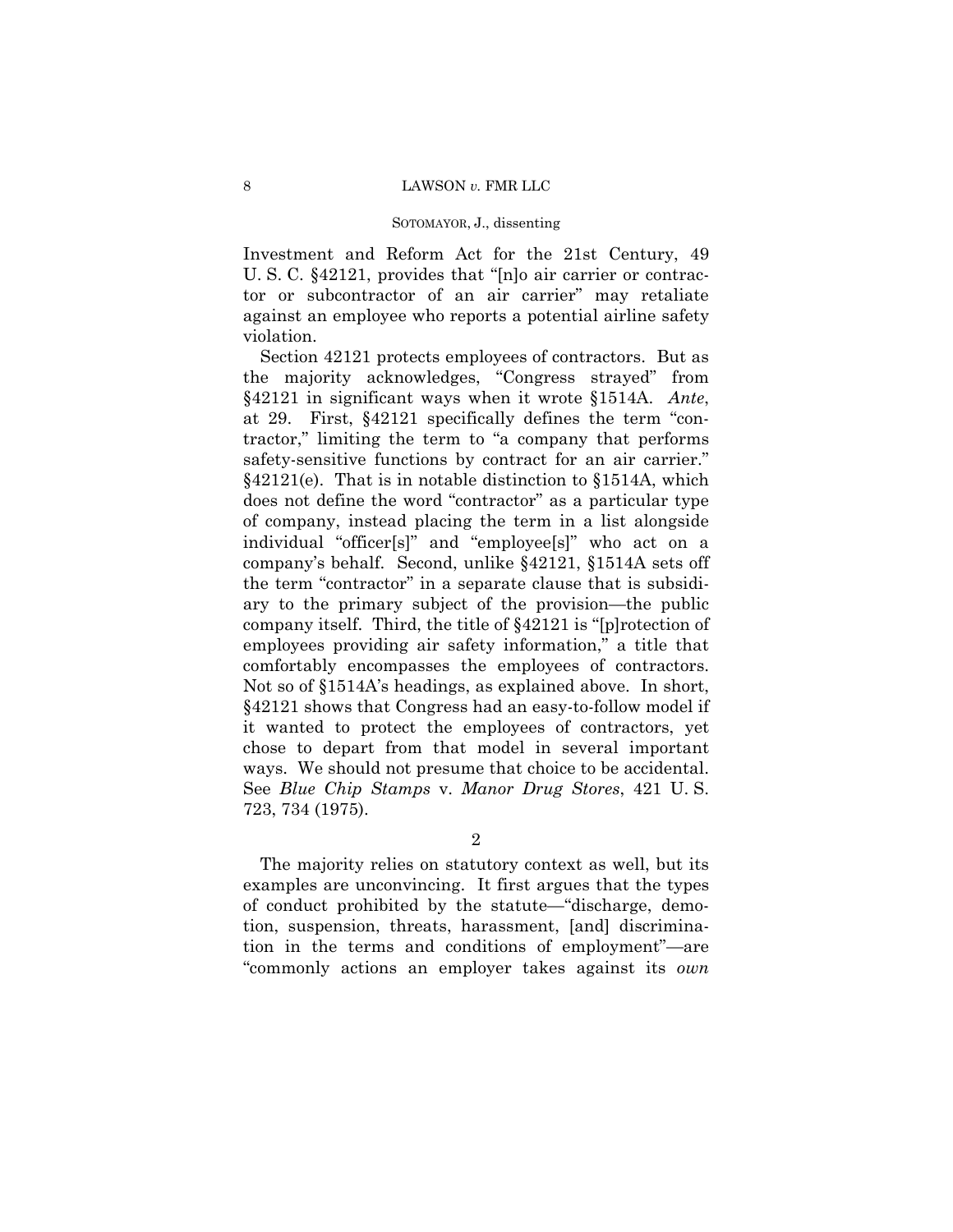Investment and Reform Act for the 21st Century, 49 U. S. C. §42121, provides that "[n]o air carrier or contractor or subcontractor of an air carrier" may retaliate against an employee who reports a potential airline safety violation.

 ways. We should not presume that choice to be accidental. Section 42121 protects employees of contractors. But as the majority acknowledges, "Congress strayed" from §42121 in significant ways when it wrote §1514A. *Ante*, at 29. First, §42121 specifically defines the term "contractor," limiting the term to "a company that performs safety-sensitive functions by contract for an air carrier." §42121(e). That is in notable distinction to §1514A, which does not define the word "contractor" as a particular type of company, instead placing the term in a list alongside individual "officer[s]" and "employee[s]" who act on a company's behalf. Second, unlike §42121, §1514A sets off the term "contractor" in a separate clause that is subsidiary to the primary subject of the provision—the public company itself. Third, the title of §42121 is "[p]rotection of employees providing air safety information," a title that comfortably encompasses the employees of contractors. Not so of §1514A's headings, as explained above. In short, §42121 shows that Congress had an easy-to-follow model if it wanted to protect the employees of contractors, yet chose to depart from that model in several important See *Blue Chip Stamps* v. *Manor Drug Stores*, 421 U. S. 723, 734 (1975).

2

The majority relies on statutory context as well, but its examples are unconvincing. It first argues that the types of conduct prohibited by the statute—"discharge, demotion, suspension, threats, harassment, [and] discrimination in the terms and conditions of employment"—are "commonly actions an employer takes against its *own*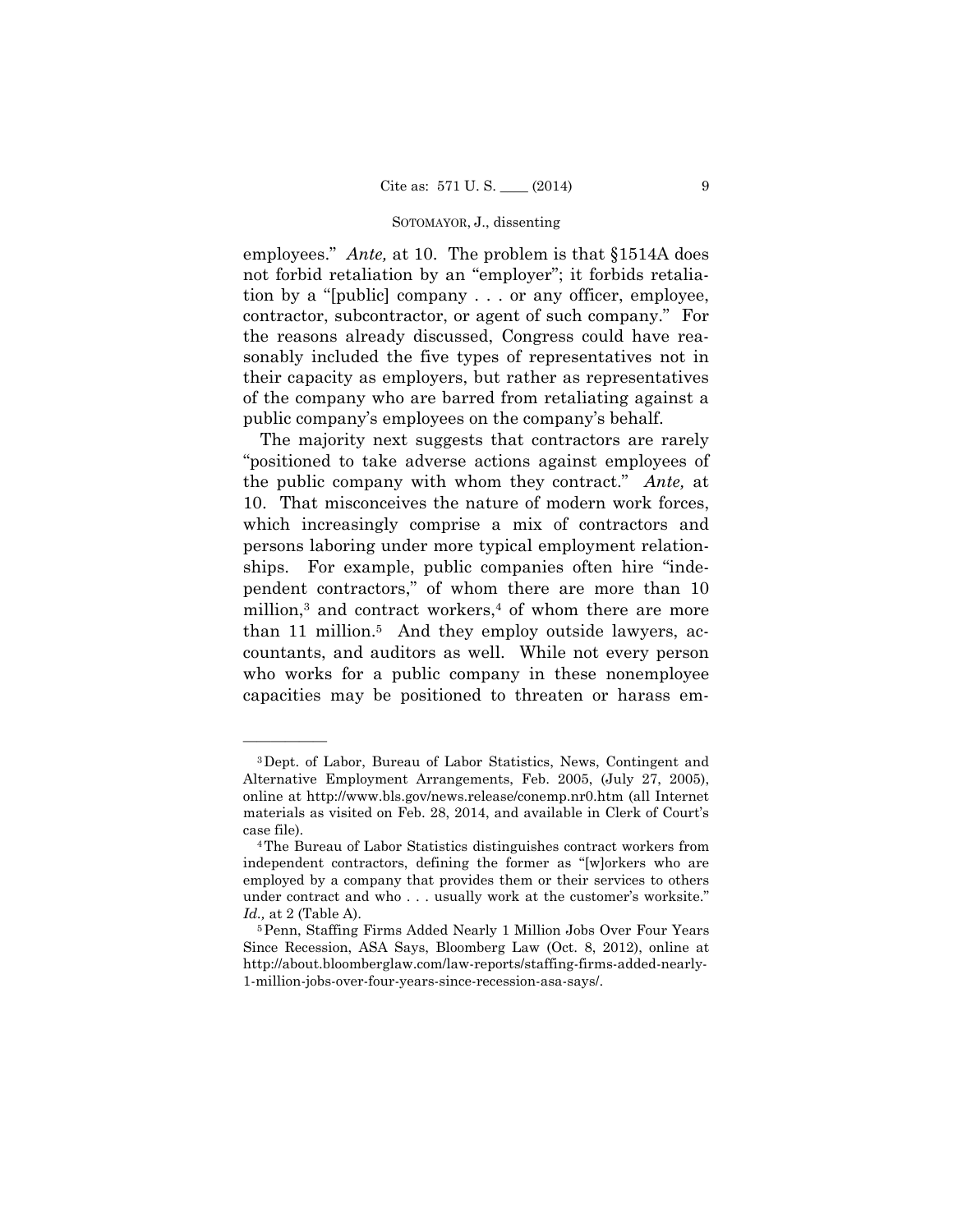employees." *Ante,* at 10. The problem is that §1514A does not forbid retaliation by an "employer"; it forbids retaliation by a "[public] company . . . or any officer, employee, contractor, subcontractor, or agent of such company." For the reasons already discussed, Congress could have reasonably included the five types of representatives not in their capacity as employers, but rather as representatives of the company who are barred from retaliating against a public company's employees on the company's behalf.

The majority next suggests that contractors are rarely "positioned to take adverse actions against employees of the public company with whom they contract." *Ante,* at 10. That misconceives the nature of modern work forces, which increasingly comprise a mix of contractors and persons laboring under more typical employment relationships. For example, public companies often hire "independent contractors," of whom there are more than 10 million,<sup>3</sup> and contract workers,<sup>4</sup> of whom there are more than 11 million.5 And they employ outside lawyers, accountants, and auditors as well. While not every person who works for a public company in these nonemployee capacities may be positioned to threaten or harass em-

<sup>3</sup>Dept. of Labor, Bureau of Labor Statistics, News, Contingent and Alternative Employment Arrangements, Feb. 2005, (July 27, 2005), online at http://www.bls.gov/news.release/conemp.nr0.htm (all Internet materials as visited on Feb. 28, 2014, and available in Clerk of Court's case file).

<sup>4</sup>The Bureau of Labor Statistics distinguishes contract workers from independent contractors, defining the former as "[w]orkers who are employed by a company that provides them or their services to others under contract and who . . . usually work at the customer's worksite." *Id.,* at 2 (Table A).

<sup>5</sup>Penn, Staffing Firms Added Nearly 1 Million Jobs Over Four Years Since Recession, ASA Says, Bloomberg Law (Oct. 8, 2012), online at http://about.bloomberglaw.com/law-reports/staffing-firms-added-nearly-1-million-jobs-over-four-years-since-recession-asa-says/.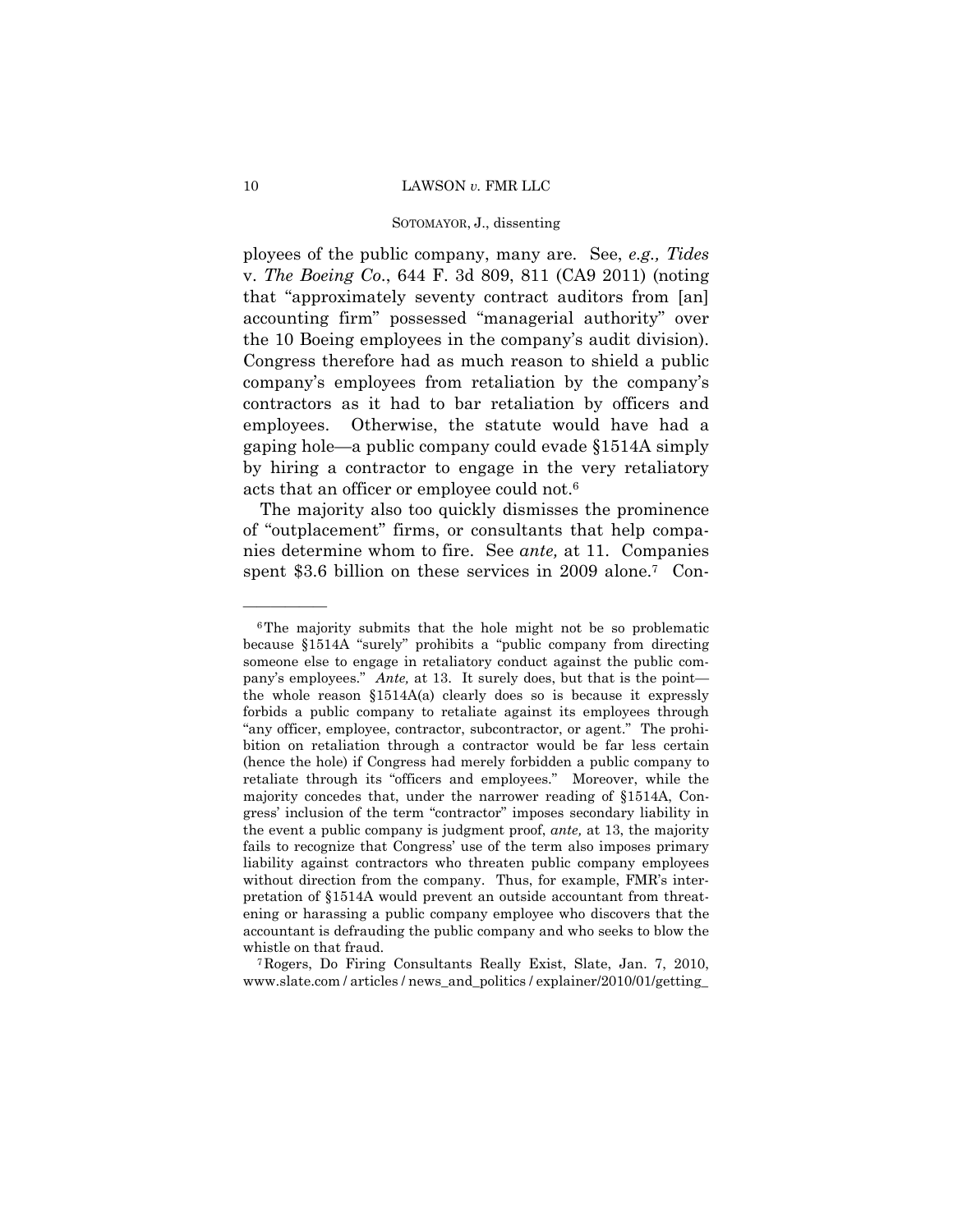#### SOTOMAYOR, J., dissenting

 ployees of the public company, many are. See, *e.g., Tides*  employees. v. *The Boeing Co*., 644 F. 3d 809, 811 (CA9 2011) (noting that "approximately seventy contract auditors from [an] accounting firm" possessed "managerial authority" over the 10 Boeing employees in the company's audit division). Congress therefore had as much reason to shield a public company's employees from retaliation by the company's contractors as it had to bar retaliation by officers and Otherwise, the statute would have had a gaping hole—a public company could evade §1514A simply by hiring a contractor to engage in the very retaliatory acts that an officer or employee could not.6

The majority also too quickly dismisses the prominence of "outplacement" firms, or consultants that help companies determine whom to fire. See *ante,* at 11. Companies spent \$3.6 billion on these services in 2009 alone.7 Con-

<sup>6</sup>The majority submits that the hole might not be so problematic because §1514A "surely" prohibits a "public company from directing someone else to engage in retaliatory conduct against the public company's employees." *Ante,* at 13. It surely does, but that is the point the whole reason §1514A(a) clearly does so is because it expressly forbids a public company to retaliate against its employees through "any officer, employee, contractor, subcontractor, or agent." The prohibition on retaliation through a contractor would be far less certain (hence the hole) if Congress had merely forbidden a public company to retaliate through its "officers and employees." Moreover, while the majority concedes that, under the narrower reading of §1514A, Congress' inclusion of the term "contractor" imposes secondary liability in the event a public company is judgment proof, *ante,* at 13, the majority fails to recognize that Congress' use of the term also imposes primary liability against contractors who threaten public company employees without direction from the company. Thus, for example, FMR's interpretation of §1514A would prevent an outside accountant from threatening or harassing a public company employee who discovers that the accountant is defrauding the public company and who seeks to blow the

whistle on that fraud.<br><sup>7</sup>Rogers, Do Firing Consultants Really Exist, Slate, Jan. 7, 2010, www.slate.com / articles / news\_and\_politics / explainer/2010/01/getting\_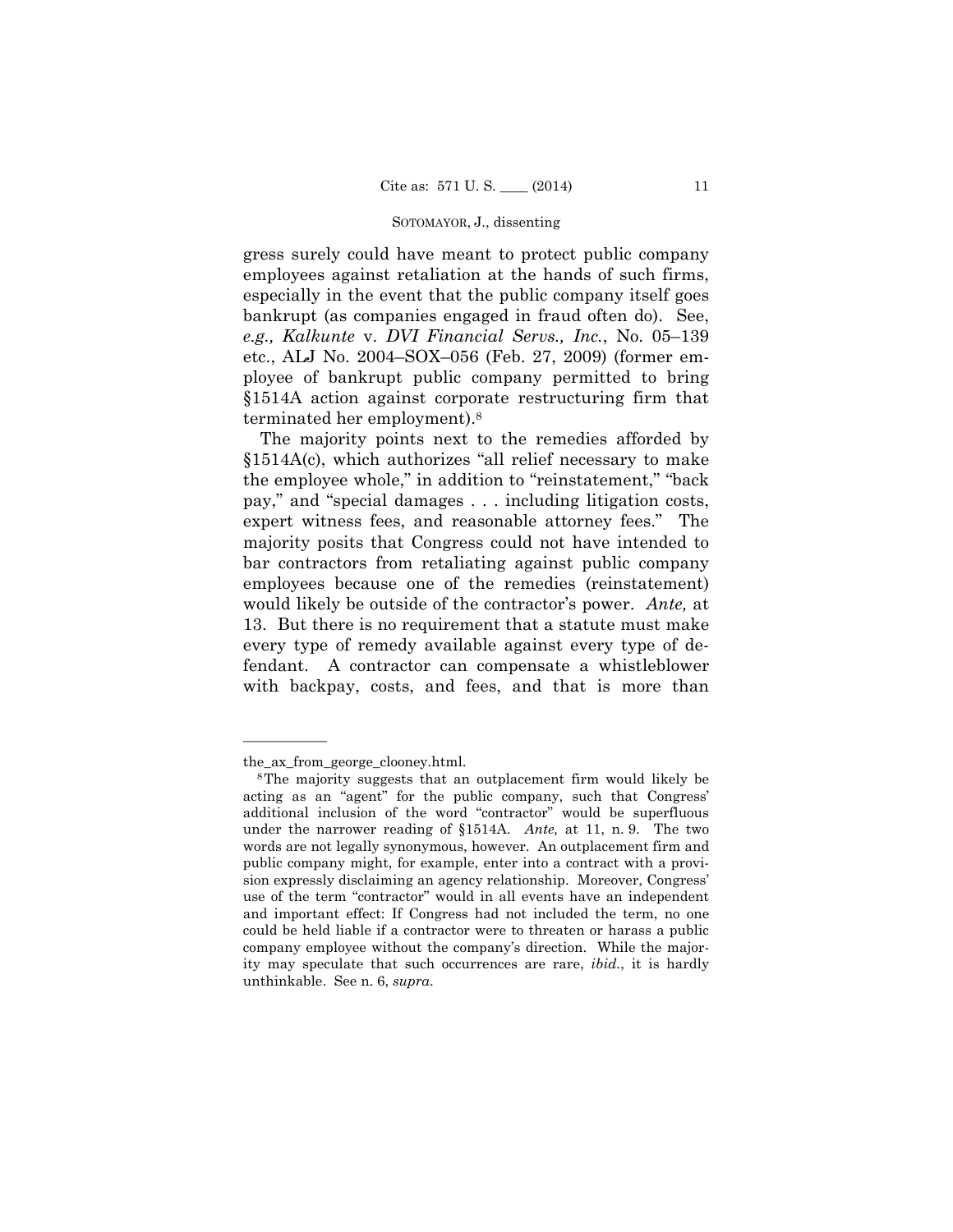gress surely could have meant to protect public company employees against retaliation at the hands of such firms, especially in the event that the public company itself goes bankrupt (as companies engaged in fraud often do). See, *e.g., Kalkunte* v. *DVI Financial Servs., Inc.*, No. 05–139 etc., ALJ No. 2004–SOX–056 (Feb. 27, 2009) (former employee of bankrupt public company permitted to bring §1514A action against corporate restructuring firm that terminated her employment).8

The majority points next to the remedies afforded by §1514A(c), which authorizes "all relief necessary to make the employee whole," in addition to "reinstatement," "back pay," and "special damages . . . including litigation costs, expert witness fees, and reasonable attorney fees." The majority posits that Congress could not have intended to bar contractors from retaliating against public company employees because one of the remedies (reinstatement) would likely be outside of the contractor's power. *Ante,* at 13. But there is no requirement that a statute must make every type of remedy available against every type of defendant. A contractor can compensate a whistleblower with backpay, costs, and fees, and that is more than

 could be held liable if a contractor were to threaten or harass a public the\_ax\_from\_george\_clooney.html. 8The majority suggests that an outplacement firm would likely be acting as an "agent" for the public company, such that Congress' additional inclusion of the word "contractor" would be superfluous under the narrower reading of §1514A. *Ante,* at 11, n. 9. The two words are not legally synonymous, however. An outplacement firm and public company might, for example, enter into a contract with a provision expressly disclaiming an agency relationship. Moreover, Congress' use of the term "contractor" would in all events have an independent and important effect: If Congress had not included the term, no one company employee without the company's direction. While the majority may speculate that such occurrences are rare, *ibid.*, it is hardly unthinkable. See n. 6, *supra*.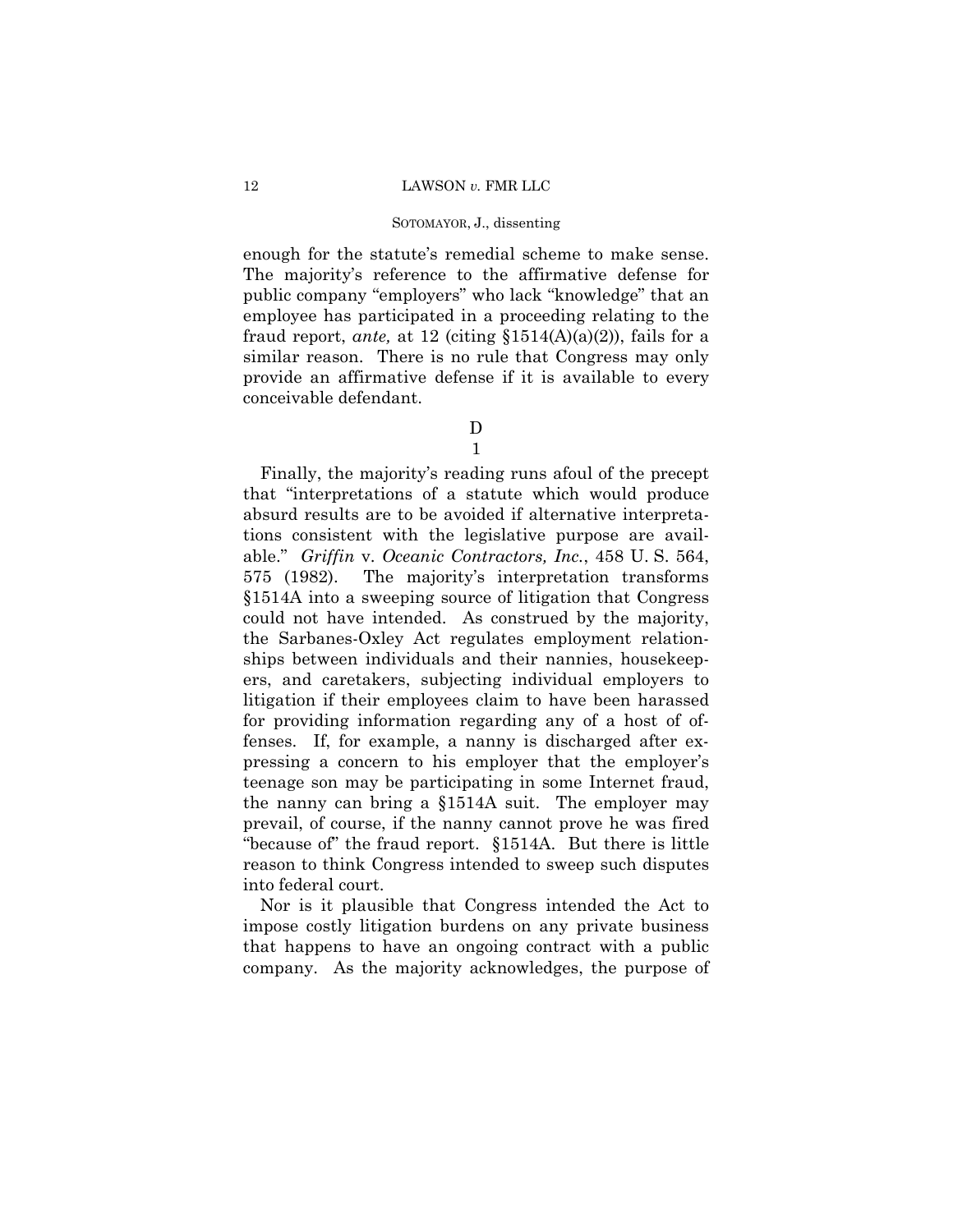enough for the statute's remedial scheme to make sense. The majority's reference to the affirmative defense for public company "employers" who lack "knowledge" that an employee has participated in a proceeding relating to the fraud report, *ante*, at 12 (citing  $$1514(A)(a)(2)$ ), fails for a similar reason. There is no rule that Congress may only provide an affirmative defense if it is available to every conceivable defendant.

D

1

Finally, the majority's reading runs afoul of the precept that "interpretations of a statute which would produce absurd results are to be avoided if alternative interpretations consistent with the legislative purpose are available." *Griffin* v. *Oceanic Contractors, Inc.*, 458 U. S. 564, 575 (1982). The majority's interpretation transforms §1514A into a sweeping source of litigation that Congress could not have intended. As construed by the majority, the Sarbanes-Oxley Act regulates employment relationships between individuals and their nannies, housekeepers, and caretakers, subjecting individual employers to litigation if their employees claim to have been harassed for providing information regarding any of a host of offenses. If, for example, a nanny is discharged after expressing a concern to his employer that the employer's teenage son may be participating in some Internet fraud, the nanny can bring a §1514A suit. The employer may prevail, of course, if the nanny cannot prove he was fired "because of" the fraud report. §1514A. But there is little reason to think Congress intended to sweep such disputes into federal court.

Nor is it plausible that Congress intended the Act to impose costly litigation burdens on any private business that happens to have an ongoing contract with a public company. As the majority acknowledges, the purpose of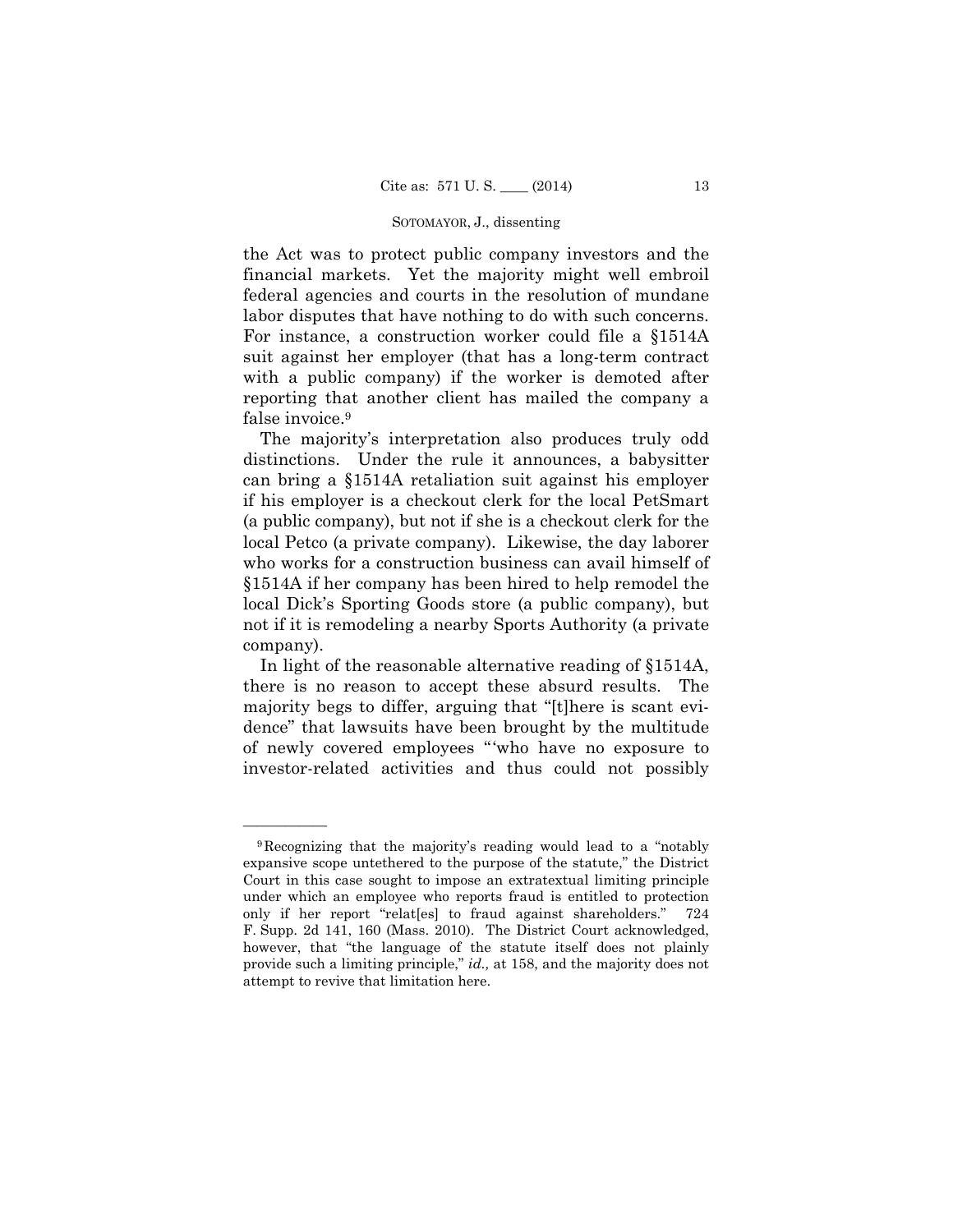labor disputes that have nothing to do with such concerns. false invoice.<sup>9</sup> the Act was to protect public company investors and the financial markets. Yet the majority might well embroil federal agencies and courts in the resolution of mundane For instance, a construction worker could file a §1514A suit against her employer (that has a long-term contract with a public company) if the worker is demoted after reporting that another client has mailed the company a

The majority's interpretation also produces truly odd distinctions. Under the rule it announces, a babysitter can bring a §1514A retaliation suit against his employer if his employer is a checkout clerk for the local PetSmart (a public company), but not if she is a checkout clerk for the local Petco (a private company). Likewise, the day laborer who works for a construction business can avail himself of §1514A if her company has been hired to help remodel the local Dick's Sporting Goods store (a public company), but not if it is remodeling a nearby Sports Authority (a private company).

In light of the reasonable alternative reading of §1514A, there is no reason to accept these absurd results. The majority begs to differ, arguing that "[t]here is scant evidence" that lawsuits have been brought by the multitude of newly covered employees "'who have no exposure to investor-related activities and thus could not possibly

<sup>9</sup>Recognizing that the majority's reading would lead to a "notably expansive scope untethered to the purpose of the statute," the District Court in this case sought to impose an extratextual limiting principle under which an employee who reports fraud is entitled to protection only if her report "relat[es] to fraud against shareholders." 724 F. Supp. 2d 141, 160 (Mass. 2010). The District Court acknowledged, however, that "the language of the statute itself does not plainly provide such a limiting principle," *id.,* at 158, and the majority does not attempt to revive that limitation here.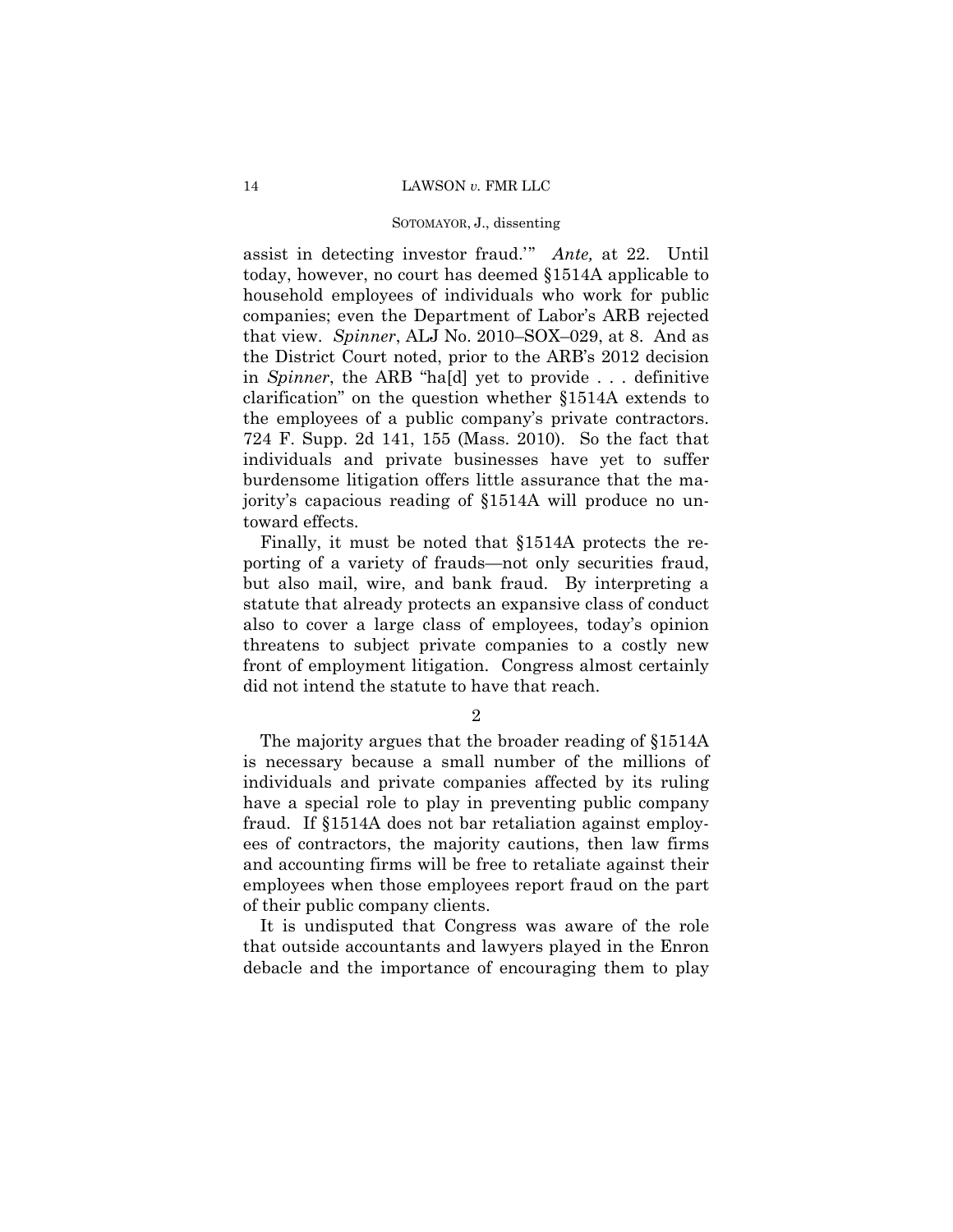the employees of a public company's private contractors. assist in detecting investor fraud.'" *Ante,* at 22. Until today, however, no court has deemed §1514A applicable to household employees of individuals who work for public companies; even the Department of Labor's ARB rejected that view. *Spinner*, ALJ No. 2010–SOX–029, at 8. And as the District Court noted, prior to the ARB's 2012 decision in *Spinner*, the ARB "ha[d] yet to provide . . . definitive clarification" on the question whether §1514A extends to 724 F. Supp. 2d 141, 155 (Mass. 2010). So the fact that individuals and private businesses have yet to suffer burdensome litigation offers little assurance that the majority's capacious reading of §1514A will produce no untoward effects.

Finally, it must be noted that §1514A protects the reporting of a variety of frauds—not only securities fraud, but also mail, wire, and bank fraud. By interpreting a statute that already protects an expansive class of conduct also to cover a large class of employees, today's opinion threatens to subject private companies to a costly new front of employment litigation. Congress almost certainly did not intend the statute to have that reach.

2

The majority argues that the broader reading of §1514A is necessary because a small number of the millions of individuals and private companies affected by its ruling have a special role to play in preventing public company fraud. If §1514A does not bar retaliation against employees of contractors, the majority cautions, then law firms and accounting firms will be free to retaliate against their employees when those employees report fraud on the part of their public company clients.

It is undisputed that Congress was aware of the role that outside accountants and lawyers played in the Enron debacle and the importance of encouraging them to play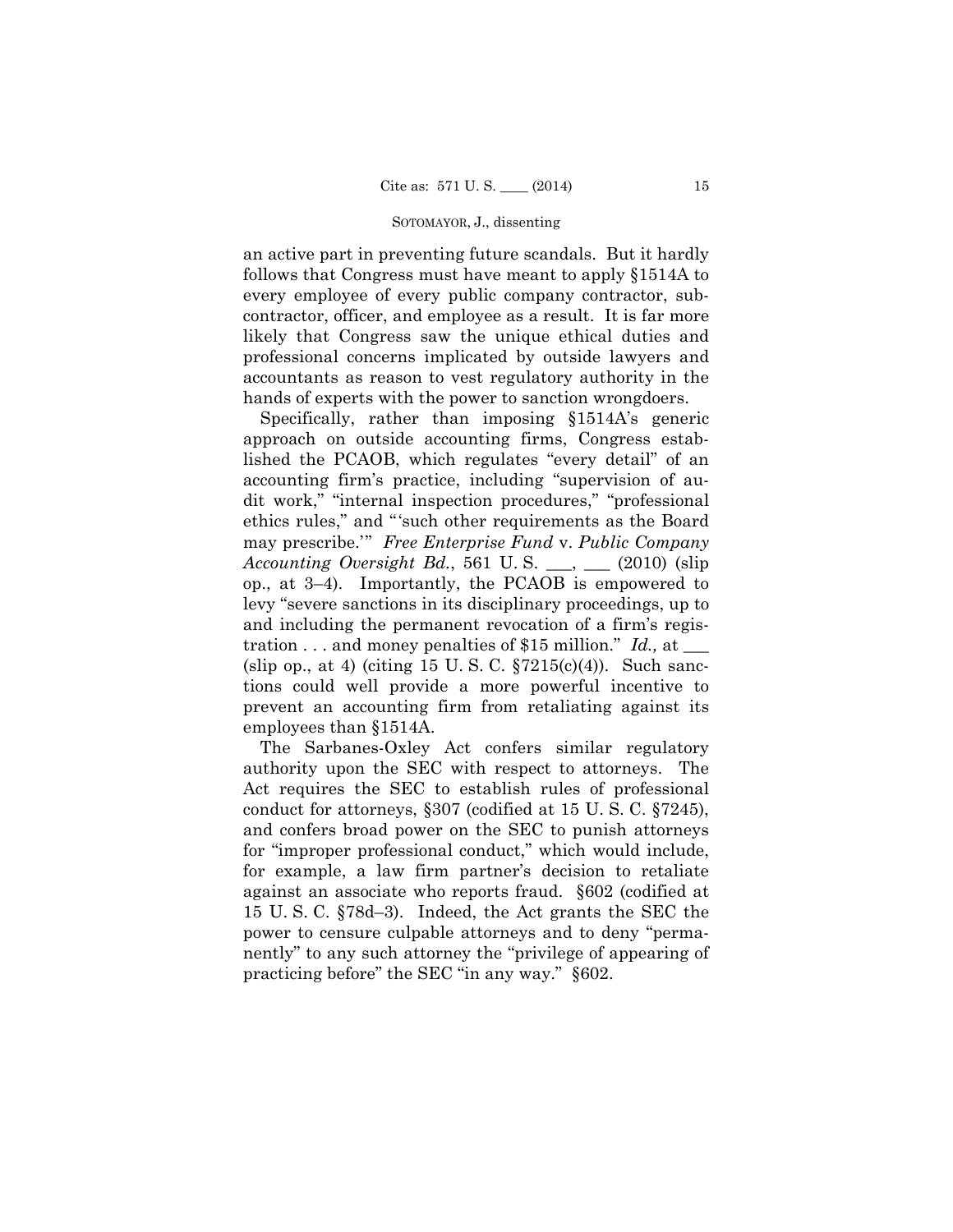an active part in preventing future scandals. But it hardly follows that Congress must have meant to apply §1514A to every employee of every public company contractor, subcontractor, officer, and employee as a result. It is far more likely that Congress saw the unique ethical duties and professional concerns implicated by outside lawyers and accountants as reason to vest regulatory authority in the hands of experts with the power to sanction wrongdoers.

Specifically, rather than imposing §1514A's generic approach on outside accounting firms, Congress established the PCAOB, which regulates "every detail" of an accounting firm's practice, including "supervision of audit work," "internal inspection procedures," "professional ethics rules," and "'such other requirements as the Board may prescribe.'" *Free Enterprise Fund* v. *Public Company Accounting Oversight Bd.*, 561 U.S. \_\_, \_\_ (2010) (slip op., at 3–4). Importantly, the PCAOB is empowered to levy "severe sanctions in its disciplinary proceedings, up to and including the permanent revocation of a firm's registration . . . and money penalties of \$15 million." *Id.,* at \_\_\_ (slip op., at 4) (citing 15 U.S.C.  $$7215(c)(4)$ ). Such sanctions could well provide a more powerful incentive to prevent an accounting firm from retaliating against its employees than §1514A.

The Sarbanes-Oxley Act confers similar regulatory authority upon the SEC with respect to attorneys. The Act requires the SEC to establish rules of professional conduct for attorneys, §307 (codified at 15 U. S. C. §7245), and confers broad power on the SEC to punish attorneys for "improper professional conduct," which would include, for example, a law firm partner's decision to retaliate against an associate who reports fraud. §602 (codified at 15 U. S. C. §78d–3). Indeed, the Act grants the SEC the power to censure culpable attorneys and to deny "permanently" to any such attorney the "privilege of appearing of practicing before" the SEC "in any way." §602.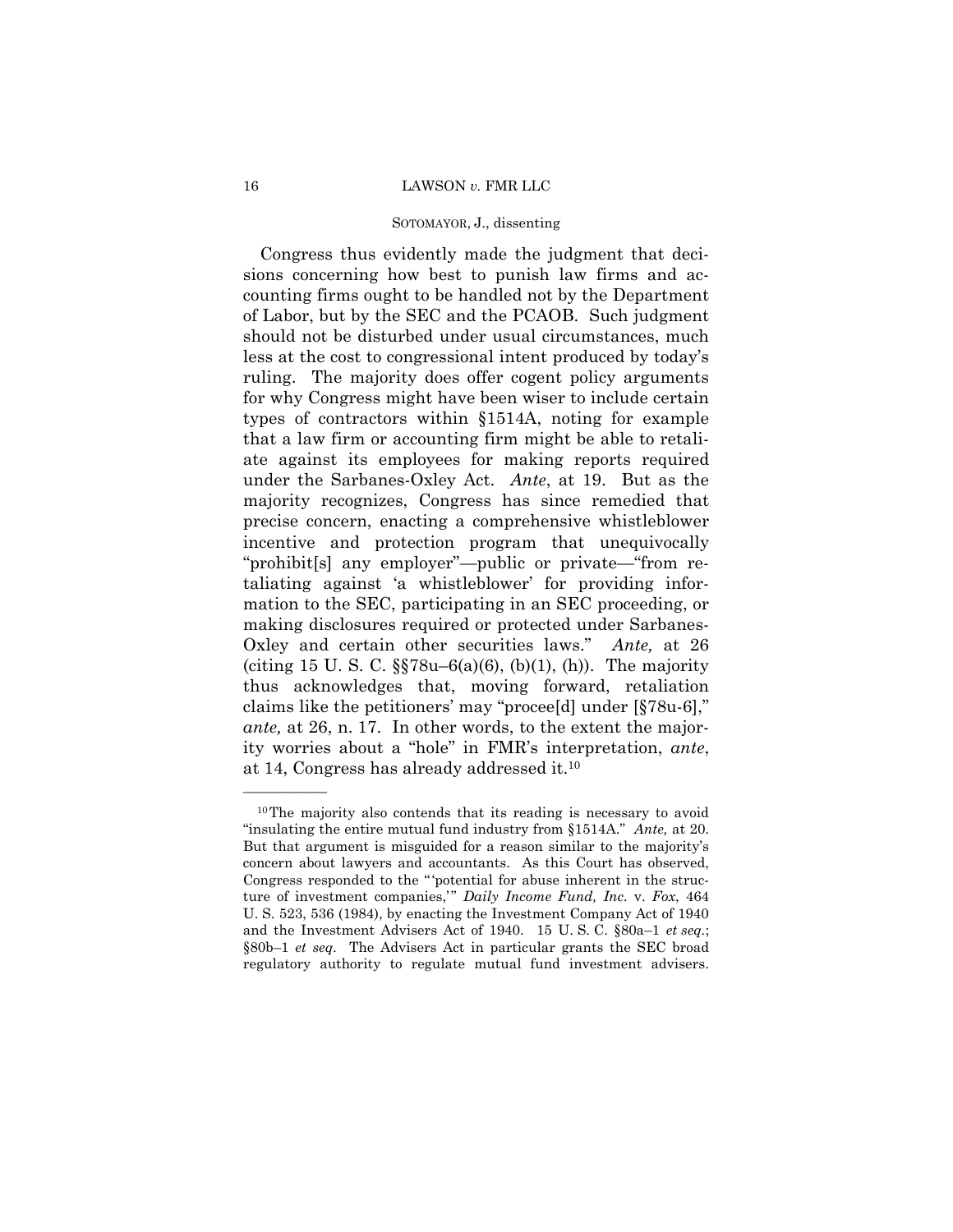#### SOTOMAYOR, J., dissenting

 at 14, Congress has already addressed it.10 Congress thus evidently made the judgment that decisions concerning how best to punish law firms and accounting firms ought to be handled not by the Department of Labor, but by the SEC and the PCAOB. Such judgment should not be disturbed under usual circumstances, much less at the cost to congressional intent produced by today's ruling. The majority does offer cogent policy arguments for why Congress might have been wiser to include certain types of contractors within §1514A, noting for example that a law firm or accounting firm might be able to retaliate against its employees for making reports required under the Sarbanes-Oxley Act. *Ante*, at 19. But as the majority recognizes, Congress has since remedied that precise concern, enacting a comprehensive whistleblower incentive and protection program that unequivocally "prohibit[s] any employer"—public or private—"from retaliating against 'a whistleblower' for providing information to the SEC, participating in an SEC proceeding, or making disclosures required or protected under Sarbanes-Oxley and certain other securities laws." *Ante,* at 26 (citing 15 U. S. C.  $\S$  $78u-6(a)(6)$ , (b)(1), (h)). The majority thus acknowledges that, moving forward, retaliation claims like the petitioners' may "procee[d] under [§78u-6]," *ante,* at 26, n. 17. In other words, to the extent the majority worries about a "hole" in FMR's interpretation, *ante*,

<sup>10</sup>The majority also contends that its reading is necessary to avoid "insulating the entire mutual fund industry from §1514A." *Ante,* at 20. But that argument is misguided for a reason similar to the majority's concern about lawyers and accountants. As this Court has observed, Congress responded to the "'potential for abuse inherent in the structure of investment companies," Daily Income Fund, Inc. v. Fox, 464 U. S. 523, 536 (1984), by enacting the Investment Company Act of 1940 and the Investment Advisers Act of 1940. 15 U. S. C. §80a–1 *et seq.*; §80b–1 *et seq*. The Advisers Act in particular grants the SEC broad regulatory authority to regulate mutual fund investment advisers.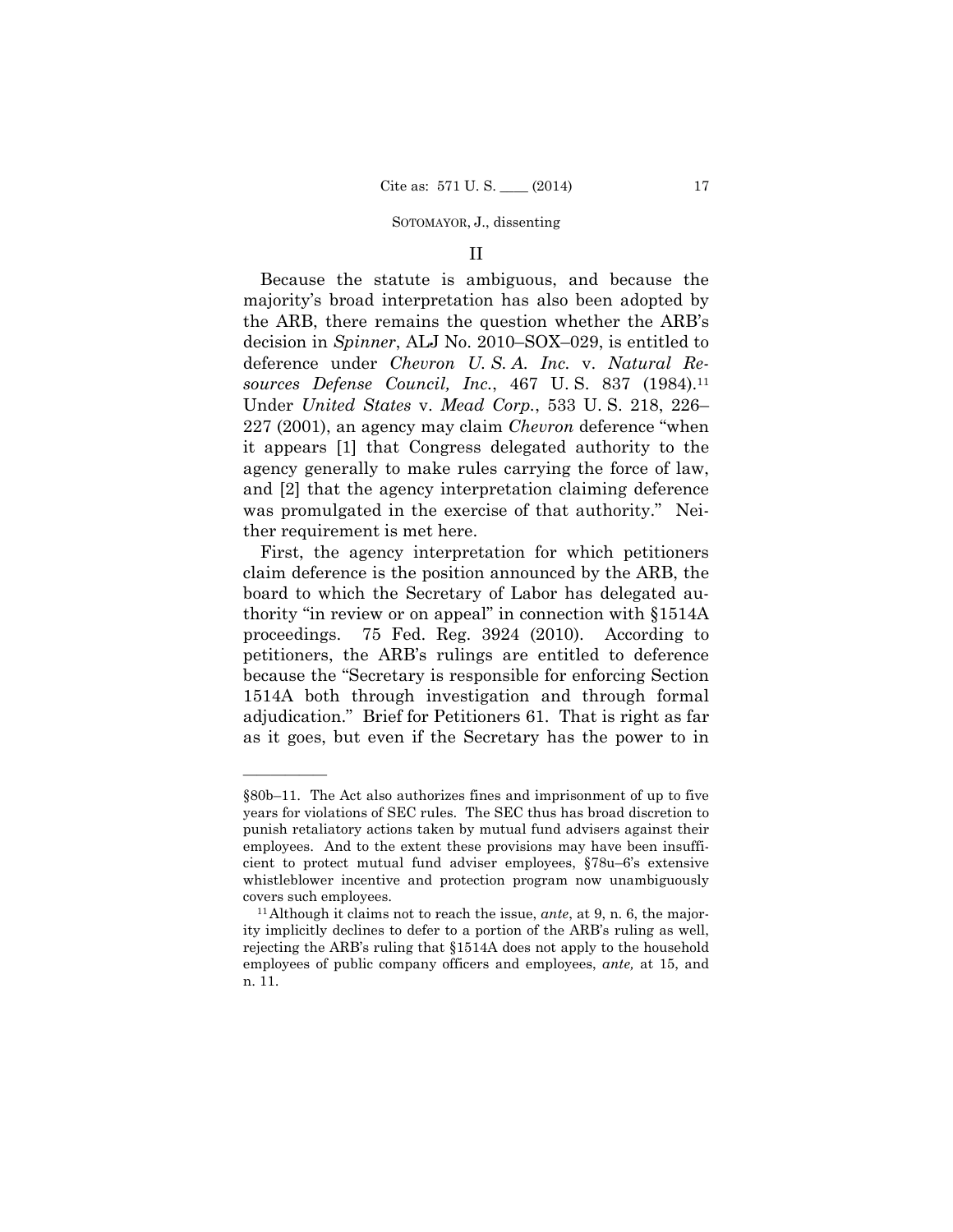#### II

Because the statute is ambiguous, and because the majority's broad interpretation has also been adopted by the ARB, there remains the question whether the ARB's decision in *Spinner*, ALJ No. 2010–SOX–029, is entitled to deference under *Chevron U. S. A. Inc.* v. *Natural Resources Defense Council, Inc.*, 467 U. S. 837 (1984).11 Under *United States* v. *Mead Corp.*, 533 U. S. 218, 226– 227 (2001), an agency may claim *Chevron* deference "when it appears [1] that Congress delegated authority to the agency generally to make rules carrying the force of law, and [2] that the agency interpretation claiming deference was promulgated in the exercise of that authority." Neither requirement is met here.

First, the agency interpretation for which petitioners claim deference is the position announced by the ARB, the board to which the Secretary of Labor has delegated authority "in review or on appeal" in connection with §1514A proceedings. 75 Fed. Reg. 3924 (2010). According to petitioners, the ARB's rulings are entitled to deference because the "Secretary is responsible for enforcing Section 1514A both through investigation and through formal adjudication." Brief for Petitioners 61. That is right as far as it goes, but even if the Secretary has the power to in

 years for violations of SEC rules. The SEC thus has broad discretion to §80b–11. The Act also authorizes fines and imprisonment of up to five punish retaliatory actions taken by mutual fund advisers against their employees. And to the extent these provisions may have been insufficient to protect mutual fund adviser employees, §78u–6's extensive whistleblower incentive and protection program now unambiguously covers such employees. 11Although it claims not to reach the issue, *ante*, at 9, n. 6, the major-

ity implicitly declines to defer to a portion of the ARB's ruling as well, rejecting the ARB's ruling that §1514A does not apply to the household employees of public company officers and employees, *ante,* at 15, and n. 11.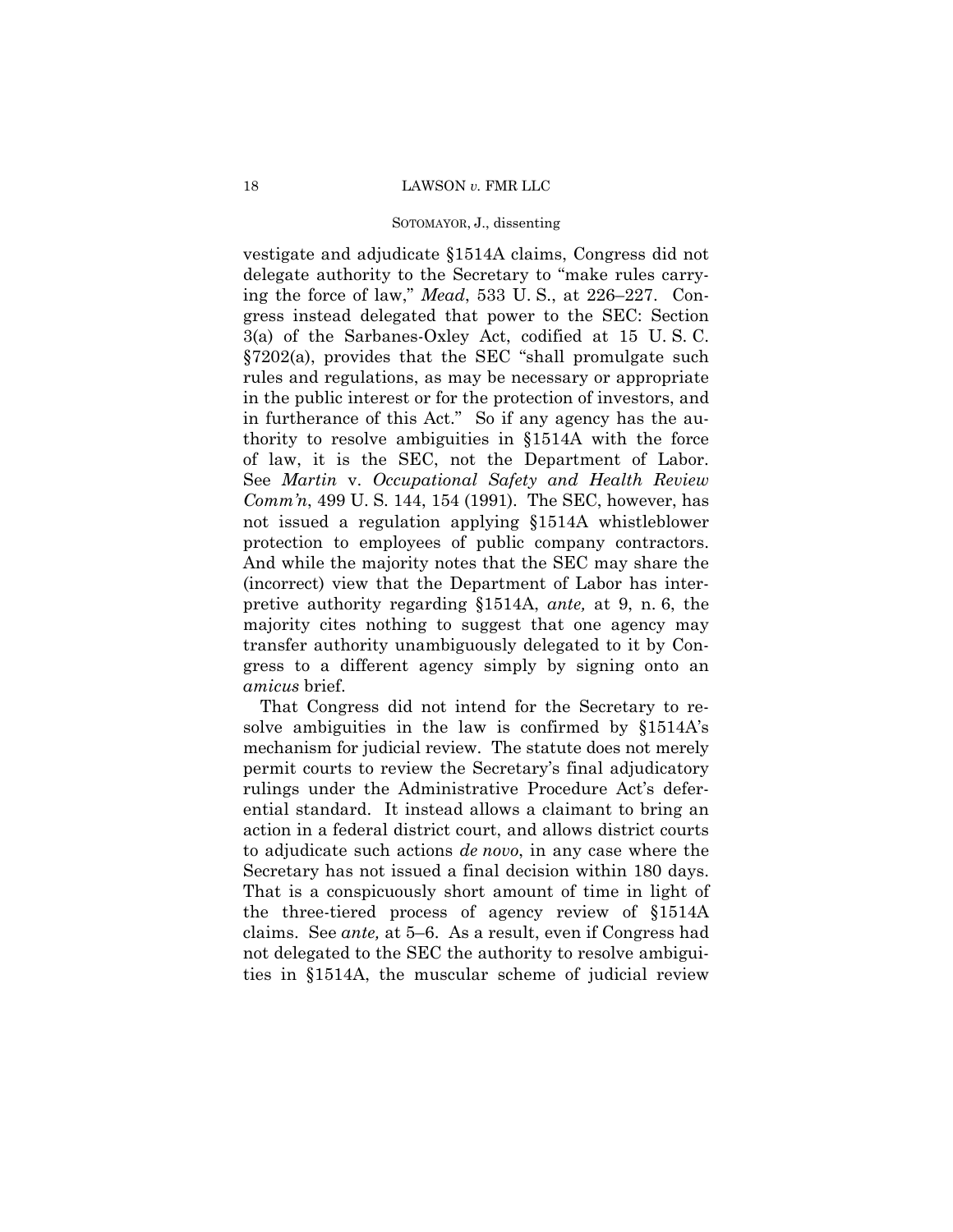vestigate and adjudicate §1514A claims, Congress did not delegate authority to the Secretary to "make rules carrying the force of law," *Mead*, 533 U. S., at 226–227. Congress instead delegated that power to the SEC: Section 3(a) of the Sarbanes-Oxley Act, codified at 15 U. S. C. §7202(a), provides that the SEC "shall promulgate such rules and regulations, as may be necessary or appropriate in the public interest or for the protection of investors, and in furtherance of this Act." So if any agency has the authority to resolve ambiguities in §1514A with the force of law, it is the SEC, not the Department of Labor. See *Martin* v. *Occupational Safety and Health Review Comm'n*, 499 U. S. 144, 154 (1991). The SEC, however, has not issued a regulation applying §1514A whistleblower protection to employees of public company contractors. And while the majority notes that the SEC may share the (incorrect) view that the Department of Labor has interpretive authority regarding §1514A, *ante,* at 9, n. 6, the majority cites nothing to suggest that one agency may transfer authority unambiguously delegated to it by Congress to a different agency simply by signing onto an *amicus* brief.

That Congress did not intend for the Secretary to resolve ambiguities in the law is confirmed by §1514A's mechanism for judicial review. The statute does not merely permit courts to review the Secretary's final adjudicatory rulings under the Administrative Procedure Act's deferential standard. It instead allows a claimant to bring an action in a federal district court, and allows district courts to adjudicate such actions *de novo*, in any case where the Secretary has not issued a final decision within 180 days. That is a conspicuously short amount of time in light of the three-tiered process of agency review of §1514A claims. See *ante,* at 5–6. As a result, even if Congress had not delegated to the SEC the authority to resolve ambiguities in §1514A, the muscular scheme of judicial review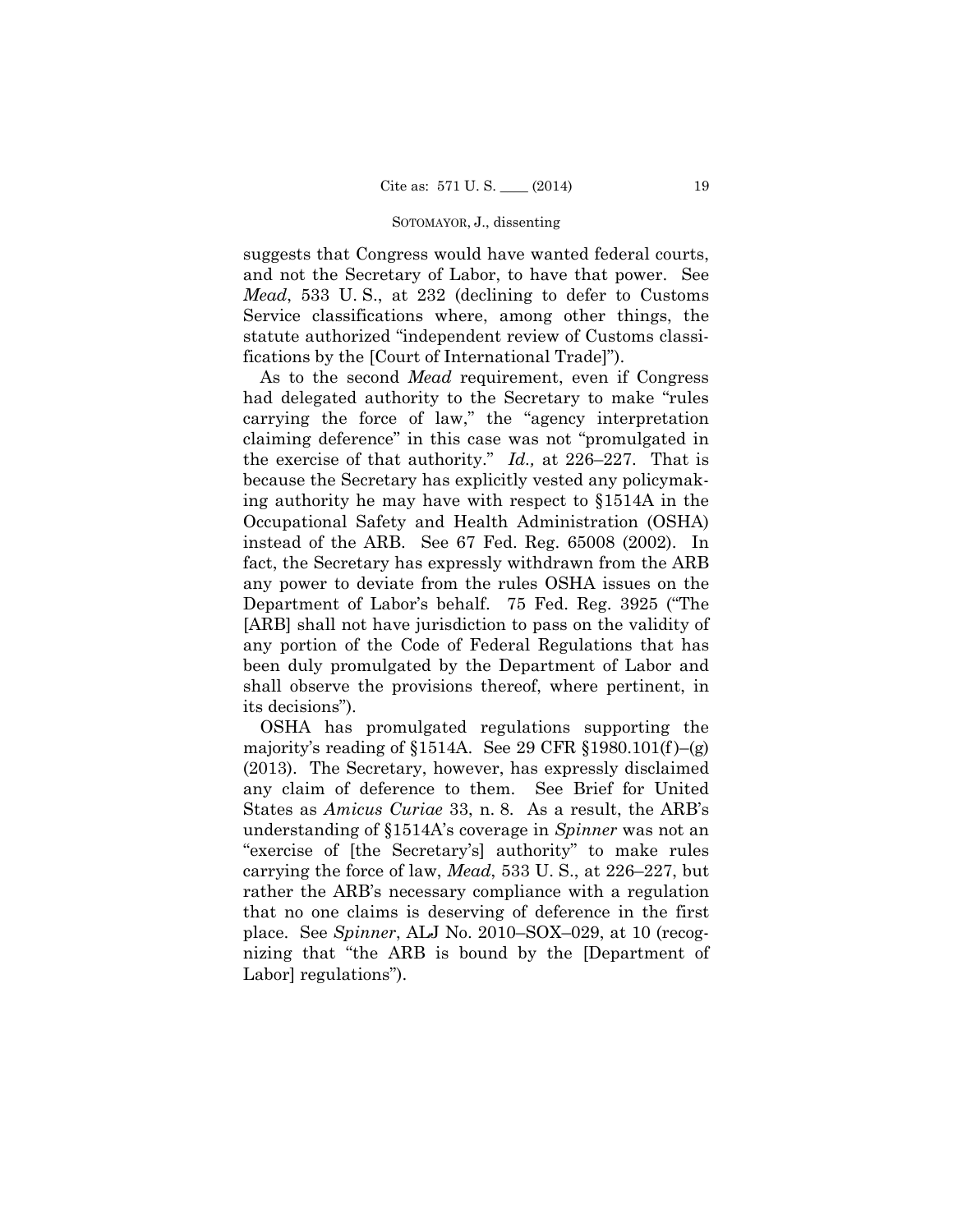suggests that Congress would have wanted federal courts, and not the Secretary of Labor, to have that power. See *Mead*, 533 U. S., at 232 (declining to defer to Customs Service classifications where, among other things, the statute authorized "independent review of Customs classifications by the [Court of International Trade]").

As to the second *Mead* requirement, even if Congress had delegated authority to the Secretary to make "rules carrying the force of law," the "agency interpretation claiming deference" in this case was not "promulgated in the exercise of that authority." *Id.,* at 226–227. That is because the Secretary has explicitly vested any policymaking authority he may have with respect to §1514A in the Occupational Safety and Health Administration (OSHA) instead of the ARB. See 67 Fed. Reg. 65008 (2002). In fact, the Secretary has expressly withdrawn from the ARB any power to deviate from the rules OSHA issues on the Department of Labor's behalf. 75 Fed. Reg. 3925 ("The [ARB] shall not have jurisdiction to pass on the validity of any portion of the Code of Federal Regulations that has been duly promulgated by the Department of Labor and shall observe the provisions thereof, where pertinent, in its decisions").

OSHA has promulgated regulations supporting the majority's reading of  $$1514A$ . See 29 CFR  $$1980.101(f)–(g)$ (2013). The Secretary, however, has expressly disclaimed any claim of deference to them. See Brief for United States as *Amicus Curiae* 33, n. 8. As a result, the ARB's understanding of §1514A's coverage in *Spinner* was not an "exercise of [the Secretary's] authority" to make rules carrying the force of law, *Mead*, 533 U. S., at 226–227, but rather the ARB's necessary compliance with a regulation that no one claims is deserving of deference in the first place. See *Spinner*, ALJ No. 2010–SOX–029, at 10 (recognizing that "the ARB is bound by the [Department of Labor] regulations").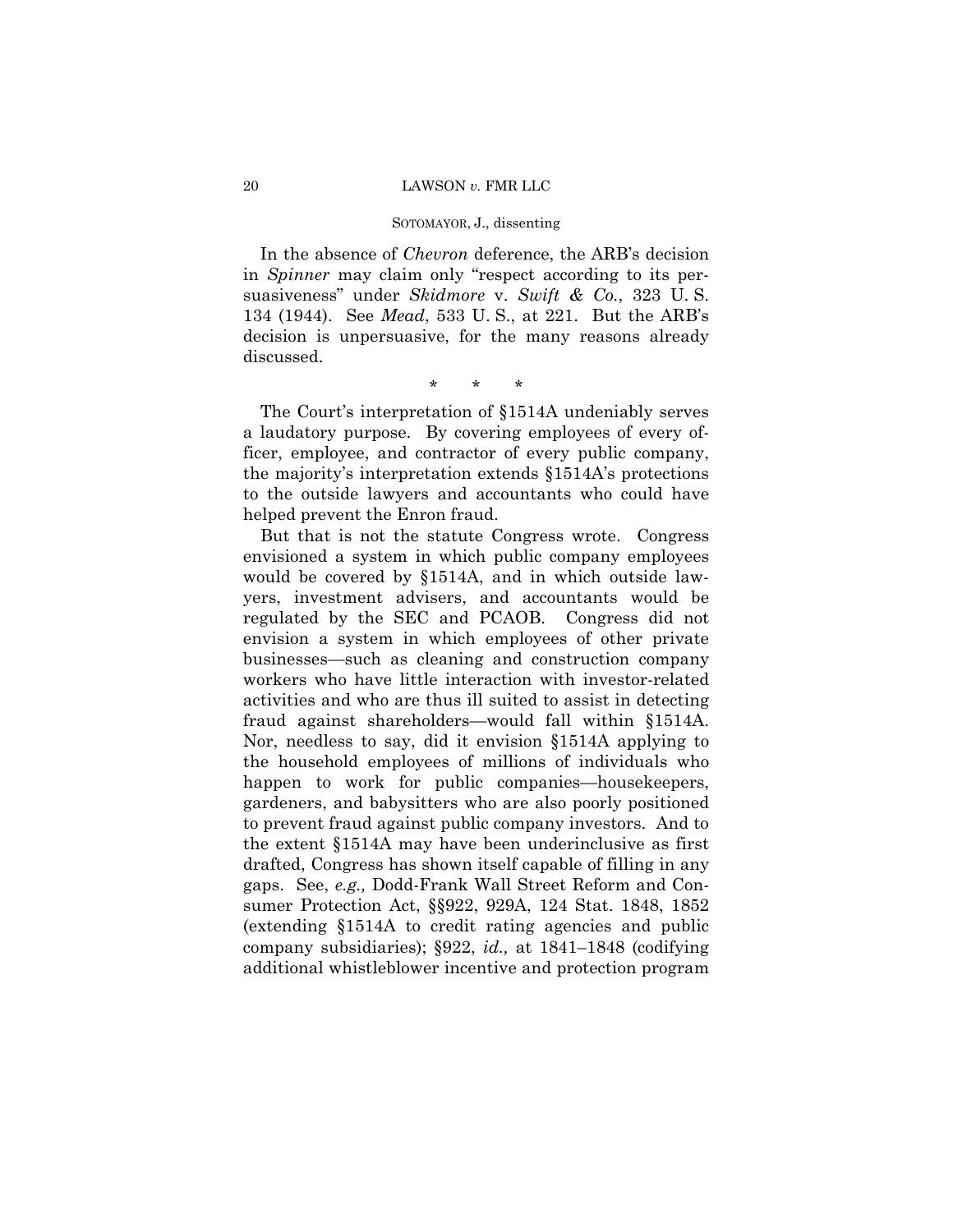In the absence of *Chevron* deference, the ARB's decision in *Spinner* may claim only "respect according to its persuasiveness" under *Skidmore* v. *Swift & Co.*, 323 U. S. 134 (1944). See *Mead*, 533 U. S., at 221. But the ARB's decision is unpersuasive, for the many reasons already discussed.

# \* \* \*

The Court's interpretation of §1514A undeniably serves a laudatory purpose. By covering employees of every officer, employee, and contractor of every public company, the majority's interpretation extends §1514A's protections to the outside lawyers and accountants who could have helped prevent the Enron fraud.

But that is not the statute Congress wrote. Congress envisioned a system in which public company employees would be covered by §1514A, and in which outside lawyers, investment advisers, and accountants would be regulated by the SEC and PCAOB. Congress did not envision a system in which employees of other private businesses—such as cleaning and construction company workers who have little interaction with investor-related activities and who are thus ill suited to assist in detecting fraud against shareholders—would fall within §1514A. Nor, needless to say, did it envision §1514A applying to the household employees of millions of individuals who happen to work for public companies—housekeepers, gardeners, and babysitters who are also poorly positioned to prevent fraud against public company investors. And to the extent §1514A may have been underinclusive as first drafted, Congress has shown itself capable of filling in any gaps. See, *e.g.,* Dodd-Frank Wall Street Reform and Consumer Protection Act, §§922, 929A, 124 Stat. 1848, 1852 (extending §1514A to credit rating agencies and public company subsidiaries); §922, *id.,* at 1841–1848 (codifying additional whistleblower incentive and protection program